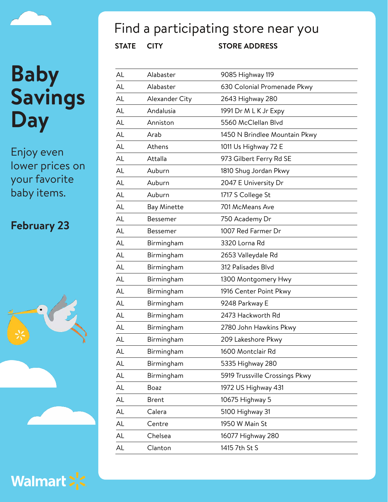Enjoy even lower prices on your favorite baby items.

#### **February 23**





## Find a participating store near you

| AL | Alabaster          | 9085 Highway 119               |
|----|--------------------|--------------------------------|
| AL | Alabaster          | 630 Colonial Promenade Pkwy    |
| AL | Alexander City     | 2643 Highway 280               |
| AL | Andalusia          | 1991 Dr M L K Jr Expy          |
| AL | Anniston           | 5560 McClellan Blvd            |
| AL | Arab               | 1450 N Brindlee Mountain Pkwy  |
| AL | Athens             | 1011 Us Highway 72 E           |
| AL | Attalla            | 973 Gilbert Ferry Rd SE        |
| AL | Auburn             | 1810 Shug Jordan Pkwy          |
| AL | Auburn             | 2047 E University Dr           |
| AL | Auburn             | 1717 S College St              |
| AL | <b>Bay Minette</b> | 701 McMeans Ave                |
| AL | Bessemer           | 750 Academy Dr                 |
| AL | Bessemer           | 1007 Red Farmer Dr             |
| AL | Birmingham         | 3320 Lorna Rd                  |
| AL | Birmingham         | 2653 Valleydale Rd             |
| AL | Birmingham         | 312 Palisades Blvd             |
| AL | Birmingham         | 1300 Montgomery Hwy            |
| AL | Birmingham         | 1916 Center Point Pkwy         |
| AL | Birmingham         | 9248 Parkway E                 |
| AL | Birmingham         | 2473 Hackworth Rd              |
| AL | Birmingham         | 2780 John Hawkins Pkwy         |
| AL | Birmingham         | 209 Lakeshore Pkwy             |
| AL | Birmingham         | 1600 Montclair Rd              |
| AL | Birmingham         | 5335 Highway 280               |
| AL | Birmingham         | 5919 Trussville Crossings Pkwy |
| AL | <b>Boaz</b>        | 1972 US Highway 431            |
| AL | <b>Brent</b>       | 10675 Highway 5                |
| AL | Calera             | 5100 Highway 31                |
| AL | Centre             | 1950 W Main St                 |
| AL | Chelsea            | 16077 Highway 280              |
| AL | Clanton            | 1415 7th St S                  |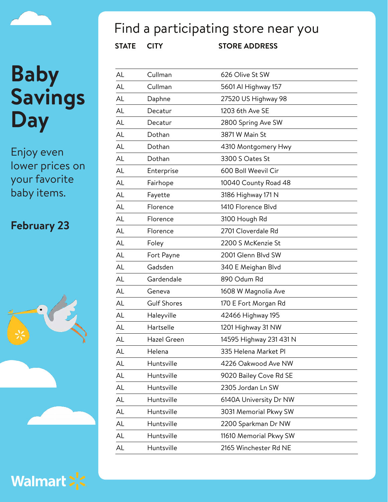Enjoy even lower prices on your favorite baby items.

#### **February 23**



Walmart > <

## Find a participating store near you

| AL        | Cullman            | 626 Olive St SW         |
|-----------|--------------------|-------------------------|
| AL        | Cullman            | 5601 Al Highway 157     |
| AL        | Daphne             | 27520 US Highway 98     |
| <b>AL</b> | Decatur            | 1203 6th Ave SE         |
| AL        | Decatur            | 2800 Spring Ave SW      |
| <b>AL</b> | Dothan             | 3871 W Main St          |
| AL        | Dothan             | 4310 Montgomery Hwy     |
| AL        | Dothan             | 3300 S Oates St         |
| AL        | Enterprise         | 600 Boll Weevil Cir     |
| <b>AL</b> | Fairhope           | 10040 County Road 48    |
| <b>AL</b> | Fayette            | 3186 Highway 171 N      |
| AL        | Florence           | 1410 Florence Blvd      |
| <b>AL</b> | Florence           | 3100 Hough Rd           |
| AL        | Florence           | 2701 Cloverdale Rd      |
| AL        | Foley              | 2200 S McKenzie St      |
| <b>AL</b> | Fort Payne         | 2001 Glenn Blvd SW      |
| <b>AL</b> | Gadsden            | 340 E Meighan Blvd      |
| <b>AL</b> | Gardendale         | 890 Odum Rd             |
| AL        | Geneva             | 1608 W Magnolia Ave     |
| <b>AL</b> | <b>Gulf Shores</b> | 170 E Fort Morgan Rd    |
| <b>AL</b> | Haleyville         | 42466 Highway 195       |
| AL        | Hartselle          | 1201 Highway 31 NW      |
| AL        | Hazel Green        | 14595 Highway 231 431 N |
| AL        | Helena             | 335 Helena Market Pl    |
| AL        | Huntsville         | 4226 Oakwood Ave NW     |
| AL        | Huntsville         | 9020 Bailey Cove Rd SE  |
| AL        | Huntsville         | 2305 Jordan Ln SW       |
| AL        | Huntsville         | 6140A University Dr NW  |
| AL        | Huntsville         | 3031 Memorial Pkwy SW   |
| AL        | Huntsville         | 2200 Sparkman Dr NW     |
| AL        | Huntsville         | 11610 Memorial Pkwy SW  |
| AL        | Huntsville         | 2165 Winchester Rd NE   |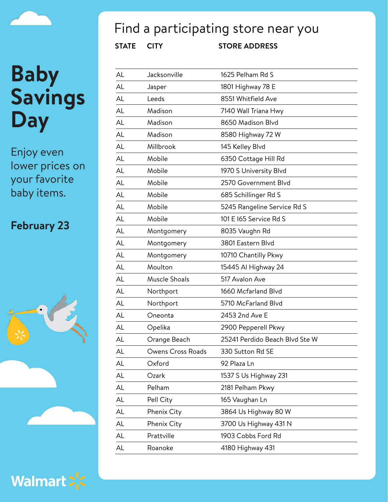Enjoy even lower prices on your favorite baby items.

#### **February 23**





## Find a participating store near you

| AL | Jacksonville      | 1625 Pelham Rd S               |
|----|-------------------|--------------------------------|
| AL | Jasper            | 1801 Highway 78 E              |
| AL | Leeds             | 8551 Whitfield Ave             |
| AL | Madison           | 7140 Wall Triana Hwy           |
| AL | Madison           | 8650 Madison Blvd              |
| AL | Madison           | 8580 Highway 72 W              |
| AL | Millbrook         | 145 Kelley Blvd                |
| AL | Mobile            | 6350 Cottage Hill Rd           |
| AL | Mobile            | 1970 S University Blvd         |
| AL | Mobile            | 2570 Government Blvd           |
| AL | Mobile            | 685 Schillinger Rd S           |
| AL | Mobile            | 5245 Rangeline Service Rd S    |
| AL | Mobile            | 101 E I65 Service Rd S         |
| AL | Montgomery        | 8035 Vaughn Rd                 |
| AL | Montgomery        | 3801 Eastern Blvd              |
| AL | Montgomery        | 10710 Chantilly Pkwy           |
| AL | Moulton           | 15445 Al Highway 24            |
| AL | Muscle Shoals     | 517 Avalon Ave                 |
| AL | Northport         | 1660 Mcfarland Blvd            |
| AL | Northport         | 5710 McFarland Blvd            |
| AL | Oneonta           | 2453 2nd Ave E                 |
| AL | Opelika           | 2900 Pepperell Pkwy            |
| AL | Orange Beach      | 25241 Perdido Beach Blvd Ste W |
| AL | Owens Cross Roads | 330 Sutton Rd SE               |
| AL | Oxford            | 92 Plaza Ln                    |
| AL | Ozark             | 1537 S Us Highway 231          |
| AL | Pelham            | 2181 Pelham Pkwy               |
| AL | Pell City         | 165 Vaughan Ln                 |
| AL | Phenix City       | 3864 Us Highway 80 W           |
| AL | Phenix City       | 3700 Us Highway 431 N          |
| AL | Prattville        | 1903 Cobbs Ford Rd             |
| AL | Roanoke           | 4180 Highway 431               |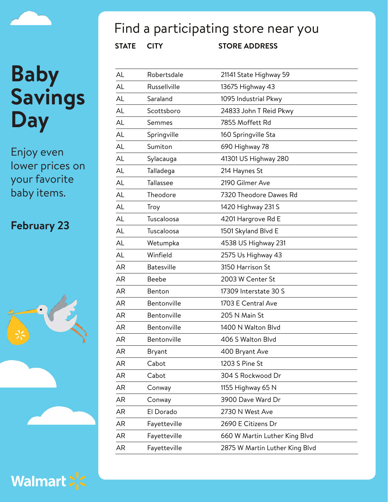Enjoy even lower prices on your favorite baby items.

#### **February 23**





## Find a participating store near you

| AL        | Robertsdale       | 21141 State Highway 59         |
|-----------|-------------------|--------------------------------|
| AL        | Russellville      | 13675 Highway 43               |
| AL        | Saraland          | 1095 Industrial Pkwy           |
| AL        | Scottsboro        | 24833 John T Reid Pkwy         |
| AL        | Semmes            | 7855 Moffett Rd                |
| AL        | Springville       | 160 Springville Sta            |
| AL        | Sumiton           | 690 Highway 78                 |
| AL        | Sylacauga         | 41301 US Highway 280           |
| AL        | Talladega         | 214 Haynes St                  |
| AL        | Tallassee         | 2190 Gilmer Ave                |
| AL        | Theodore          | 7320 Theodore Dawes Rd         |
| AL        | Troy              | 1420 Highway 231 S             |
| AL        | Tuscaloosa        | 4201 Hargrove Rd E             |
| AL        | Tuscaloosa        | 1501 Skyland Blvd E            |
| AL        | Wetumpka          | 4538 US Highway 231            |
| AL        | Winfield          | 2575 Us Highway 43             |
| <b>AR</b> | <b>Batesville</b> | 3150 Harrison St               |
| <b>AR</b> | Beebe             | 2003 W Center St               |
| <b>AR</b> | Benton            | 17309 Interstate 30 S          |
| <b>AR</b> | Bentonville       | 1703 E Central Ave             |
| <b>AR</b> | Bentonville       | 205 N Main St                  |
| <b>AR</b> | Bentonville       | 1400 N Walton Blvd             |
| <b>AR</b> | Bentonville       | 406 S Walton Blvd              |
| AR        | Bryant            | 400 Bryant Ave                 |
| AR        | Cabot             | 1203 S Pine St                 |
| AR        | Cabot             | 304 S Rockwood Dr              |
| AR        | Conway            | 1155 Highway 65 N              |
| AR        | Conway            | 3900 Dave Ward Dr              |
| AR        | El Dorado         | 2730 N West Ave                |
| AR        | Fayetteville      | 2690 E Citizens Dr             |
| AR        | Fayetteville      | 660 W Martin Luther King Blvd  |
| AR        | Fayetteville      | 2875 W Martin Luther King Blvd |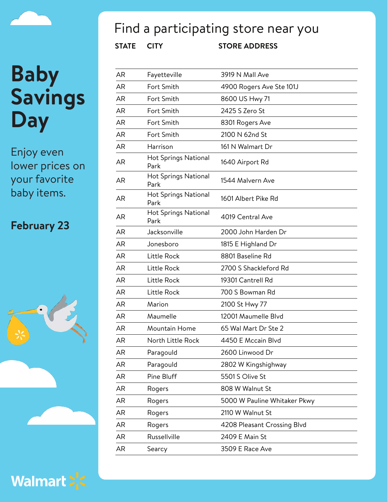Enjoy even lower prices on your favorite baby items.

#### **February 23**



Walmart > <

## Find a participating store near you

| AR        | Fayetteville                        | 3919 N Mall Ave              |
|-----------|-------------------------------------|------------------------------|
| AR        | Fort Smith                          | 4900 Rogers Ave Ste 101J     |
| <b>AR</b> | Fort Smith                          | 8600 US Hwy 71               |
| AR        | Fort Smith                          | 2425 S Zero St               |
| AR        | Fort Smith                          | 8301 Rogers Ave              |
| <b>AR</b> | Fort Smith                          | 2100 N 62nd St               |
| AR        | Harrison                            | 161 N Walmart Dr             |
| AR        | <b>Hot Springs National</b><br>Park | 1640 Airport Rd              |
| AR        | <b>Hot Springs National</b><br>Park | 1544 Malvern Ave             |
| <b>AR</b> | <b>Hot Springs National</b><br>Park | 1601 Albert Pike Rd          |
| AR        | <b>Hot Springs National</b><br>Park | 4019 Central Ave             |
| AR        | Jacksonville                        | 2000 John Harden Dr          |
| AR        | Jonesboro                           | 1815 E Highland Dr           |
| AR        | Little Rock                         | 8801 Baseline Rd             |
| AR        | Little Rock                         | 2700 S Shackleford Rd        |
| <b>AR</b> | Little Rock                         | 19301 Cantrell Rd            |
| AR        | Little Rock                         | 700 S Bowman Rd              |
| AR        | Marion                              | 2100 St Hwy 77               |
| <b>AR</b> | Maumelle                            | 12001 Maumelle Blvd          |
| AR        | Mountain Home                       | 65 Wal Mart Dr Ste 2         |
| <b>AR</b> | North Little Rock                   | 4450 E Mccain Blvd           |
| AR        | Paragould                           | 2600 Linwood Dr              |
| AR        | Paragould                           | 2802 W Kingshighway          |
| AR        | Pine Bluff                          | 5501 S Olive St              |
| AR        | Rogers                              | 808 W Walnut St              |
| AR        | Rogers                              | 5000 W Pauline Whitaker Pkwy |
| AR        | Rogers                              | 2110 W Walnut St             |
| AR        | Rogers                              | 4208 Pleasant Crossing Blvd  |
| AR        | Russellville                        | 2409 E Main St               |
| AR        | Searcy                              | 3509 E Race Ave              |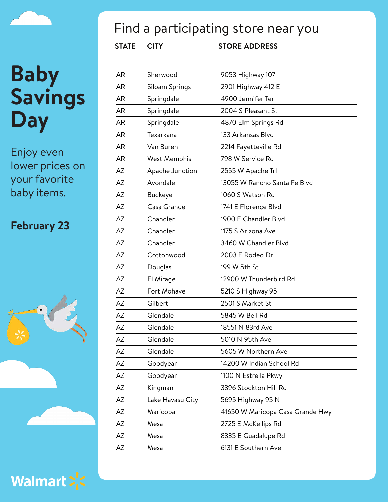Enjoy even lower prices on your favorite baby items.

#### **February 23**





## Find a participating store near you

| AR        | Sherwood         | 9053 Highway 107                 |
|-----------|------------------|----------------------------------|
| AR        | Siloam Springs   | 2901 Highway 412 E               |
| <b>AR</b> | Springdale       | 4900 Jennifer Ter                |
| AR        | Springdale       | 2004 S Pleasant St               |
| <b>AR</b> | Springdale       | 4870 Elm Springs Rd              |
| <b>AR</b> | Texarkana        | 133 Arkansas Blvd                |
| AR        | Van Buren        | 2214 Fayetteville Rd             |
| <b>AR</b> | West Memphis     | 798 W Service Rd                 |
| AZ        | Apache Junction  | 2555 W Apache Trl                |
| AZ        | Avondale         | 13055 W Rancho Santa Fe Blvd     |
| AZ        | <b>Buckeye</b>   | 1060 S Watson Rd                 |
| AZ        | Casa Grande      | 1741 E Florence Blvd             |
| AZ        | Chandler         | 1900 E Chandler Blvd             |
| AZ        | Chandler         | 1175 S Arizona Ave               |
| AZ        | Chandler         | 3460 W Chandler Blvd             |
| AZ        | Cottonwood       | 2003 E Rodeo Dr                  |
| AΖ        | Douglas          | 199 W 5th St                     |
| AZ        | El Mirage        | 12900 W Thunderbird Rd           |
| AZ        | Fort Mohave      | 5210 S Highway 95                |
| AZ        | Gilbert          | 2501 S Market St                 |
| AZ        | Glendale         | 5845 W Bell Rd                   |
| AZ        | Glendale         | 18551 N 83rd Ave                 |
| AZ        | Glendale         | 5010 N 95th Ave                  |
| AZ        | Glendale         | 5605 W Northern Ave              |
| AZ        | Goodyear         | 14200 W Indian School Rd         |
| AZ        | Goodyear         | 1100 N Estrella Pkwy             |
| AZ        | Kingman          | 3396 Stockton Hill Rd            |
| AZ        | Lake Havasu City | 5695 Highway 95 N                |
| AZ        | Maricopa         | 41650 W Maricopa Casa Grande Hwy |
| AZ        | Mesa             | 2725 E McKellips Rd              |
| AZ        | Mesa             | 8335 E Guadalupe Rd              |
| AZ        | Mesa             | 6131 E Southern Ave              |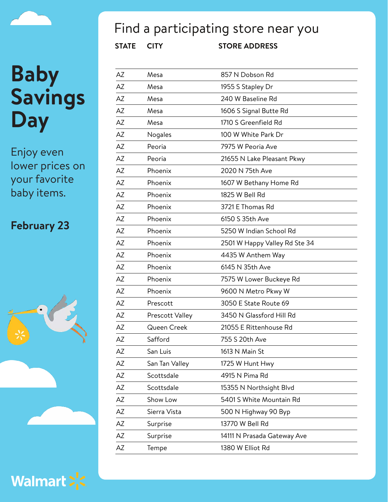Enjoy even lower prices on your favorite baby items.

#### **February 23**



Walmart > <

## Find a participating store near you

| <b>STATE</b> | <b>CITY</b>     | <b>STORE ADDRESS</b>          |
|--------------|-----------------|-------------------------------|
| AZ           | Mesa            | 857 N Dobson Rd               |
| AZ           | Mesa            | 1955 S Stapley Dr             |
| ΑZ           | Mesa            | 240 W Baseline Rd             |
| AZ           | Mesa            | 1606 S Signal Butte Rd        |
| AZ           | Mesa            | 1710 S Greenfield Rd          |
| AZ           | Nogales         | 100 W White Park Dr           |
| AZ           | Peoria          | 7975 W Peoria Ave             |
| AZ           | Peoria          | 21655 N Lake Pleasant Pkwy    |
| AZ           | Phoenix         | 2020 N 75th Ave               |
| ΑZ           | Phoenix         | 1607 W Bethany Home Rd        |
| AZ           | Phoenix         | 1825 W Bell Rd                |
| <b>AZ</b>    | Phoenix         | 3721 E Thomas Rd              |
| AZ           | Phoenix         | 6150 S 35th Ave               |
| AZ           | Phoenix         | 5250 W Indian School Rd       |
| ΑZ           | Phoenix         | 2501 W Happy Valley Rd Ste 34 |
| AZ           | Phoenix         | 4435 W Anthem Way             |
| AZ           | Phoenix         | 6145 N 35th Ave               |
| AZ           | Phoenix         | 7575 W Lower Buckeye Rd       |
| AZ           | Phoenix         | 9600 N Metro Pkwy W           |
| AZ           | Prescott        | 3050 E State Route 69         |
| AZ           | Prescott Valley | 3450 N Glassford Hill Rd      |
| AΖ           | Queen Creek     | 21055 E Rittenhouse Rd        |
| AΖ           | Safford         | 755 S 20th Ave                |
| AZ           | San Luis        | 1613 N Main St                |
| AZ           | San Tan Valley  | 1725 W Hunt Hwy               |
| ΑZ           | Scottsdale      | 4915 N Pima Rd                |
| AZ           | Scottsdale      | 15355 N Northsight Blvd       |
| ΑZ           | Show Low        | 5401 S White Mountain Rd      |
| ΑZ           | Sierra Vista    | 500 N Highway 90 Byp          |
| ΑZ           | Surprise        | 13770 W Bell Rd               |
| ΑZ           | Surprise        | 14111 N Prasada Gateway Ave   |
| ΑZ           | Tempe           | 1380 W Elliot Rd              |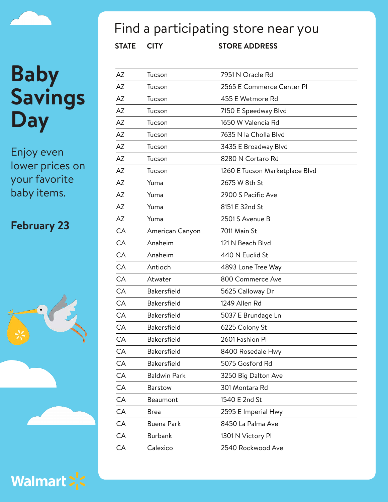Enjoy even lower prices on your favorite baby items.

#### **February 23**







## Find a participating store near you

| AZ | Tucson              | 7951 N Oracle Rd               |
|----|---------------------|--------------------------------|
| AZ | Tucson              | 2565 E Commerce Center PI      |
| AZ | Tucson              | 455 E Wetmore Rd               |
| AZ | Tucson              | 7150 E Speedway Blvd           |
| AZ | Tucson              | 1650 W Valencia Rd             |
| AZ | Tucson              | 7635 N la Cholla Blvd          |
| AZ | Tucson              | 3435 E Broadway Blvd           |
| AZ | Tucson              | 8280 N Cortaro Rd              |
| AZ | Tucson              | 1260 E Tucson Marketplace Blvd |
| AZ | Yuma                | 2675 W 8th St                  |
| AZ | Yuma                | 2900 S Pacific Ave             |
| AZ | Yuma                | 8151 E 32nd St                 |
| AZ | Yuma                | 2501 S Avenue B                |
| CA | American Canyon     | 7011 Main St                   |
| CA | Anaheim             | 121 N Beach Blvd               |
| CA | Anaheim             | 440 N Euclid St                |
| CA | Antioch             | 4893 Lone Tree Way             |
| CA | Atwater             | 800 Commerce Ave               |
| CA | Bakersfield         | 5625 Calloway Dr               |
| CA | Bakersfield         | 1249 Allen Rd                  |
| CA | Bakersfield         | 5037 E Brundage Ln             |
| CA | <b>Bakersfield</b>  | 6225 Colony St                 |
| CA | Bakersfield         | 2601 Fashion Pl                |
| CA | Bakersfield         | 8400 Rosedale Hwy              |
| CA | <b>Bakersfield</b>  | 5075 Gosford Rd                |
| CA | <b>Baldwin Park</b> | 3250 Big Dalton Ave            |
| CA | <b>Barstow</b>      | 301 Montara Rd                 |
| CA | Beaumont            | 1540 E 2nd St                  |
| CA | <b>Brea</b>         | 2595 E Imperial Hwy            |
| CA | <b>Buena Park</b>   | 8450 La Palma Ave              |
| CA | <b>Burbank</b>      | 1301 N Victory PI              |
| CA | Calexico            | 2540 Rockwood Ave              |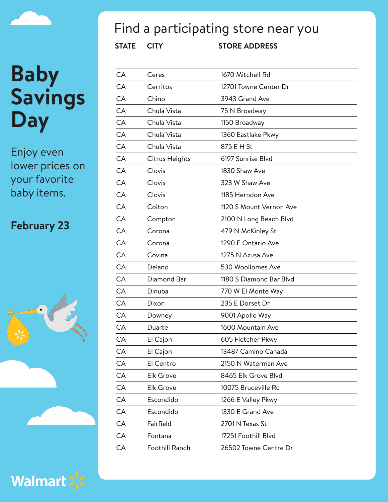Enjoy even lower prices on your favorite baby items.

#### **February 23**





## Find a participating store near you

| CA | Ceres            | 1670 Mitchell Rd        |
|----|------------------|-------------------------|
| CA | Cerritos         | 12701 Towne Center Dr   |
| CA | Chino            | 3943 Grand Ave          |
| CA | Chula Vista      | 75 N Broadway           |
| CA | Chula Vista      | 1150 Broadway           |
| CA | Chula Vista      | 1360 Eastlake Pkwy      |
| CA | Chula Vista      | 875 E H St              |
| CA | Citrus Heights   | 6197 Sunrise Blvd       |
| CA | Clovis           | 1830 Shaw Ave           |
| CA | Clovis           | 323 W Shaw Ave          |
| CA | Clovis           | 1185 Herndon Ave        |
| CA | Colton           | 1120 S Mount Vernon Ave |
| CA | Compton          | 2100 N Long Beach Blvd  |
| CA | Corona           | 479 N McKinley St       |
| CA | Corona           | 1290 E Ontario Ave      |
| CA | Covina           | 1275 N Azusa Ave        |
| CA | Delano           | 530 Woollomes Ave       |
| CA | Diamond Bar      | 1180 S Diamond Bar Blvd |
| CA | Dinuba           | 770 W El Monte Way      |
| CA | Dixon            | 235 E Dorset Dr         |
| CA | Downey           | 9001 Apollo Way         |
| CA | Duarte           | 1600 Mountain Ave       |
| CA | El Cajon         | 605 Fletcher Pkwy       |
| CА | El Cajon         | 13487 Camino Canada     |
| CA | El Centro        | 2150 N Waterman Ave     |
| CA | Elk Grove        | 8465 Elk Grove Blvd     |
| CA | <b>Elk Grove</b> | 10075 Bruceville Rd     |
| CA | Escondido        | 1266 E Valley Pkwy      |
| CA | Escondido        | 1330 E Grand Ave        |
| CA | Fairfield        | 2701 N Texas St         |
| CA | Fontana          | 17251 Foothill Blvd     |
| CA | Foothill Ranch   | 26502 Towne Centre Dr   |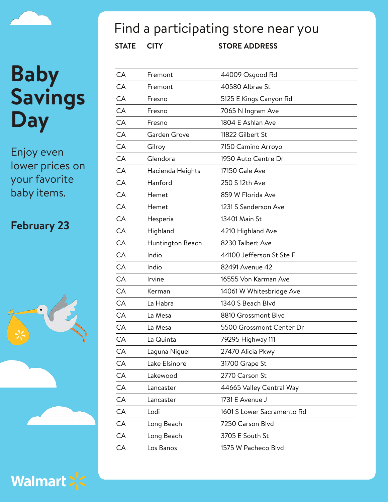Enjoy even lower prices on your favorite baby items.

#### **February 23**





## Find a participating store near you

| СA | Fremont          | 44009 Osgood Rd            |
|----|------------------|----------------------------|
| CA | Fremont          | 40580 Albrae St            |
| CA | Fresno           | 5125 E Kings Canyon Rd     |
| CA | Fresno           | 7065 N Ingram Ave          |
| CA | Fresno           | 1804 E Ashlan Ave          |
| CA | Garden Grove     | 11822 Gilbert St           |
| CA | Gilroy           | 7150 Camino Arroyo         |
| CA | Glendora         | 1950 Auto Centre Dr        |
| CA | Hacienda Heights | 17150 Gale Ave             |
| CA | Hanford          | 250 S 12th Ave             |
| CA | Hemet            | 859 W Florida Ave          |
| CA | Hemet            | 1231 S Sanderson Ave       |
| CA | Hesperia         | 13401 Main St              |
| CA | Highland         | 4210 Highland Ave          |
| CA | Huntington Beach | 8230 Talbert Ave           |
| CA | Indio            | 44100 Jefferson St Ste F   |
| CA | Indio            | 82491 Avenue 42            |
| CA | Irvine           | 16555 Von Karman Ave       |
| CA | Kerman           | 14061 W Whitesbridge Ave   |
| CA | La Habra         | 1340 S Beach Blvd          |
| CA | La Mesa          | 8810 Grossmont Blvd        |
| CA | La Mesa          | 5500 Grossmont Center Dr   |
| CA | La Quinta        | 79295 Highway 111          |
| CA | Laguna Niguel    | 27470 Alicia Pkwy          |
| CA | Lake Elsinore    | 31700 Grape St             |
| CA | Lakewood         | 2770 Carson St             |
| CA | Lancaster        | 44665 Valley Central Way   |
| CA | Lancaster        | 1731 E Avenue J            |
| CA | Lodi             | 1601 S Lower Sacramento Rd |
| CA | Long Beach       | 7250 Carson Blvd           |
| CA | Long Beach       | 3705 E South St            |
| CA | Los Banos        | 1575 W Pacheco Blvd        |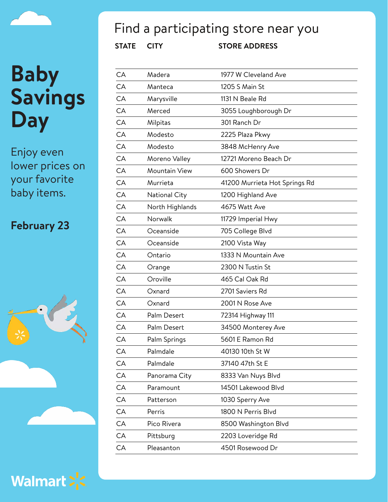Enjoy even lower prices on your favorite baby items.

#### **February 23**





## Find a participating store near you

| СA | Madera          | 1977 W Cleveland Ave          |
|----|-----------------|-------------------------------|
| CA | Manteca         | 1205 S Main St                |
| СA | Marysville      | 1131 N Beale Rd               |
| CA | Merced          | 3055 Loughborough Dr          |
| СA | Milpitas        | 301 Ranch Dr                  |
| CA | Modesto         | 2225 Plaza Pkwy               |
| СA | Modesto         | 3848 McHenry Ave              |
| СA | Moreno Valley   | 12721 Moreno Beach Dr         |
| CA | Mountain View   | 600 Showers Dr                |
| СA | Murrieta        | 41200 Murrieta Hot Springs Rd |
| CA | National City   | 1200 Highland Ave             |
| CA | North Highlands | 4675 Watt Ave                 |
| CA | Norwalk         | 11729 Imperial Hwy            |
| СA | Oceanside       | 705 College Blvd              |
| СA | Oceanside       | 2100 Vista Way                |
| CA | Ontario         | 1333 N Mountain Ave           |
| СA | Orange          | 2300 N Tustin St              |
| CA | Oroville        | 465 Cal Oak Rd                |
| СA | Oxnard          | 2701 Saviers Rd               |
| СA | Oxnard          | 2001 N Rose Ave               |
| CA | Palm Desert     | 72314 Highway 111             |
| СA | Palm Desert     | 34500 Monterey Ave            |
| CA | Palm Springs    | 5601 E Ramon Rd               |
| CА | Palmdale        | 40130 10th St W               |
| CA | Palmdale        | 37140 47th St E               |
| CA | Panorama City   | 8333 Van Nuys Blvd            |
| CA | Paramount       | 14501 Lakewood Blvd           |
| CA | Patterson       | 1030 Sperry Ave               |
| CA | Perris          | 1800 N Perris Blvd            |
| CA | Pico Rivera     | 8500 Washington Blvd          |
| CA | Pittsburg       | 2203 Loveridge Rd             |
| СA | Pleasanton      | 4501 Rosewood Dr              |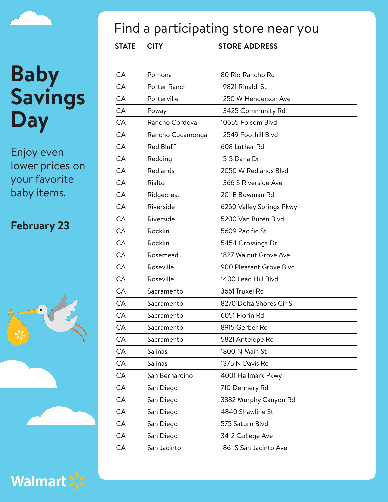Enjoy even lower prices on your favorite baby items.

#### **February 23**





## Find a participating store near you

| CA | Pomona           | 80 Rio Rancho Rd         |
|----|------------------|--------------------------|
| CA | Porter Ranch     | 19821 Rinaldi St         |
| CA | Porterville      | 1250 W Henderson Ave     |
| CA | Poway            | 13425 Community Rd       |
| CA | Rancho Cordova   | 10655 Folsom Blvd        |
| CA | Rancho Cucamonga | 12549 Foothill Blvd      |
| CA | Red Bluff        | 608 Luther Rd            |
| CA | Redding          | 1515 Dana Dr             |
| CA | Redlands         | 2050 W Redlands Blvd     |
| CA | Rialto           | 1366 S Riverside Ave     |
| CA | Ridgecrest       | 201 E Bowman Rd          |
| CA | Riverside        | 6250 Valley Springs Pkwy |
| CA | Riverside        | 5200 Van Buren Blvd      |
| CA | Rocklin          | 5609 Pacific St          |
| CA | Rocklin          | 5454 Crossings Dr        |
| CA | Rosemead         | 1827 Walnut Grove Ave    |
| CA | Roseville        | 900 Pleasant Grove Blvd  |
| CA | Roseville        | 1400 Lead Hill Blyd      |
| CA | Sacramento       | 3661 Truxel Rd           |
| CA | Sacramento       | 8270 Delta Shores Cir S  |
| CA | Sacramento       | 6051 Florin Rd           |
| CA | Sacramento       | 8915 Gerber Rd           |
| CA | Sacramento       | 5821 Antelope Rd         |
| CA | Salinas          | 1800 N Main St           |
| CA | Salinas          | 1375 N Davis Rd          |
| CA | San Bernardino   | 4001 Hallmark Pkwy       |
| CA | San Diego        | 710 Dennery Rd           |
| CA | San Diego        | 3382 Murphy Canyon Rd    |
| CA | San Diego        | 4840 Shawline St         |
| CA | San Diego        | 575 Saturn Blvd          |
| CA | San Diego        | 3412 College Ave         |
| CA | San Jacinto      | 1861 S San Jacinto Ave   |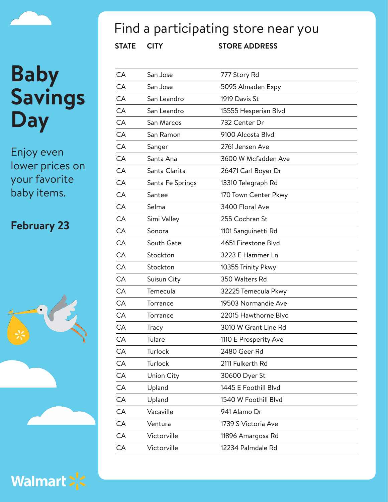Enjoy even lower prices on your favorite baby items.

#### **February 23**





## Find a participating store near you

| CA | San Jose         | 777 Story Rd          |
|----|------------------|-----------------------|
| CA | San Jose         | 5095 Almaden Expy     |
| CA | San Leandro      | 1919 Davis St         |
| CA | San Leandro      | 15555 Hesperian Blvd  |
| CA | San Marcos       | 732 Center Dr         |
| CA | San Ramon        | 9100 Alcosta Blvd     |
| CA | Sanger           | 2761 Jensen Ave       |
| CA | Santa Ana        | 3600 W Mcfadden Ave   |
| CA | Santa Clarita    | 26471 Carl Boyer Dr   |
| CA | Santa Fe Springs | 13310 Telegraph Rd    |
| CA | Santee           | 170 Town Center Pkwy  |
| CA | Selma            | 3400 Floral Ave       |
| CA | Simi Valley      | 255 Cochran St        |
| CA | Sonora           | 1101 Sanguinetti Rd   |
| CA | South Gate       | 4651 Firestone Blvd   |
| CA | Stockton         | 3223 E Hammer Ln      |
| CA | Stockton         | 10355 Trinity Pkwy    |
| CA | Suisun City      | 350 Walters Rd        |
| CA | Temecula         | 32225 Temecula Pkwy   |
| CA | Torrance         | 19503 Normandie Ave   |
| CA | Torrance         | 22015 Hawthorne Blvd  |
| CA | Tracy            | 3010 W Grant Line Rd  |
| CA | Tulare           | 1110 E Prosperity Ave |
| CA | Turlock          | 2480 Geer Rd          |
| CA | Turlock          | 2111 Fulkerth Rd      |
| CA | Union City       | 30600 Dyer St         |
| CA | Upland           | 1445 E Foothill Blvd  |
| CA | Upland           | 1540 W Foothill Blvd  |
| CA | Vacaville        | 941 Alamo Dr          |
| CA | Ventura          | 1739 S Victoria Ave   |
| CA | Victorville      | 11896 Amargosa Rd     |
| CA | Victorville      | 12234 Palmdale Rd     |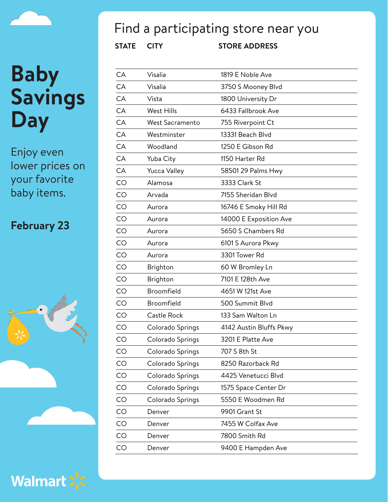Enjoy even lower prices on your favorite baby items.

#### **February 23**





## Find a participating store near you

| CA | Visalia             | 1819 E Noble Ave        |
|----|---------------------|-------------------------|
| СA | Visalia             | 3750 S Mooney Blvd      |
| CA | Vista               | 1800 University Dr      |
| CA | <b>West Hills</b>   | 6433 Fallbrook Ave      |
| CA | West Sacramento     | 755 Riverpoint Ct       |
| CA | Westminster         | 13331 Beach Blvd        |
| CA | Woodland            | 1250 E Gibson Rd        |
| CA | Yuba City           | 1150 Harter Rd          |
| CA | <b>Yucca Valley</b> | 58501 29 Palms Hwy      |
| CO | Alamosa             | 3333 Clark St           |
| CO | Arvada              | 7155 Sheridan Blvd      |
| CO | Aurora              | 16746 E Smoky Hill Rd   |
| CO | Aurora              | 14000 E Exposition Ave  |
| CO | Aurora              | 5650 S Chambers Rd      |
| CO | Aurora              | 6101 S Aurora Pkwy      |
| CO | Aurora              | 3301 Tower Rd           |
| CO | Brighton            | 60 W Bromley Ln         |
| CO | Brighton            | 7101 E 128th Ave        |
| CO | Broomfield          | 4651 W 121st Ave        |
| CO | Broomfield          | 500 Summit Blvd         |
| CO | Castle Rock         | 133 Sam Walton Ln       |
| CO | Colorado Springs    | 4142 Austin Bluffs Pkwy |
| CO | Colorado Springs    | 3201 E Platte Ave       |
| CO | Colorado Springs    | 707 S 8th St            |
| CO | Colorado Springs    | 8250 Razorback Rd       |
| CO | Colorado Springs    | 4425 Venetucci Blvd     |
| CO | Colorado Springs    | 1575 Space Center Dr    |
| CO | Colorado Springs    | 5550 E Woodmen Rd       |
| CO | Denver              | 9901 Grant St           |
| CO | Denver              | 7455 W Colfax Ave       |
| CO | Denver              | 7800 Smith Rd           |
| CO | Denver              | 9400 E Hampden Ave      |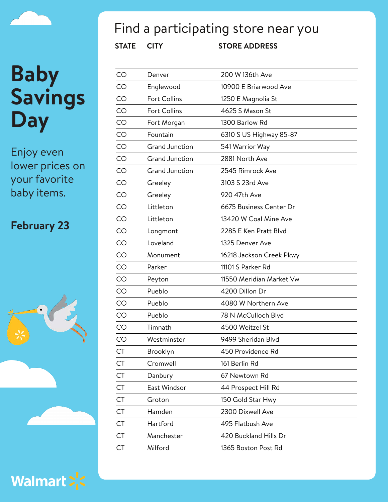

Enjoy even lower prices on your favorite baby items.

#### **February 23**





## Find a participating store near you

| CO        | Denver                | 200 W 136th Ave          |  |
|-----------|-----------------------|--------------------------|--|
| CO        | Englewood             | 10900 E Briarwood Ave    |  |
| <b>CO</b> | <b>Fort Collins</b>   | 1250 E Magnolia St       |  |
| CO        | <b>Fort Collins</b>   | 4625 S Mason St          |  |
| CO        | Fort Morgan           | 1300 Barlow Rd           |  |
| CO        | Fountain              | 6310 S US Highway 85-87  |  |
| CO        | <b>Grand Junction</b> | 541 Warrior Way          |  |
| CO        | <b>Grand Junction</b> | 2881 North Ave           |  |
| <b>CO</b> | <b>Grand Junction</b> | 2545 Rimrock Ave         |  |
| CO        | Greeley               | 3103 S 23rd Ave          |  |
| CO        | Greeley               | 920 47th Ave             |  |
| CO        | Littleton             | 6675 Business Center Dr  |  |
| CO        | Littleton             | 13420 W Coal Mine Ave    |  |
| CO        | Longmont              | 2285 E Ken Pratt Blvd    |  |
| <b>CO</b> | Loveland              | 1325 Denver Ave          |  |
| CO        | Monument              | 16218 Jackson Creek Pkwy |  |
| CO        | Parker                | 11101 S Parker Rd        |  |
| CO        | Peyton                | 11550 Meridian Market Vw |  |
| CO        | Pueblo                | 4200 Dillon Dr           |  |
| CO        | Pueblo                | 4080 W Northern Ave      |  |
| CO        | Pueblo                | 78 N McCulloch Blvd      |  |
| CO        | Timnath               | 4500 Weitzel St          |  |
| CO        | Westminster           | 9499 Sheridan Blvd       |  |
| <b>CT</b> | Brooklyn              | 450 Providence Rd        |  |
| CT        | Cromwell              | 161 Berlin Rd            |  |
| <b>CT</b> | Danbury               | 67 Newtown Rd            |  |
| <b>CT</b> | East Windsor          | 44 Prospect Hill Rd      |  |
| <b>CT</b> | Groton                | 150 Gold Star Hwy        |  |
| <b>CT</b> | Hamden                | 2300 Dixwell Ave         |  |
| <b>CT</b> | Hartford              | 495 Flatbush Ave         |  |
| <b>CT</b> | Manchester            | 420 Buckland Hills Dr    |  |
| <b>CT</b> | Milford               | 1365 Boston Post Rd      |  |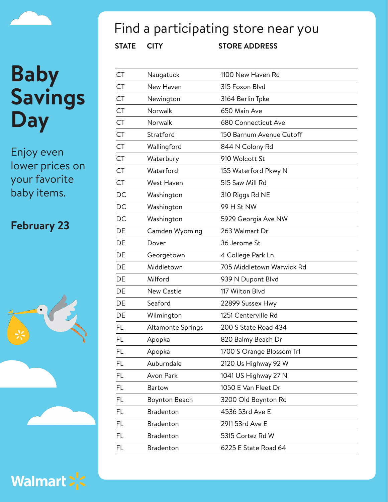

Enjoy even lower prices on your favorite baby items.

#### **February 23**





## Find a participating store near you

| CT        | Naugatuck         | 1100 New Haven Rd         |
|-----------|-------------------|---------------------------|
| <b>CT</b> | New Haven         | 315 Foxon Blvd            |
| <b>CT</b> | Newington         | 3164 Berlin Tpke          |
| <b>CT</b> | Norwalk           | 650 Main Ave              |
| <b>CT</b> | Norwalk           | 680 Connecticut Ave       |
| <b>CT</b> | Stratford         | 150 Barnum Avenue Cutoff  |
| <b>CT</b> | Wallingford       | 844 N Colony Rd           |
| <b>CT</b> | Waterbury         | 910 Wolcott St            |
| <b>CT</b> | Waterford         | 155 Waterford Pkwy N      |
| <b>CT</b> | West Haven        | 515 Saw Mill Rd           |
| DC        | Washington        | 310 Riggs Rd NE           |
| DC        | Washington        | 99 H St NW                |
| DC        | Washington        | 5929 Georgia Ave NW       |
| DE        | Camden Wyoming    | 263 Walmart Dr            |
| DE        | Dover             | 36 Jerome St              |
| DE        | Georgetown        | 4 College Park Ln         |
| DE        | Middletown        | 705 Middletown Warwick Rd |
| DE        | Milford           | 939 N Dupont Blvd         |
| DE        | <b>New Castle</b> | 117 Wilton Blvd           |
| DE        | Seaford           | 22899 Sussex Hwy          |
| DE        | Wilmington        | 1251 Centerville Rd       |
| FL        | Altamonte Springs | 200 S State Road 434      |
| <b>FL</b> | Apopka            | 820 Balmy Beach Dr        |
| FL        | Apopka            | 1700 S Orange Blossom Trl |
| FL        | Auburndale        | 2120 Us Highway 92 W      |
| FL.       | Avon Park         | 1041 US Highway 27 N      |
| FL        | <b>Bartow</b>     | 1050 E Van Fleet Dr       |
| FL        | Boynton Beach     | 3200 Old Boynton Rd       |
| FL        | Bradenton         | 4536 53rd Ave E           |
| FL        | Bradenton         | 2911 53rd Ave E           |
| FL        | Bradenton         | 5315 Cortez Rd W          |
| FL        | Bradenton         | 6225 E State Road 64      |
|           |                   |                           |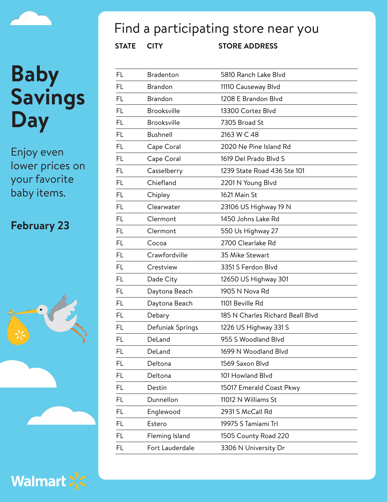Enjoy even lower prices on your favorite baby items.

#### **February 23**





## Find a participating store near you

| FL        | <b>Bradenton</b>   | 5810 Ranch Lake Blvd             |
|-----------|--------------------|----------------------------------|
| FL        | <b>Brandon</b>     | 11110 Causeway Blvd              |
| <b>FL</b> | <b>Brandon</b>     | 1208 E Brandon Blvd              |
| <b>FL</b> | <b>Brooksville</b> | 13300 Cortez Blvd                |
| <b>FL</b> | <b>Brooksville</b> | 7305 Broad St                    |
| <b>FL</b> | <b>Bushnell</b>    | 2163 W C 48                      |
| FL        | Cape Coral         | 2020 Ne Pine Island Rd           |
| <b>FL</b> | Cape Coral         | 1619 Del Prado Blvd S            |
| FL        | Casselberry        | 1239 State Road 436 Ste 101      |
| <b>FL</b> | Chiefland          | 2201 N Young Blvd                |
| <b>FL</b> | Chipley            | 1621 Main St                     |
| FL        | Clearwater         | 23106 US Highway 19 N            |
| <b>FL</b> | Clermont           | 1450 Johns Lake Rd               |
| FL        | Clermont           | 550 Us Highway 27                |
| FL        | Cocoa              | 2700 Clearlake Rd                |
| <b>FL</b> | Crawfordville      | 35 Mike Stewart                  |
| FL        | Crestview          | 3351 S Ferdon Blvd               |
| <b>FL</b> | Dade City          | 12650 US Highway 301             |
| FL        | Daytona Beach      | 1905 N Nova Rd                   |
| FL        | Daytona Beach      | 1101 Beville Rd                  |
| FL        | Debary             | 185 N Charles Richard Beall Blvd |
| FL        | Defuniak Springs   | 1226 US Highway 331 S            |
| FL        | DeLand             | 955 S Woodland Blvd              |
| FL        | DeLand             | 1699 N Woodland Blvd             |
| FL        | Deltona            | 1569 Saxon Blvd                  |
| FL        | Deltona            | 101 Howland Blvd                 |
| FL        | Destin             | 15017 Emerald Coast Pkwy         |
| FL        | Dunnellon          | 11012 N Williams St              |
| FL        | Englewood          | 2931 S McCall Rd                 |
| FL        | Estero             | 19975 S Tamiami Trl              |
| <b>FL</b> | Fleming Island     | 1505 County Road 220             |
| FL        | Fort Lauderdale    | 3306 N University Dr             |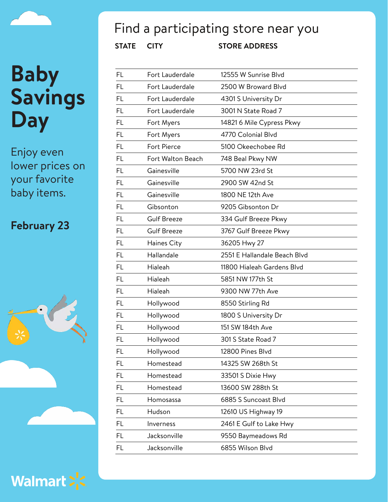Enjoy even lower prices on your favorite baby items.

#### **February 23**





## Find a participating store near you

| FL        | Fort Lauderdale    | 12555 W Sunrise Blvd         |
|-----------|--------------------|------------------------------|
| FL        | Fort Lauderdale    | 2500 W Broward Blvd          |
| <b>FL</b> | Fort Lauderdale    | 4301 S University Dr         |
| FL        | Fort Lauderdale    | 3001 N State Road 7          |
| <b>FL</b> | Fort Myers         | 14821 6 Mile Cypress Pkwy    |
| <b>FL</b> | Fort Myers         | 4770 Colonial Blvd           |
| <b>FL</b> | Fort Pierce        | 5100 Okeechobee Rd           |
| <b>FL</b> | Fort Walton Beach  | 748 Beal Pkwy NW             |
| FL        | Gainesville        | 5700 NW 23rd St              |
| <b>FL</b> | Gainesville        | 2900 SW 42nd St              |
| <b>FL</b> | Gainesville        | 1800 NE 12th Ave             |
| <b>FL</b> | Gibsonton          | 9205 Gibsonton Dr            |
| <b>FL</b> | <b>Gulf Breeze</b> | 334 Gulf Breeze Pkwy         |
| FL        | <b>Gulf Breeze</b> | 3767 Gulf Breeze Pkwy        |
| <b>FL</b> | Haines City        | 36205 Hwy 27                 |
| FL        | Hallandale         | 2551 E Hallandale Beach Blvd |
| <b>FL</b> | Hialeah            | 11800 Hialeah Gardens Blvd   |
| <b>FL</b> | Hialeah            | 5851 NW 177th St             |
| <b>FL</b> | Hialeah            | 9300 NW 77th Ave             |
| <b>FL</b> | Hollywood          | 8550 Stirling Rd             |
| FL        | Hollywood          | 1800 S University Dr         |
| FL        | Hollywood          | 151 SW 184th Ave             |
| FL        | Hollywood          | 301 S State Road 7           |
| FL        | Hollywood          | 12800 Pines Blvd             |
| FL        | Homestead          | 14325 SW 268th St            |
| FL        | Homestead          | 33501 S Dixie Hwy            |
| FL        | Homestead          | 13600 SW 288th St            |
| FL        | Homosassa          | 6885 S Suncoast Blvd         |
| FL        | Hudson             | 12610 US Highway 19          |
| FL        | Inverness          | 2461 E Gulf to Lake Hwy      |
| FL        | Jacksonville       | 9550 Baymeadows Rd           |
| FL        | Jacksonville       | 6855 Wilson Blvd             |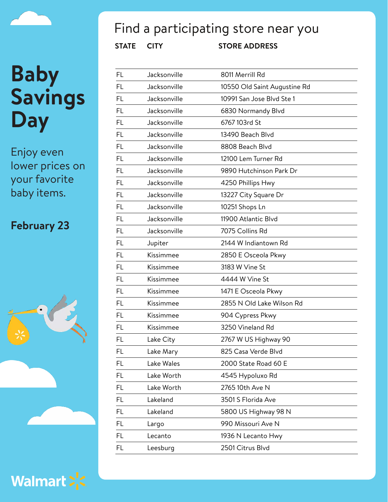Enjoy even lower prices on your favorite baby items.

#### **February 23**





## Find a participating store near you

| FL        | Jacksonville | 8011 Merrill Rd              |
|-----------|--------------|------------------------------|
| <b>FL</b> | Jacksonville | 10550 Old Saint Augustine Rd |
| <b>FL</b> | Jacksonville | 10991 San Jose Blvd Ste 1    |
| FL        | Jacksonville | 6830 Normandy Blvd           |
| <b>FL</b> | Jacksonville | 6767 103rd St                |
| <b>FL</b> | Jacksonville | 13490 Beach Blvd             |
| <b>FL</b> | Jacksonville | 8808 Beach Blvd              |
| <b>FL</b> | Jacksonville | 12100 Lem Turner Rd          |
| <b>FL</b> | Jacksonville | 9890 Hutchinson Park Dr      |
| <b>FL</b> | Jacksonville | 4250 Phillips Hwy            |
| FL        | Jacksonville | 13227 City Square Dr         |
| <b>FL</b> | Jacksonville | 10251 Shops Ln               |
| FL.       | Jacksonville | 11900 Atlantic Blyd          |
| <b>FL</b> | Jacksonville | 7075 Collins Rd              |
| <b>FL</b> | Jupiter      | 2144 W Indiantown Rd         |
| <b>FL</b> | Kissimmee    | 2850 E Osceola Pkwy          |
| <b>FL</b> | Kissimmee    | 3183 W Vine St               |
| <b>FL</b> | Kissimmee    | 4444 W Vine St               |
| <b>FL</b> | Kissimmee    | 1471 E Osceola Pkwy          |
| <b>FL</b> | Kissimmee    | 2855 N Old Lake Wilson Rd    |
| <b>FL</b> | Kissimmee    | 904 Cypress Pkwy             |
| <b>FL</b> | Kissimmee    | 3250 Vineland Rd             |
| FL        | Lake City    | 2767 W US Highway 90         |
| FL        | Lake Mary    | 825 Casa Verde Blvd          |
| FL        | Lake Wales   | 2000 State Road 60 E         |
| FL        | Lake Worth   | 4545 Hypoluxo Rd             |
| FL        | Lake Worth   | 2765 10th Ave N              |
| FL        | Lakeland     | 3501 S Florida Ave           |
| FL        | Lakeland     | 5800 US Highway 98 N         |
| FL        | Largo        | 990 Missouri Ave N           |
| FL        | Lecanto      | 1936 N Lecanto Hwy           |
| FL        | Leesburg     | 2501 Citrus Blvd             |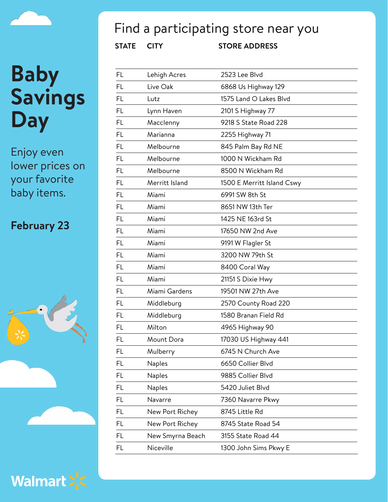Enjoy even lower prices on your favorite baby items.

#### **February 23**





## Find a participating store near you

| FL        | Lehigh Acres     | 2523 Lee Blvd              |
|-----------|------------------|----------------------------|
| FL        | Live Oak         | 6868 Us Highway 129        |
| <b>FL</b> | Lutz             | 1575 Land O Lakes Blvd     |
| FL        | Lynn Haven       | 2101 S Highway 77          |
| FL        | Macclenny        | 9218 S State Road 228      |
| <b>FL</b> | Marianna         | 2255 Highway 71            |
| FL        | Melbourne        | 845 Palm Bay Rd NE         |
| FL        | Melbourne        | 1000 N Wickham Rd          |
| <b>FL</b> | Melbourne        | 8500 N Wickham Rd          |
| FL.       | Merritt Island   | 1500 E Merritt Island Cswy |
| <b>FL</b> | Miami            | 6991 SW 8th St             |
| FL        | Miami            | 8651 NW 13th Ter           |
| FL        | Miami            | 1425 NE 163rd St           |
| FL        | Miami            | 17650 NW 2nd Ave           |
| FL        | Miami            | 9191 W Flagler St          |
| FL.       | Miami            | 3200 NW 79th St            |
| FL        | Miami            | 8400 Coral Way             |
| <b>FL</b> | Miami            | 21151 S Dixie Hwy          |
| <b>FL</b> | Miami Gardens    | 19501 NW 27th Ave          |
| FL        | Middleburg       | 2570 County Road 220       |
| <b>FL</b> | Middleburg       | 1580 Branan Field Rd       |
| FL        | Milton           | 4965 Highway 90            |
| FL        | Mount Dora       | 17030 US Highway 441       |
| <b>FL</b> | Mulberry         | 6745 N Church Ave          |
| FL        | Naples           | 6650 Collier Blvd          |
| FL        | Naples           | 9885 Collier Blvd          |
| FL        | <b>Naples</b>    | 5420 Juliet Blvd           |
| FL        | Navarre          | 7360 Navarre Pkwy          |
| FL        | New Port Richey  | 8745 Little Rd             |
| FL        | New Port Richey  | 8745 State Road 54         |
| FL        | New Smyrna Beach | 3155 State Road 44         |
| FL        | Niceville        | 1300 John Sims Pkwy E      |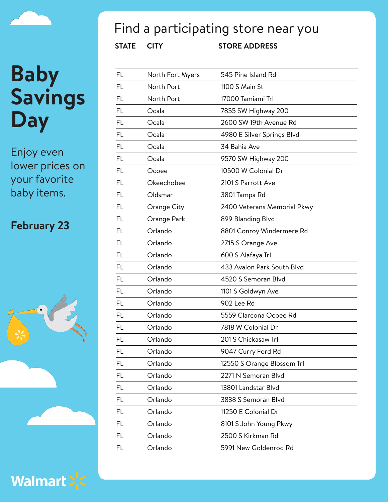Enjoy even lower prices on your favorite baby items.

#### **February 23**





## Find a participating store near you

| FL        | North Fort Myers | 545 Pine Island Rd          |
|-----------|------------------|-----------------------------|
| FL        | North Port       | 1100 S Main St              |
| <b>FL</b> | North Port       | 17000 Tamiami Trl           |
| FL        | Ocala            | 7855 SW Highway 200         |
| <b>FL</b> | Ocala            | 2600 SW 19th Avenue Rd      |
| <b>FL</b> | Ocala            | 4980 E Silver Springs Blvd  |
| <b>FL</b> | Ocala            | 34 Bahia Ave                |
| <b>FL</b> | Ocala            | 9570 SW Highway 200         |
| FL        | Ocoee            | 10500 W Colonial Dr         |
| <b>FL</b> | Okeechobee       | 2101 S Parrott Ave          |
| <b>FL</b> | Oldsmar          | 3801 Tampa Rd               |
| <b>FL</b> | Orange City      | 2400 Veterans Memorial Pkwy |
| <b>FL</b> | Orange Park      | 899 Blanding Blvd           |
| FL        | Orlando          | 8801 Conroy Windermere Rd   |
| <b>FL</b> | Orlando          | 2715 S Orange Ave           |
| <b>FL</b> | Orlando          | 600 S Alafaya Trl           |
| <b>FL</b> | Orlando          | 433 Avalon Park South Blvd  |
| <b>FL</b> | Orlando          | 4520 S Semoran Blvd         |
| <b>FL</b> | Orlando          | 1101 S Goldwyn Ave          |
| <b>FL</b> | Orlando          | 902 Lee Rd                  |
| FL        | Orlando          | 5559 Clarcona Ocoee Rd      |
| FL        | Orlando          | 7818 W Colonial Dr          |
| FL        | Orlando          | 201 S Chickasaw Trl         |
| FL        | Orlando          | 9047 Curry Ford Rd          |
| FL        | Orlando          | 12550 S Orange Blossom Trl  |
| FL        | Orlando          | 2271 N Semoran Blvd         |
| FL        | Orlando          | 13801 Landstar Blvd         |
| FL        | Orlando          | 3838 S Semoran Blvd         |
| FL        | Orlando          | 11250 E Colonial Dr         |
| FL        | Orlando          | 8101 S John Young Pkwy      |
| <b>FL</b> | Orlando          | 2500 S Kirkman Rd           |
| FL        | Orlando          | 5991 New Goldenrod Rd       |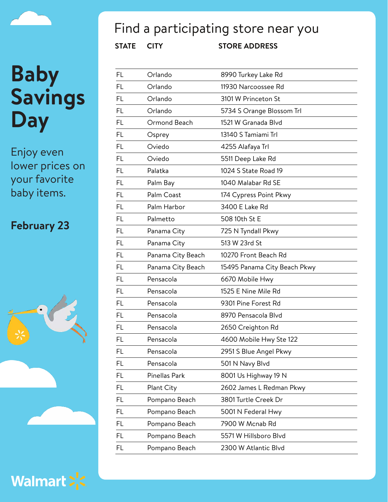Enjoy even lower prices on your favorite baby items.

#### **February 23**





## Find a participating store near you

| FL        | Orlando           | 8990 Turkey Lake Rd          |
|-----------|-------------------|------------------------------|
| FL        | Orlando           | 11930 Narcoossee Rd          |
| <b>FL</b> | Orlando           | 3101 W Princeton St          |
| FL        | Orlando           | 5734 S Orange Blossom Trl    |
| FL.       | Ormond Beach      | 1521 W Granada Blvd          |
| <b>FL</b> | Osprey            | 13140 S Tamiami Trl          |
| FL        | Oviedo            | 4255 Alafaya Trl             |
| <b>FL</b> | Oviedo            | 5511 Deep Lake Rd            |
| <b>FL</b> | Palatka           | 1024 S State Road 19         |
| FL        | Palm Bay          | 1040 Malabar Rd SE           |
| FL.       | Palm Coast        | 174 Cypress Point Pkwy       |
| FL        | Palm Harbor       | 3400 E Lake Rd               |
| <b>FL</b> | Palmetto          | 508 10th St E                |
| <b>FL</b> | Panama City       | 725 N Tyndall Pkwy           |
| <b>FL</b> | Panama City       | 513 W 23rd St                |
| <b>FL</b> | Panama City Beach | 10270 Front Beach Rd         |
| FL.       | Panama City Beach | 15495 Panama City Beach Pkwy |
| <b>FL</b> | Pensacola         | 6670 Mobile Hwy              |
| FL        | Pensacola         | 1525 E Nine Mile Rd          |
| <b>FL</b> | Pensacola         | 9301 Pine Forest Rd          |
| <b>FL</b> | Pensacola         | 8970 Pensacola Blyd          |
| FL        | Pensacola         | 2650 Creighton Rd            |
| <b>FL</b> | Pensacola         | 4600 Mobile Hwy Ste 122      |
| FL        | Pensacola         | 2951 S Blue Angel Pkwy       |
| FL        | Pensacola         | 501 N Navy Blvd              |
| FL.       | Pinellas Park     | 8001 Us Highway 19 N         |
| FL        | Plant City        | 2602 James L Redman Pkwy     |
| FL        | Pompano Beach     | 3801 Turtle Creek Dr         |
| FL        | Pompano Beach     | 5001 N Federal Hwy           |
| FL        | Pompano Beach     | 7900 W Mcnab Rd              |
| FL        | Pompano Beach     | 5571 W Hillsboro Blvd        |
| FL        | Pompano Beach     | 2300 W Atlantic Blvd         |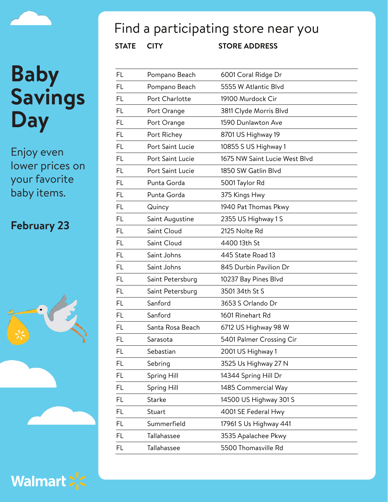Enjoy even lower prices on your favorite baby items.

#### **February 23**





## Find a participating store near you

| FL        | Pompano Beach    | 6001 Coral Ridge Dr           |
|-----------|------------------|-------------------------------|
| FL        | Pompano Beach    | 5555 W Atlantic Blvd          |
| <b>FL</b> | Port Charlotte   | 19100 Murdock Cir             |
| FL        | Port Orange      | 3811 Clyde Morris Blvd        |
| <b>FL</b> | Port Orange      | 1590 Dunlawton Ave            |
| <b>FL</b> | Port Richey      | 8701 US Highway 19            |
| <b>FL</b> | Port Saint Lucie | 10855 S US Highway 1          |
| <b>FL</b> | Port Saint Lucie | 1675 NW Saint Lucie West Blyd |
| FL        | Port Saint Lucie | 1850 SW Gatlin Blvd           |
| FL        | Punta Gorda      | 5001 Taylor Rd                |
| <b>FL</b> | Punta Gorda      | 375 Kings Hwy                 |
| <b>FL</b> | Quincy           | 1940 Pat Thomas Pkwy          |
| <b>FL</b> | Saint Augustine  | 2355 US Highway 1 S           |
| FL        | Saint Cloud      | 2125 Nolte Rd                 |
| <b>FL</b> | Saint Cloud      | 4400 13th St                  |
| FL        | Saint Johns      | 445 State Road 13             |
| FL        | Saint Johns      | 845 Durbin Pavilion Dr        |
| <b>FL</b> | Saint Petersburg | 10237 Bay Pines Blvd          |
| FL        | Saint Petersburg | 3501 34th St S                |
| <b>FL</b> | Sanford          | 3653 S Orlando Dr             |
| FL        | Sanford          | 1601 Rinehart Rd              |
| FL        | Santa Rosa Beach | 6712 US Highway 98 W          |
| FL        | Sarasota         | 5401 Palmer Crossing Cir      |
| FL        | Sebastian        | 2001 US Highway 1             |
| FL        | Sebring          | 3525 Us Highway 27 N          |
| FL.       | Spring Hill      | 14344 Spring Hill Dr          |
| FL        | Spring Hill      | 1485 Commercial Way           |
| FL        | Starke           | 14500 US Highway 301 S        |
| FL        | Stuart           | 4001 SE Federal Hwy           |
| FL        | Summerfield      | 17961 S Us Highway 441        |
| FL.       | Tallahassee      | 3535 Apalachee Pkwy           |
| FL        | Tallahassee      | 5500 Thomasville Rd           |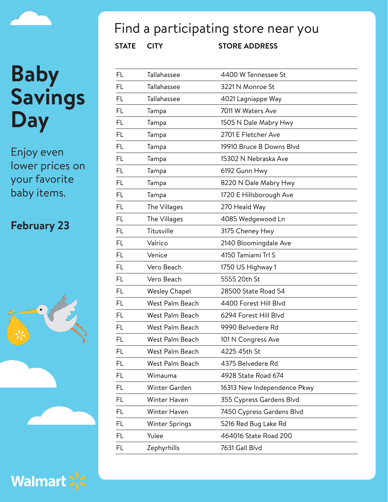Enjoy even lower prices on your favorite baby items.

#### **February 23**





## Find a participating store near you

| FL        | Tallahassee          | 4400 W Tennessee St         |
|-----------|----------------------|-----------------------------|
| FL        | Tallahassee          | 3221 N Monroe St            |
| <b>FL</b> | Tallahassee          | 4021 Lagniappe Way          |
| <b>FL</b> | Tampa                | 7011 W Waters Ave           |
| FL.       | Tampa                | 1505 N Dale Mabry Hwy       |
| <b>FL</b> | Tampa                | 2701 E Fletcher Ave         |
| FL        | Tampa                | 19910 Bruce B Downs Blvd    |
| FL.       | Tampa                | 15302 N Nebraska Ave        |
| <b>FL</b> | Tampa                | 6192 Gunn Hwy               |
| <b>FL</b> | Tampa                | 8220 N Dale Mabry Hwy       |
| <b>FL</b> | Tampa                | 1720 E Hillsborough Ave     |
| FL        | The Villages         | 270 Heald Way               |
| <b>FL</b> | The Villages         | 4085 Wedgewood Ln           |
| FL        | Titusville           | 3175 Cheney Hwy             |
| FL        | Valrico              | 2140 Bloomingdale Ave       |
| <b>FL</b> | Venice               | 4150 Tamiami Trl S          |
| FL        | Vero Beach           | 1750 US Highway 1           |
| <b>FL</b> | Vero Beach           | 5555 20th St                |
| <b>FL</b> | <b>Wesley Chapel</b> | 28500 State Road 54         |
| FL.       | West Palm Beach      | 4400 Forest Hill Blvd       |
| <b>FL</b> | West Palm Beach      | 6294 Forest Hill Blvd       |
| <b>FL</b> | West Palm Beach      | 9990 Belvedere Rd           |
| <b>FL</b> | West Palm Beach      | 101 N Congress Ave          |
| FL        | West Palm Beach      | 4225 45th St                |
| FL        | West Palm Beach      | 4375 Belvedere Rd           |
| FL        | Wimauma              | 4928 State Road 674         |
| FL        | Winter Garden        | 16313 New Independence Pkwy |
| FL        | Winter Haven         | 355 Cypress Gardens Blvd    |
| FL        | Winter Haven         | 7450 Cypress Gardens Blvd   |
| FL        | Winter Springs       | 5216 Red Bug Lake Rd        |
| FL        | Yulee                | 464016 State Road 200       |
| FL        | Zephyrhills          | 7631 Gall Blvd              |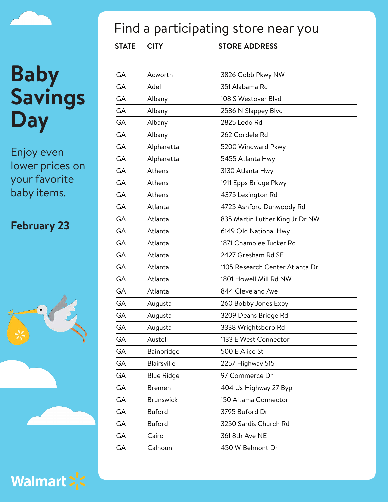Enjoy even lower prices on your favorite baby items.

#### **February 23**



Walmart > <

## Find a participating store near you

| GА        | Acworth           | 3826 Cobb Pkwy NW               |
|-----------|-------------------|---------------------------------|
| GA        | Adel              | 351 Alabama Rd                  |
| <b>GA</b> | Albany            | 108 S Westover Blvd             |
| GA        | Albany            | 2586 N Slappey Blvd             |
| GА        | Albany            | 2825 Ledo Rd                    |
| GA        | Albany            | 262 Cordele Rd                  |
| GА        | Alpharetta        | 5200 Windward Pkwy              |
| <b>GA</b> | Alpharetta        | 5455 Atlanta Hwy                |
| <b>GA</b> | Athens            | 3130 Atlanta Hwy                |
| GА        | Athens            | 1911 Epps Bridge Pkwy           |
| <b>GA</b> | Athens            | 4375 Lexington Rd               |
| <b>GA</b> | Atlanta           | 4725 Ashford Dunwoody Rd        |
| <b>GA</b> | Atlanta           | 835 Martin Luther King Jr Dr NW |
| GA        | Atlanta           | 6149 Old National Hwy           |
| <b>GA</b> | Atlanta           | 1871 Chamblee Tucker Rd         |
| GA        | Atlanta           | 2427 Gresham Rd SE              |
| GА        | Atlanta           | 1105 Research Center Atlanta Dr |
| GA        | Atlanta           | 1801 Howell Mill Rd NW          |
| GA        | Atlanta           | 844 Cleveland Ave               |
| GA        | Augusta           | 260 Bobby Jones Expy            |
| GA        | Augusta           | 3209 Deans Bridge Rd            |
| GА        | Augusta           | 3338 Wrightsboro Rd             |
| GA        | Austell           | 1133 E West Connector           |
| GА        | Bainbridge        | 500 E Alice St                  |
| GA        | Blairsville       | 2257 Highway 515                |
| GA        | <b>Blue Ridge</b> | 97 Commerce Dr                  |
| GA        | <b>Bremen</b>     | 404 Us Highway 27 Byp           |
| GA        | <b>Brunswick</b>  | 150 Altama Connector            |
| GA        | <b>Buford</b>     | 3795 Buford Dr                  |
| GA        | <b>Buford</b>     | 3250 Sardis Church Rd           |
| GA        | Cairo             | 361 8th Ave NE                  |
| GA        | Calhoun           | 450 W Belmont Dr                |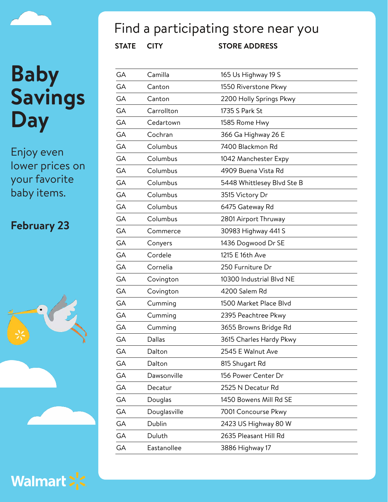Enjoy even lower prices on your favorite baby items.

#### **February 23**





## Find a participating store near you

| GА | Camilla      | 165 Us Highway 19 S        |
|----|--------------|----------------------------|
| GА | Canton       | 1550 Riverstone Pkwy       |
| GA | Canton       | 2200 Holly Springs Pkwy    |
| GA | Carrollton   | 1735 S Park St             |
| GА | Cedartown    | 1585 Rome Hwy              |
| GA | Cochran      | 366 Ga Highway 26 E        |
| GА | Columbus     | 7400 Blackmon Rd           |
| GA | Columbus     | 1042 Manchester Expy       |
| GA | Columbus     | 4909 Buena Vista Rd        |
| GА | Columbus     | 5448 Whittlesey Blvd Ste B |
| GA | Columbus     | 3515 Victory Dr            |
| GA | Columbus     | 6475 Gateway Rd            |
| GA | Columbus     | 2801 Airport Thruway       |
| GА | Commerce     | 30983 Highway 441 S        |
| GA | Conyers      | 1436 Dogwood Dr SE         |
| GA | Cordele      | 1215 E 16th Ave            |
| GА | Cornelia     | 250 Furniture Dr           |
| GA | Covington    | 10300 Industrial Blvd NE   |
| GА | Covington    | 4200 Salem Rd              |
| GA | Cumming      | 1500 Market Place Blvd     |
| GA | Cumming      | 2395 Peachtree Pkwy        |
| GА | Cumming      | 3655 Browns Bridge Rd      |
| GA | Dallas       | 3615 Charles Hardy Pkwy    |
| GА | Dalton       | 2545 E Walnut Ave          |
| GА | Dalton       | 815 Shugart Rd             |
| GА | Dawsonville  | 156 Power Center Dr        |
| GА | Decatur      | 2525 N Decatur Rd          |
| GА | Douglas      | 1450 Bowens Mill Rd SE     |
| GА | Douglasville | 7001 Concourse Pkwy        |
| GA | Dublin       | 2423 US Highway 80 W       |
| GА | Duluth       | 2635 Pleasant Hill Rd      |
| GА | Eastanollee  | 3886 Highway 17            |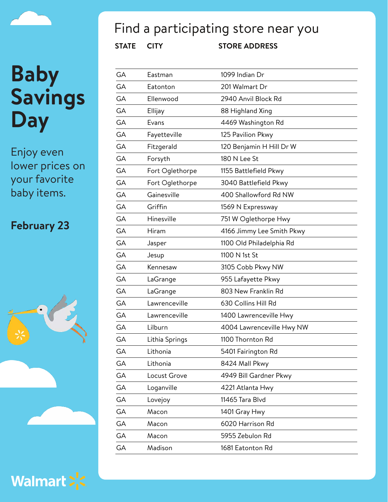Enjoy even lower prices on your favorite baby items.

#### **February 23**





## Find a participating store near you

| GА | Eastman         | 1099 Indian Dr            |
|----|-----------------|---------------------------|
| GА | Eatonton        | 201 Walmart Dr            |
| GA | Ellenwood       | 2940 Anvil Block Rd       |
| GA | Ellijay         | 88 Highland Xing          |
| GA | Evans           | 4469 Washington Rd        |
| GA | Fayetteville    | 125 Pavilion Pkwy         |
| GА | Fitzgerald      | 120 Benjamin H Hill Dr W  |
| GA | Forsyth         | 180 N Lee St              |
| GA | Fort Oglethorpe | 1155 Battlefield Pkwy     |
| GA | Fort Oglethorpe | 3040 Battlefield Pkwy     |
| GA | Gainesville     | 400 Shallowford Rd NW     |
| GA | Griffin         | 1569 N Expressway         |
| GA | Hinesville      | 751 W Oglethorpe Hwy      |
| GA | Hiram           | 4166 Jimmy Lee Smith Pkwy |
| GA | Jasper          | 1100 Old Philadelphia Rd  |
| GA | Jesup           | 1100 N 1st St             |
| GA | Kennesaw        | 3105 Cobb Pkwy NW         |
| GA | LaGrange        | 955 Lafayette Pkwy        |
| GA | LaGrange        | 803 New Franklin Rd       |
| GA | Lawrenceville   | 630 Collins Hill Rd       |
| GA | Lawrenceville   | 1400 Lawrenceville Hwy    |
| GA | Lilburn         | 4004 Lawrenceville Hwy NW |
| GA | Lithia Springs  | 1100 Thornton Rd          |
| GА | Lithonia        | 5401 Fairington Rd        |
| GA | Lithonia        | 8424 Mall Pkwy            |
| GA | Locust Grove    | 4949 Bill Gardner Pkwy    |
| GA | Loganville      | 4221 Atlanta Hwy          |
| GA | Lovejoy         | 11465 Tara Blvd           |
| GA | Macon           | 1401 Gray Hwy             |
| GA | Macon           | 6020 Harrison Rd          |
| GA | Macon           | 5955 Zebulon Rd           |
| GA | Madison         | 1681 Eatonton Rd          |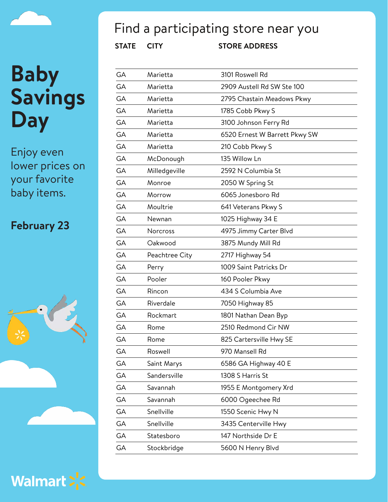Enjoy even lower prices on your favorite baby items.

#### **February 23**





## Find a participating store near you

| GA        | Marietta        | 3101 Roswell Rd               |
|-----------|-----------------|-------------------------------|
| <b>GA</b> | Marietta        | 2909 Austell Rd SW Ste 100    |
| GА        | Marietta        | 2795 Chastain Meadows Pkwy    |
| <b>GA</b> | Marietta        | 1785 Cobb Pkwy S              |
| <b>GA</b> | Marietta        | 3100 Johnson Ferry Rd         |
| <b>GA</b> | Marietta        | 6520 Ernest W Barrett Pkwy SW |
| GA        | Marietta        | 210 Cobb Pkwy S               |
| <b>GA</b> | McDonough       | 135 Willow Ln                 |
| <b>GA</b> | Milledgeville   | 2592 N Columbia St            |
| GA        | Monroe          | 2050 W Spring St              |
| <b>GA</b> | Morrow          | 6065 Jonesboro Rd             |
| <b>GA</b> | Moultrie        | 641 Veterans Pkwy S           |
| GA        | Newnan          | 1025 Highway 34 E             |
| GA        | <b>Norcross</b> | 4975 Jimmy Carter Blvd        |
| GА        | Oakwood         | 3875 Mundy Mill Rd            |
| GA        | Peachtree City  | 2717 Highway 54               |
| <b>GA</b> | Perry           | 1009 Saint Patricks Dr        |
| <b>GA</b> | Pooler          | 160 Pooler Pkwy               |
| GA        | Rincon          | 434 S Columbia Ave            |
| GA        | Riverdale       | 7050 Highway 85               |
| GA        | Rockmart        | 1801 Nathan Dean Byp          |
| GA        | Rome            | 2510 Redmond Cir NW           |
| GA        | Rome            | 825 Cartersville Hwy SE       |
| GA        | Roswell         | 970 Mansell Rd                |
| GA        | Saint Marys     | 6586 GA Highway 40 E          |
| GA        | Sandersville    | 1308 S Harris St              |
| GA        | Savannah        | 1955 E Montgomery Xrd         |
| GA        | Savannah        | 6000 Ogeechee Rd              |
| GA        | Snellville      | 1550 Scenic Hwy N             |
| GA        | Snellville      | 3435 Centerville Hwy          |
| GA        | Statesboro      | 147 Northside Dr E            |
| GA        | Stockbridge     | 5600 N Henry Blvd             |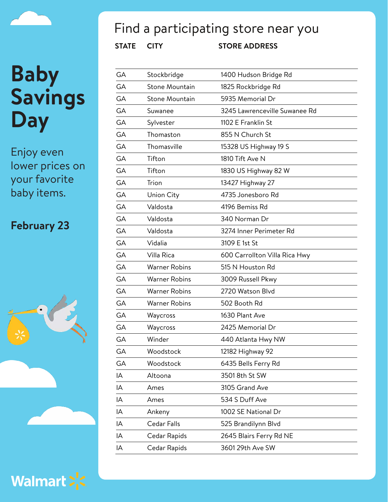Enjoy even lower prices on your favorite baby items.

#### **February 23**





## Find a participating store near you

| GA        | Stockbridge          | 1400 Hudson Bridge Rd         |
|-----------|----------------------|-------------------------------|
| GА        | Stone Mountain       | 1825 Rockbridge Rd            |
| GA        | Stone Mountain       | 5935 Memorial Dr              |
| GA        | Suwanee              | 3245 Lawrenceville Suwanee Rd |
| <b>GA</b> | Sylvester            | 1102 E Franklin St            |
| GA        | Thomaston            | 855 N Church St               |
| GA        | Thomasville          | 15328 US Highway 19 S         |
| GA        | Tifton               | 1810 Tift Ave N               |
| GA        | Tifton               | 1830 US Highway 82 W          |
| GA        | Trion                | 13427 Highway 27              |
| GA        | Union City           | 4735 Jonesboro Rd             |
| GA        | Valdosta             | 4196 Bemiss Rd                |
| GA        | Valdosta             | 340 Norman Dr                 |
| GA        | Valdosta             | 3274 Inner Perimeter Rd       |
| GA        | Vidalia              | 3109 E 1st St                 |
| GA        | Villa Rica           | 600 Carrollton Villa Rica Hwy |
| GA        | <b>Warner Robins</b> | 515 N Houston Rd              |
| GA        | <b>Warner Robins</b> | 3009 Russell Pkwy             |
| GA        | <b>Warner Robins</b> | 2720 Watson Blvd              |
| GA        | <b>Warner Robins</b> | 502 Booth Rd                  |
| GA        | Waycross             | 1630 Plant Ave                |
| GA        | Waycross             | 2425 Memorial Dr              |
| GA        | Winder               | 440 Atlanta Hwy NW            |
| GА        | Woodstock            | 12182 Highway 92              |
| GA        | Woodstock            | 6435 Bells Ferry Rd           |
| IA        | Altoona              | 3501 8th St SW                |
| IA        | Ames                 | 3105 Grand Ave                |
| IA        | Ames                 | 534 S Duff Ave                |
| IA        | Ankeny               | 1002 SE National Dr           |
| IA        | <b>Cedar Falls</b>   | 525 Brandilynn Blvd           |
| IA        | Cedar Rapids         | 2645 Blairs Ferry Rd NE       |
| ΙA        | Cedar Rapids         | 3601 29th Ave SW              |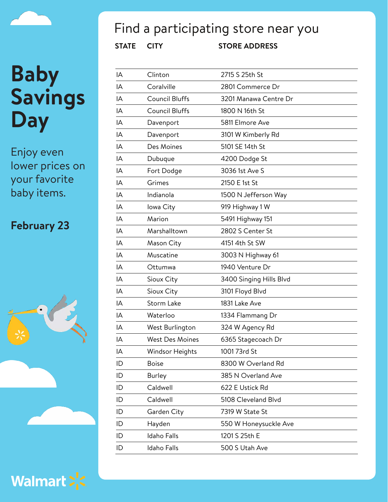Enjoy even lower prices on your favorite baby items.

#### **February 23**





## Find a participating store near you

| IA | Clinton                | 2715 S 25th St          |
|----|------------------------|-------------------------|
| IA | Coralville             | 2801 Commerce Dr        |
| IA | <b>Council Bluffs</b>  | 3201 Manawa Centre Dr   |
| IA | <b>Council Bluffs</b>  | 1800 N 16th St          |
| IA | Davenport              | 5811 Elmore Ave         |
| IA | Davenport              | 3101 W Kimberly Rd      |
| IA | Des Moines             | 5101 SE 14th St         |
| IA | Dubuque                | 4200 Dodge St           |
| IA | Fort Dodge             | 3036 1st Ave S          |
| IA | Grimes                 | 2150 E 1st St           |
| IA | Indianola              | 1500 N Jefferson Way    |
| IA | lowa City              | 919 Highway 1 W         |
| IA | Marion                 | 5491 Highway 151        |
| IA | Marshalltown           | 2802 S Center St        |
| IA | Mason City             | 4151 4th St SW          |
| IA | Muscatine              | 3003 N Highway 61       |
| IA | Ottumwa                | 1940 Venture Dr         |
| IA | Sioux City             | 3400 Singing Hills Blvd |
| IA | Sioux City             | 3101 Floyd Blvd         |
| IA | Storm Lake             | 1831 Lake Ave           |
| IA | Waterloo               | 1334 Flammang Dr        |
| IA | West Burlington        | 324 W Agency Rd         |
| IA | <b>West Des Moines</b> | 6365 Stagecoach Dr      |
| ΙA | Windsor Heights        | 1001 73rd St            |
| ID | <b>Boise</b>           | 8300 W Overland Rd      |
| ID | Burley                 | 385 N Overland Ave      |
| ID | Caldwell               | 622 E Ustick Rd         |
| ID | Caldwell               | 5108 Cleveland Blvd     |
| ID | Garden City            | 7319 W State St         |
| ID | Hayden                 | 550 W Honeysuckle Ave   |
| ID | <b>Idaho Falls</b>     | 1201 S 25th E           |
| ID | <b>Idaho Falls</b>     | 500 S Utah Ave          |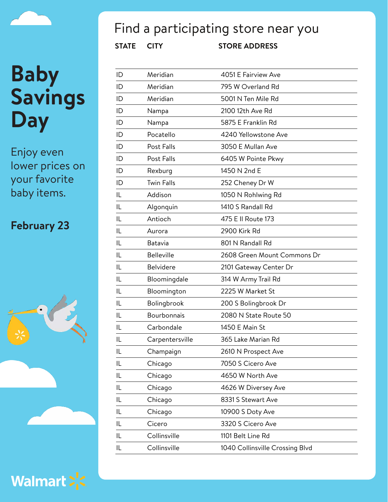

Enjoy even lower prices on your favorite baby items.

#### **February 23**





## Find a participating store near you

| ID | Meridian          | 4051 E Fairview Ave             |
|----|-------------------|---------------------------------|
| ID | Meridian          | 795 W Overland Rd               |
| ID | Meridian          | 5001 N Ten Mile Rd              |
| ID | Nampa             | 2100 12th Ave Rd                |
| ID | Nampa             | 5875 E Franklin Rd              |
| ID | Pocatello         | 4240 Yellowstone Ave            |
| ID | Post Falls        | 3050 E Mullan Ave               |
| ID | Post Falls        | 6405 W Pointe Pkwy              |
| ID | Rexburg           | 1450 N 2nd E                    |
| ID | <b>Twin Falls</b> | 252 Cheney Dr W                 |
| IL | Addison           | 1050 N Rohlwing Rd              |
| IL | Algonquin         | 1410 S Randall Rd               |
| IL | Antioch           | 475 E II Route 173              |
| IL | Aurora            | 2900 Kirk Rd                    |
| IL | Batavia           | 801 N Randall Rd                |
| IL | <b>Belleville</b> | 2608 Green Mount Commons Dr     |
| IL | <b>Belvidere</b>  | 2101 Gateway Center Dr          |
| IL | Bloomingdale      | 314 W Army Trail Rd             |
| IL | Bloomington       | 2225 W Market St                |
| IL | Bolingbrook       | 200 S Bolingbrook Dr            |
| IL | Bourbonnais       | 2080 N State Route 50           |
| IL | Carbondale        | 1450 E Main St                  |
| IL | Carpentersville   | 365 Lake Marian Rd              |
| IL | Champaign         | 2610 N Prospect Ave             |
| IL | Chicago           | 7050 S Cicero Ave               |
| IL | Chicago           | 4650 W North Ave                |
| IL | Chicago           | 4626 W Diversey Ave             |
| IL | Chicago           | 8331 S Stewart Ave              |
| IL | Chicago           | 10900 S Doty Ave                |
| IL | Cicero            | 3320 S Cicero Ave               |
| IL | Collinsville      | 1101 Belt Line Rd               |
| IL | Collinsville      | 1040 Collinsville Crossing Blvd |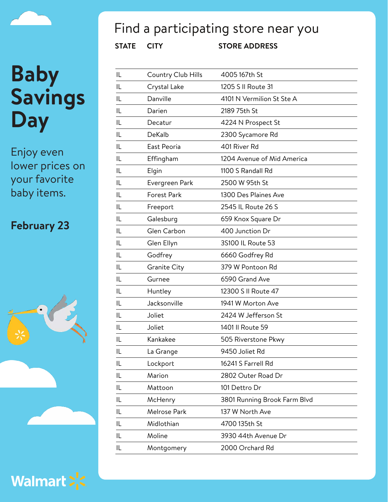Enjoy even lower prices on your favorite baby items.

#### **February 23**





## Find a participating store near you

| IL | Country Club Hills  | 4005 167th St                |
|----|---------------------|------------------------------|
| IL | Crystal Lake        | 1205 S II Route 31           |
| IL | Danville            | 4101 N Vermilion St Ste A    |
| IL | Darien              | 2189 75th St                 |
| IL | Decatur             | 4224 N Prospect St           |
| IL | DeKalb              | 2300 Sycamore Rd             |
| IL | East Peoria         | 401 River Rd                 |
| IL | Effingham           | 1204 Avenue of Mid America   |
| IL | Elgin               | 1100 S Randall Rd            |
| IL | Evergreen Park      | 2500 W 95th St               |
| IL | Forest Park         | 1300 Des Plaines Ave         |
| IL | Freeport            | 2545 IL Route 26 S           |
| IL | Galesburg           | 659 Knox Square Dr           |
| IL | Glen Carbon         | 400 Junction Dr              |
| IL | Glen Ellyn          | 3S100 IL Route 53            |
| IL | Godfrey             | 6660 Godfrey Rd              |
| IL | <b>Granite City</b> | 379 W Pontoon Rd             |
| IL | Gurnee              | 6590 Grand Ave               |
| IL | Huntley             | 12300 S II Route 47          |
| IL | Jacksonville        | 1941 W Morton Ave            |
| IL | Joliet              | 2424 W Jefferson St          |
| IL | Joliet              | 1401 II Route 59             |
| IL | Kankakee            | 505 Riverstone Pkwy          |
| IL | La Grange           | 9450 Joliet Rd               |
| IL | Lockport            | 16241 S Farrell Rd           |
| IL | Marion              | 2802 Outer Road Dr           |
| IL | Mattoon             | 101 Dettro Dr                |
| IL | McHenry             | 3801 Running Brook Farm Blvd |
| IL | Melrose Park        | 137 W North Ave              |
| IL | Midlothian          | 4700 135th St                |
| IL | Moline              | 3930 44th Avenue Dr          |
| IL | Montgomery          | 2000 Orchard Rd              |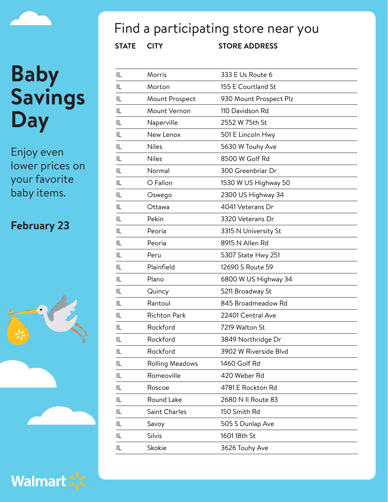Enjoy even lower prices on your favorite baby items.

#### **February 23**





## Find a participating store near you

| IL | Morris                 | 333 E Us Route 6       |
|----|------------------------|------------------------|
| IL | Morton                 | 155 E Courtland St     |
| IL | Mount Prospect         | 930 Mount Prospect Plz |
| IL | Mount Vernon           | 110 Davidson Rd        |
| IL | Naperville             | 2552 W 75th St         |
| IL | New Lenox              | 501 E Lincoln Hwy      |
| IL | <b>Niles</b>           | 5630 W Touhy Ave       |
| IL | <b>Niles</b>           | 8500 W Golf Rd         |
| IL | Normal                 | 300 Greenbriar Dr      |
| IL | O Fallon               | 1530 W US Highway 50   |
| IL | Oswego                 | 2300 US Highway 34     |
| IL | Ottawa                 | 4041 Veterans Dr       |
| IL | Pekin                  | 3320 Veterans Dr       |
| IL | Peoria                 | 3315 N University St   |
| IL | Peoria                 | 8915 N Allen Rd        |
| IL | Peru                   | 5307 State Hwy 251     |
| IL | Plainfield             | 12690 S Route 59       |
| IL | Plano                  | 6800 W US Highway 34   |
| IL | Quincy                 | 5211 Broadway St       |
| IL | Rantoul                | 845 Broadmeadow Rd     |
| IL | <b>Richton Park</b>    | 22401 Central Ave      |
| IL | Rockford               | 7219 Walton St         |
| IL | Rockford               | 3849 Northridge Dr     |
| IL | Rockford               | 3902 W Riverside Blvd  |
| IL | <b>Rolling Meadows</b> | 1460 Golf Rd           |
| IL | Romeoville             | 420 Weber Rd           |
| IL | Roscoe                 | 4781 E Rockton Rd      |
| IL | Round Lake             | 2680 N II Route 83     |
| IL | Saint Charles          | 150 Smith Rd           |
| IL | Savoy                  | 505 S Dunlap Ave       |
| IL | Silvis                 | 1601 18th St           |
| IL | Skokie                 | 3626 Touhy Ave         |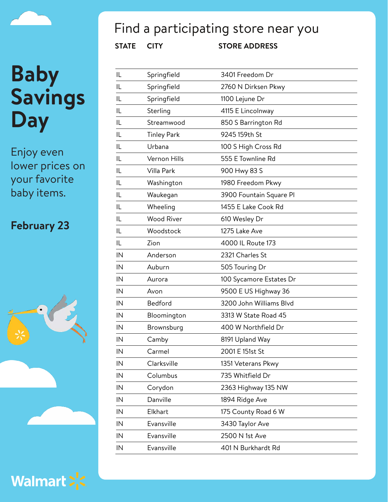Enjoy even lower prices on your favorite baby items.

### **February 23**





## Find a participating store near you

| IL | Springfield        | 3401 Freedom Dr         |
|----|--------------------|-------------------------|
| IL | Springfield        | 2760 N Dirksen Pkwy     |
| IL | Springfield        | 1100 Lejune Dr          |
| IL | Sterling           | 4115 E Lincolnway       |
| IL | Streamwood         | 850 S Barrington Rd     |
| IL | <b>Tinley Park</b> | 9245 159th St           |
| IL | Urbana             | 100 S High Cross Rd     |
| IL | Vernon Hills       | 555 E Townline Rd       |
| IL | Villa Park         | 900 Hwy 83 S            |
| IL | Washington         | 1980 Freedom Pkwy       |
| IL | Waukegan           | 3900 Fountain Square Pl |
| IL | Wheeling           | 1455 E Lake Cook Rd     |
| IL | <b>Wood River</b>  | 610 Wesley Dr           |
| IL | Woodstock          | 1275 Lake Ave           |
| IL | Zion               | 4000 IL Route 173       |
| IN | Anderson           | 2321 Charles St         |
| IN | Auburn             | 505 Touring Dr          |
| IN | Aurora             | 100 Sycamore Estates Dr |
| IN | Avon               | 9500 E US Highway 36    |
| IN | Bedford            | 3200 John Williams Blvd |
| IN | Bloomington        | 3313 W State Road 45    |
| IN | Brownsburg         | 400 W Northfield Dr     |
| IN | Camby              | 8191 Upland Way         |
| IN | Carmel             | 2001 E 151st St         |
| IN | Clarksville        | 1351 Veterans Pkwy      |
| IN | Columbus           | 735 Whitfield Dr        |
| IN | Corydon            | 2363 Highway 135 NW     |
| IN | Danville           | 1894 Ridge Ave          |
| IN | Elkhart            | 175 County Road 6 W     |
| IN | Evansville         | 3430 Taylor Ave         |
| IN | Evansville         | 2500 N 1st Ave          |
| IN | Evansville         | 401 N Burkhardt Rd      |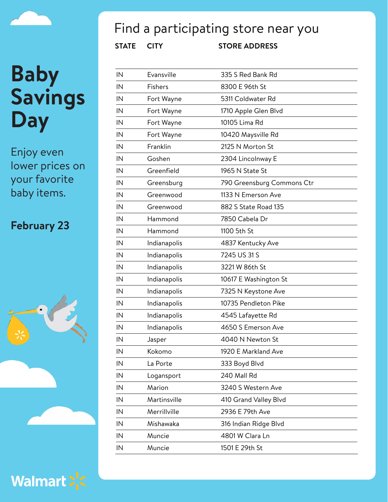Enjoy even lower prices on your favorite baby items.

#### **February 23**





## Find a participating store near you

| <b>STATE</b> | <b>CITY</b>    | <b>STORE ADDRESS</b>       |
|--------------|----------------|----------------------------|
| IN           | Evansville     | 335 S Red Bank Rd          |
| IN           | <b>Fishers</b> | 8300 E 96th St             |
| IN           | Fort Wayne     | 5311 Coldwater Rd          |
| IN           | Fort Wayne     | 1710 Apple Glen Blvd       |
| IN           | Fort Wayne     | 10105 Lima Rd              |
| IN           | Fort Wayne     | 10420 Maysville Rd         |
| IN           | Franklin       | 2125 N Morton St           |
| IN           | Goshen         | 2304 Lincolnway E          |
| IN           | Greenfield     | 1965 N State St            |
| IN           | Greensburg     | 790 Greensburg Commons Ctr |
| IN           | Greenwood      | 1133 N Emerson Ave         |
| IN           | Greenwood      | 882 S State Road 135       |
| IN           | Hammond        | 7850 Cabela Dr             |
| IN           | Hammond        | 1100 5th St                |
| IN           | Indianapolis   | 4837 Kentucky Ave          |
| IN           | Indianapolis   | 7245 US 31 S               |
| IN           | Indianapolis   | 3221 W 86th St             |
| IN           | Indianapolis   | 10617 E Washington St      |
| IN           | Indianapolis   | 7325 N Keystone Ave        |
| IN           | Indianapolis   | 10735 Pendleton Pike       |
| IN           | Indianapolis   | 4545 Lafayette Rd          |
| IN           | Indianapolis   | 4650 S Emerson Ave         |
| IN           | Jasper         | 4040 N Newton St           |
| IN           | Kokomo         | 1920 E Markland Ave        |
| IN           | La Porte       | 333 Boyd Blvd              |
| IN           | Logansport     | 240 Mall Rd                |
| IN           | Marion         | 3240 S Western Ave         |
| IN           | Martinsville   | 410 Grand Valley Blvd      |
| IN           | Merrillville   | 2936 E 79th Ave            |
| IN           | Mishawaka      | 316 Indian Ridge Blvd      |
| IN           | Muncie         | 4801 W Clara Ln            |
| IN           | Muncie         | 1501 E 29th St             |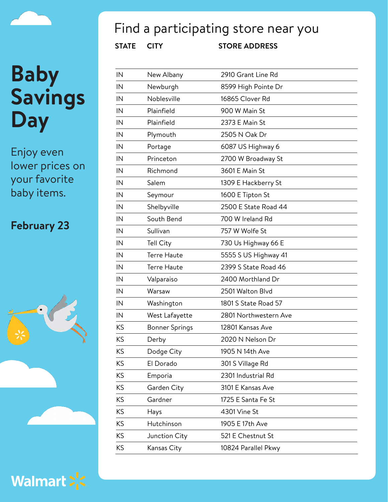Enjoy even lower prices on your favorite baby items.

#### **February 23**





## Find a participating store near you

| IN | New Albany            | 2910 Grant Line Rd    |
|----|-----------------------|-----------------------|
| IN | Newburgh              | 8599 High Pointe Dr   |
| IN | Noblesville           | 16865 Clover Rd       |
| IN | Plainfield            | 900 W Main St         |
| IN | Plainfield            | 2373 E Main St        |
| IN | Plymouth              | 2505 N Oak Dr         |
| IN | Portage               | 6087 US Highway 6     |
| IN | Princeton             | 2700 W Broadway St    |
| IN | Richmond              | 3601 E Main St        |
| IN | Salem                 | 1309 E Hackberry St   |
| IN | Seymour               | 1600 E Tipton St      |
| IN | Shelbyville           | 2500 E State Road 44  |
| IN | South Bend            | 700 W Ireland Rd      |
| IN | Sullivan              | 757 W Wolfe St        |
| IN | Tell City             | 730 Us Highway 66 E   |
| IN | <b>Terre Haute</b>    | 5555 S US Highway 41  |
| IN | <b>Terre Haute</b>    | 2399 S State Road 46  |
| IN | Valparaiso            | 2400 Morthland Dr     |
| IN | Warsaw                | 2501 Walton Blvd      |
| IN | Washington            | 1801 S State Road 57  |
| IN | West Lafayette        | 2801 Northwestern Ave |
| KS | <b>Bonner Springs</b> | 12801 Kansas Ave      |
| KS | Derby                 | 2020 N Nelson Dr      |
| KS | Dodge City            | 1905 N 14th Ave       |
| ΚS | El Dorado             | 301 S Village Rd      |
| KS | Emporia               | 2301 Industrial Rd    |
| KS | Garden City           | 3101 E Kansas Ave     |
| KS | Gardner               | 1725 E Santa Fe St    |
| KS | Hays                  | 4301 Vine St          |
| KS | Hutchinson            | 1905 E 17th Ave       |
| KS | Junction City         | 521 E Chestnut St     |
| KS | Kansas City           | 10824 Parallel Pkwy   |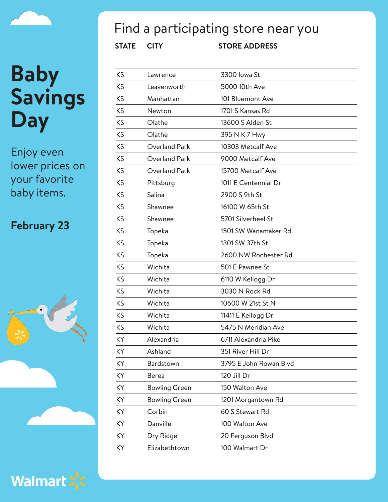Enjoy even lower prices on your favorite baby items.

### **February 23**





### $\Gamma$ ind a noutiainating stor

| <b>STATE</b> | <b>CITY</b>          | <b>STORE ADDRESS</b>   |
|--------------|----------------------|------------------------|
| KS           | Lawrence             | 3300 lowa St           |
| KS           | Leavenworth          | 5000 10th Ave          |
| KS           | Manhattan            | 101 Bluemont Ave       |
| KS           | Newton               | 1701 S Kansas Rd       |
| KS           | Olathe               | 13600 S Alden St       |
| KS           | Olathe               | 395 N K 7 Hwy          |
| KS           | Overland Park        | 10303 Metcalf Ave      |
| KS           | Overland Park        | 9000 Metcalf Ave       |
| KS           | Overland Park        | 15700 Metcalf Ave      |
| KS           | Pittsburg            | 1011 E Centennial Dr   |
| KS           | Salina               | 2900 S 9th St          |
| KS           | Shawnee              | 16100 W 65th St        |
| KS           | Shawnee              | 5701 Silverheel St     |
| KS           | Topeka               | 1501 SW Wanamaker Rd   |
| KS           | Topeka               | 1301 SW 37th St        |
| KS           | Topeka               | 2600 NW Rochester Rd   |
| KS           | Wichita              | 501 E Pawnee St        |
| KS           | Wichita              | 6110 W Kellogg Dr      |
| KS           | Wichita              | 3030 N Rock Rd         |
| KS           | Wichita              | 10600 W 21st St N      |
| ΚS           | Wichita              | 11411 E Kellogg Dr     |
| KS           | Wichita              | 5475 N Meridian Ave    |
| KY           | Alexandria           | 6711 Alexandria Pike   |
| KY           | Ashland              | 351 River Hill Dr      |
| KY           | Bardstown            | 3795 E John Rowan Blvd |
| KY           | <b>Berea</b>         | 120 Jill Dr            |
| KY           | <b>Bowling Green</b> | 150 Walton Ave         |
| KY           | <b>Bowling Green</b> | 1201 Morgantown Rd     |
| KY           | Corbin               | 60 S Stewart Rd        |
| KY           | Danville             | 100 Walton Ave         |

KY Dry Ridge 20 Ferguson Blvd KY Elizabethtown 100 Walmart Dr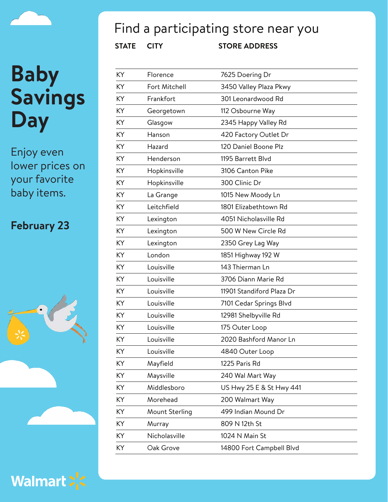Enjoy even lower prices on your favorite baby items.

### **February 23**





### Find a participating store near you

| ΚY | Florence       | 7625 Doering Dr           |
|----|----------------|---------------------------|
| KY | Fort Mitchell  | 3450 Valley Plaza Pkwy    |
| KY | Frankfort      | 301 Leonardwood Rd        |
| KY | Georgetown     | 112 Osbourne Way          |
| KY | Glasgow        | 2345 Happy Valley Rd      |
| KY | Hanson         | 420 Factory Outlet Dr     |
| KY | Hazard         | 120 Daniel Boone Plz      |
| KY | Henderson      | 1195 Barrett Blyd         |
| KY | Hopkinsville   | 3106 Canton Pike          |
| KY | Hopkinsville   | 300 Clinic Dr             |
| KY | La Grange      | 1015 New Moody Ln         |
| KY | Leitchfield    | 1801 Elizabethtown Rd     |
| KY | Lexington      | 4051 Nicholasville Rd     |
| KY | Lexington      | 500 W New Circle Rd       |
| KY | Lexington      | 2350 Grey Lag Way         |
| KY | London         | 1851 Highway 192 W        |
| KY | Louisville     | 143 Thierman Ln           |
| KY | Louisville     | 3706 Diann Marie Rd       |
| KY | Louisville     | 11901 Standiford Plaza Dr |
| KY | Louisville     | 7101 Cedar Springs Blvd   |
| KY | Louisville     | 12981 Shelbyville Rd      |
| KY | Louisville     | 175 Outer Loop            |
| KY | Louisville     | 2020 Bashford Manor Ln    |
| ΚY | Louisville     | 4840 Outer Loop           |
| KY | Mayfield       | 1225 Paris Rd             |
| KY | Maysville      | 240 Wal Mart Way          |
| KY | Middlesboro    | US Hwy 25 E & St Hwy 441  |
| KY | Morehead       | 200 Walmart Way           |
| KY | Mount Sterling | 499 Indian Mound Dr       |
| KY | Murray         | 809 N 12th St             |
| KY | Nicholasville  | 1024 N Main St            |
| KY | Oak Grove      | 14800 Fort Campbell Blvd  |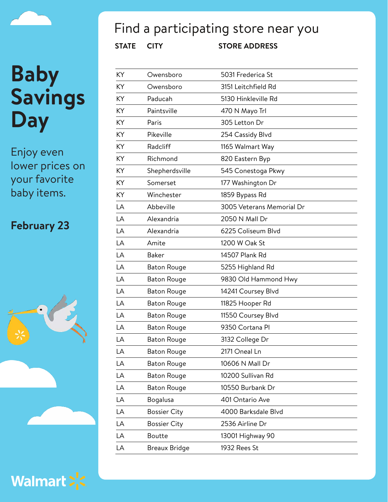Enjoy even lower prices on your favorite baby items.

### **February 23**



Walmart > <

## Find a participating store near you

| ΚY | Owensboro           | 5031 Frederica St         |
|----|---------------------|---------------------------|
| ΚY | Owensboro           | 3151 Leitchfield Rd       |
| ΚY | Paducah             | 5130 Hinkleville Rd       |
| ΚY | Paintsville         | 470 N Mayo Trl            |
| ΚY | Paris               | 305 Letton Dr             |
| ΚY | Pikeville           | 254 Cassidy Blvd          |
| ΚY | Radcliff            | 1165 Walmart Way          |
| KY | Richmond            | 820 Eastern Byp           |
| ΚY | Shepherdsville      | 545 Conestoga Pkwy        |
| ΚY | Somerset            | 177 Washington Dr         |
| ΚY | Winchester          | 1859 Bypass Rd            |
| LA | Abbeville           | 3005 Veterans Memorial Dr |
| LA | Alexandria          | 2050 N Mall Dr            |
| LA | Alexandria          | 6225 Coliseum Blvd        |
| LA | Amite               | 1200 W Oak St             |
| LA | <b>Baker</b>        | 14507 Plank Rd            |
| LA | <b>Baton Rouge</b>  | 5255 Highland Rd          |
| LA | <b>Baton Rouge</b>  | 9830 Old Hammond Hwy      |
| LA | <b>Baton Rouge</b>  | 14241 Coursey Blvd        |
| LA | <b>Baton Rouge</b>  | 11825 Hooper Rd           |
| LA | <b>Baton Rouge</b>  | 11550 Coursey Blvd        |
| LA | <b>Baton Rouge</b>  | 9350 Cortana Pl           |
| LA | <b>Baton Rouge</b>  | 3132 College Dr           |
| LA | <b>Baton Rouge</b>  | 2171 Oneal Ln             |
| LA | <b>Baton Rouge</b>  | 10606 N Mall Dr           |
| LA | <b>Baton Rouge</b>  | 10200 Sullivan Rd         |
| LA | <b>Baton Rouge</b>  | 10550 Burbank Dr          |
| LA | Bogalusa            | 401 Ontario Ave           |
| LA | <b>Bossier City</b> | 4000 Barksdale Blvd       |
| LA | <b>Bossier City</b> | 2536 Airline Dr           |
| LA | <b>Boutte</b>       | 13001 Highway 90          |
| LA | Breaux Bridge       | 1932 Rees St              |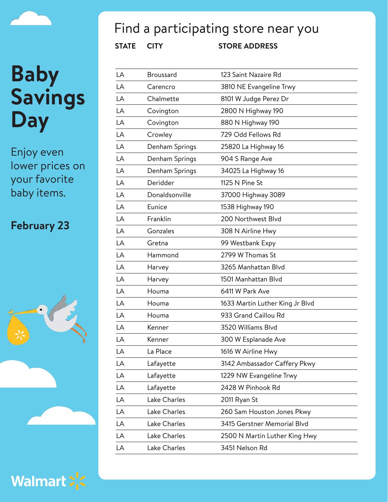Enjoy even lower prices on your favorite baby items.

### **February 23**





### Find a participating store near you

| LA | <b>Broussard</b> | 123 Saint Nazaire Rd            |
|----|------------------|---------------------------------|
| LA | Carencro         | 3810 NE Evangeline Trwy         |
| LA | Chalmette        | 8101 W Judge Perez Dr           |
| LA | Covington        | 2800 N Highway 190              |
| LA | Covington        | 880 N Highway 190               |
| LA | Crowley          | 729 Odd Fellows Rd              |
| LA | Denham Springs   | 25820 La Highway 16             |
| LA | Denham Springs   | 904 S Range Ave                 |
| LA | Denham Springs   | 34025 La Highway 16             |
| LA | Deridder         | 1125 N Pine St                  |
| LA | Donaldsonville   | 37000 Highway 3089              |
| LA | Eunice           | 1538 Highway 190                |
| LA | Franklin         | 200 Northwest Blvd              |
| LA | Gonzales         | 308 N Airline Hwy               |
| LA | Gretna           | 99 Westbank Expy                |
| LA | Hammond          | 2799 W Thomas St                |
| LA | Harvey           | 3265 Manhattan Blvd             |
| LA | Harvey           | 1501 Manhattan Blvd             |
| LA | Houma            | 6411 W Park Ave                 |
| LA | Houma            | 1633 Martin Luther King Jr Blvd |
| LA | Houma            | 933 Grand Caillou Rd            |
| LA | Kenner           | 3520 Williams Blvd              |
| LA | Kenner           | 300 W Esplanade Ave             |
| LA | La Place         | 1616 W Airline Hwy              |
| LA | Lafayette        | 3142 Ambassador Caffery Pkwy    |
| LA | Lafayette        | 1229 NW Evangeline Trwy         |
| LA | Lafayette        | 2428 W Pinhook Rd               |
| LA | Lake Charles     | 2011 Ryan St                    |
| LA | Lake Charles     | 260 Sam Houston Jones Pkwy      |
| LA | Lake Charles     | 3415 Gerstner Memorial Blvd     |
| LA | Lake Charles     | 2500 N Martin Luther King Hwy   |
| LA | Lake Charles     | 3451 Nelson Rd                  |
|    |                  |                                 |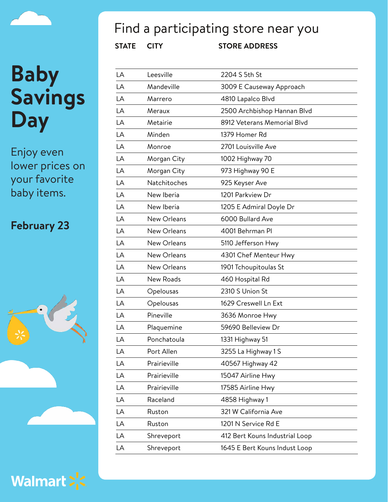Enjoy even lower prices on your favorite baby items.

### **February 23**





### Find a participating store near you

| LA | Leesville    | 2204 S 5th St                  |
|----|--------------|--------------------------------|
| LA | Mandeville   | 3009 E Causeway Approach       |
| LA | Marrero      | 4810 Lapalco Blvd              |
| LA | Meraux       | 2500 Archbishop Hannan Blvd    |
| LA | Metairie     | 8912 Veterans Memorial Blvd    |
| LA | Minden       | 1379 Homer Rd                  |
| LA | Monroe       | 2701 Louisville Ave            |
| LA | Morgan City  | 1002 Highway 70                |
| LA | Morgan City  | 973 Highway 90 E               |
| LA | Natchitoches | 925 Keyser Ave                 |
| LA | New Iberia   | 1201 Parkview Dr               |
| LA | New Iberia   | 1205 E Admiral Doyle Dr        |
| LA | New Orleans  | 6000 Bullard Ave               |
| LA | New Orleans  | 4001 Behrman PI                |
| LA | New Orleans  | 5110 Jefferson Hwy             |
| LA | New Orleans  | 4301 Chef Menteur Hwy          |
| LA | New Orleans  | 1901 Tchoupitoulas St          |
| LA | New Roads    | 460 Hospital Rd                |
| LA | Opelousas    | 2310 S Union St                |
| LA | Opelousas    | 1629 Creswell Ln Ext           |
| LA | Pineville    | 3636 Monroe Hwy                |
| LA | Plaquemine   | 59690 Belleview Dr             |
| LA | Ponchatoula  | 1331 Highway 51                |
| LA | Port Allen   | 3255 La Highway 1 S            |
| LA | Prairieville | 40567 Highway 42               |
| LA | Prairieville | 15047 Airline Hwy              |
| LA | Prairieville | 17585 Airline Hwy              |
| LA | Raceland     | 4858 Highway 1                 |
| LA | Ruston       | 321 W California Ave           |
| LA | Ruston       | 1201 N Service Rd E            |
| LA | Shreveport   | 412 Bert Kouns Industrial Loop |
| LA | Shreveport   | 1645 E Bert Kouns Indust Loop  |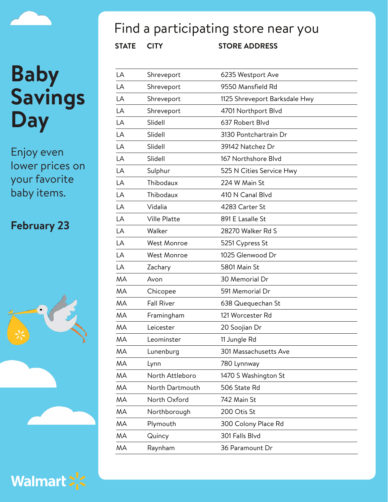

Enjoy even lower prices on your favorite baby items.

### **February 23**





## Find a participating store near you

| <b>STATE</b> | <b>CITY</b> | <b>STORE ADDRESS</b>            |
|--------------|-------------|---------------------------------|
| LA           | Shreveport  | 6235 Westport Ave               |
| LA           | Shreveport  | 9550 Mansfield Rd               |
| LA           | Shreveport  | 1125 Shreveport Bar             |
| LA           | Shreveport  | 4701 Northport Blv              |
| LA           | Slidell     | 637 Robert Blvd                 |
| $\mathsf{L}$ | $C$ i: Jail | $2120 \text{ D} \cdot \text{m}$ |

| LA        | Shreveport          | 1125 Shreveport Barksdale Hwy |
|-----------|---------------------|-------------------------------|
| LA        | Shreveport          | 4701 Northport Blvd           |
| LA        | Slidell             | 637 Robert Blvd               |
| LA        | Slidell             | 3130 Pontchartrain Dr         |
| LA        | Slidell             | 39142 Natchez Dr              |
| LA        | Slidell             | 167 Northshore Blvd           |
| LA        | Sulphur             | 525 N Cities Service Hwy      |
| LA        | Thibodaux           | 224 W Main St                 |
| LA        | Thibodaux           | 410 N Canal Blvd              |
| LA        | Vidalia             | 4283 Carter St                |
| LA        | <b>Ville Platte</b> | 891 E Lasalle St              |
| LA        | Walker              | 28270 Walker Rd S             |
| LA        | <b>West Monroe</b>  | 5251 Cypress St               |
| LA        | <b>West Monroe</b>  | 1025 Glenwood Dr              |
| LA        | Zachary             | 5801 Main St                  |
| MA        | Avon                | 30 Memorial Dr                |
| MA        | Chicopee            | 591 Memorial Dr               |
| MA        | <b>Fall River</b>   | 638 Quequechan St             |
| MA        | Framingham          | 121 Worcester Rd              |
| MA        | Leicester           | 20 Soojian Dr                 |
| MA        | Leominster          | 11 Jungle Rd                  |
| <b>MA</b> | Lunenburg           | 301 Massachusetts Ave         |
| <b>MA</b> | Lynn                | 780 Lynnway                   |
| MA        | North Attleboro     | 1470 S Washington St          |
| MA        | North Dartmouth     | 506 State Rd                  |
| MA        | North Oxford        | 742 Main St                   |
| MA        | Northborough        | 200 Otis St                   |
| MA        | Plymouth            | 300 Colony Place Rd           |
| MA        | Quincy              | 301 Falls Blvd                |
| <b>MA</b> | Raynham             | 36 Paramount Dr               |
|           |                     |                               |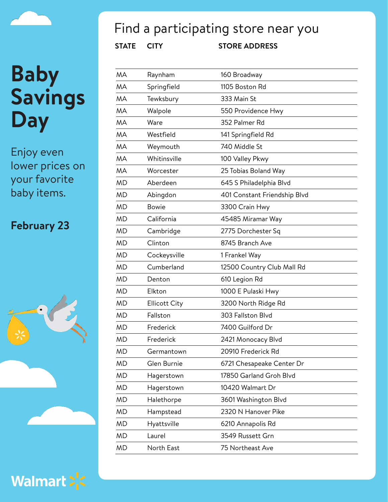Enjoy even lower prices on your favorite baby items.

### **February 23**





Walmart > <

## Find a participating store near you

| MΑ | Raynham              | 160 Broadway                 |
|----|----------------------|------------------------------|
| MΑ | Springfield          | 1105 Boston Rd               |
| MΑ | Tewksbury            | 333 Main St                  |
| MA | Walpole              | 550 Providence Hwy           |
| MA | Ware                 | 352 Palmer Rd                |
| MΑ | Westfield            | 141 Springfield Rd           |
| MΑ | Weymouth             | 740 Middle St                |
| MΑ | Whitinsville         | 100 Valley Pkwy              |
| MΑ | Worcester            | 25 Tobias Boland Way         |
| ΜD | Aberdeen             | 645 S Philadelphia Blvd      |
| MD | Abingdon             | 401 Constant Friendship Blvd |
| MD | <b>Bowie</b>         | 3300 Crain Hwy               |
| ΜD | California           | 45485 Miramar Way            |
| ΜD | Cambridge            | 2775 Dorchester Sq           |
| ΜD | Clinton              | 8745 Branch Ave              |
| MD | Cockeysville         | 1 Frankel Way                |
| ΜD | Cumberland           | 12500 Country Club Mall Rd   |
| ΜD | Denton               | 610 Legion Rd                |
| MD | Elkton               | 1000 E Pulaski Hwy           |
| ΜD | <b>Ellicott City</b> | 3200 North Ridge Rd          |
| ΜD | Fallston             | 303 Fallston Blvd            |
| ΜD | Frederick            | 7400 Guilford Dr             |
| MD | Frederick            | 2421 Monocacy Blvd           |
| ΜD | Germantown           | 20910 Frederick Rd           |
| ΜD | Glen Burnie          | 6721 Chesapeake Center Dr    |
| ΜD | Hagerstown           | 17850 Garland Groh Blvd      |
| ΜD | Hagerstown           | 10420 Walmart Dr             |
| ΜD | Halethorpe           | 3601 Washington Blvd         |
| MD | Hampstead            | 2320 N Hanover Pike          |
| ΜD | Hyattsville          | 6210 Annapolis Rd            |
| ΜD | Laurel               | 3549 Russett Grn             |
| ΜD | North East           | 75 Northeast Ave             |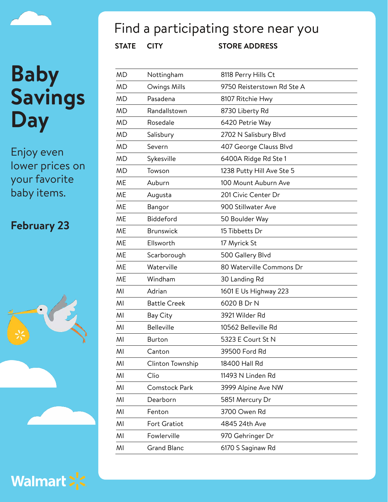Enjoy even lower prices on your favorite baby items.

### **February 23**





### Find a participating store near you

| <b>MD</b> | Nottingham          | 8118 Perry Hills Ct        |
|-----------|---------------------|----------------------------|
| <b>MD</b> | Owings Mills        | 9750 Reisterstown Rd Ste A |
| <b>MD</b> | Pasadena            | 8107 Ritchie Hwy           |
| <b>MD</b> | Randallstown        | 8730 Liberty Rd            |
| <b>MD</b> | Rosedale            | 6420 Petrie Way            |
| <b>MD</b> | Salisbury           | 2702 N Salisbury Blvd      |
| <b>MD</b> | Severn              | 407 George Clauss Blvd     |
| <b>MD</b> | Sykesville          | 6400A Ridge Rd Ste 1       |
| <b>MD</b> | Towson              | 1238 Putty Hill Ave Ste 5  |
| ME        | Auburn              | 100 Mount Auburn Ave       |
| <b>ME</b> | Augusta             | 201 Civic Center Dr        |
| <b>ME</b> | Bangor              | 900 Stillwater Ave         |
| <b>ME</b> | Biddeford           | 50 Boulder Way             |
| <b>ME</b> | <b>Brunswick</b>    | 15 Tibbetts Dr             |
| <b>ME</b> | Ellsworth           | 17 Myrick St               |
| ME        | Scarborough         | 500 Gallery Blvd           |
| <b>ME</b> | Waterville          | 80 Waterville Commons Dr   |
| <b>ME</b> | Windham             | 30 Landing Rd              |
| MI        | Adrian              | 1601 E Us Highway 223      |
| MI        | <b>Battle Creek</b> | 6020 B Dr N                |
| MI        | Bay City            | 3921 Wilder Rd             |
| MI        | <b>Belleville</b>   | 10562 Belleville Rd        |
| MI        | <b>Burton</b>       | 5323 E Court St N          |
| MI        | Canton              | 39500 Ford Rd              |
| MI        | Clinton Township    | 18400 Hall Rd              |
| MI        | Clio                | 11493 N Linden Rd          |
| MI        | Comstock Park       | 3999 Alpine Ave NW         |
| MI        | Dearborn            | 5851 Mercury Dr            |
| MI        | Fenton              | 3700 Owen Rd               |
| MI        | Fort Gratiot        | 4845 24th Ave              |
| MI        | Fowlerville         | 970 Gehringer Dr           |
| MI        | <b>Grand Blanc</b>  | 6170 S Saginaw Rd          |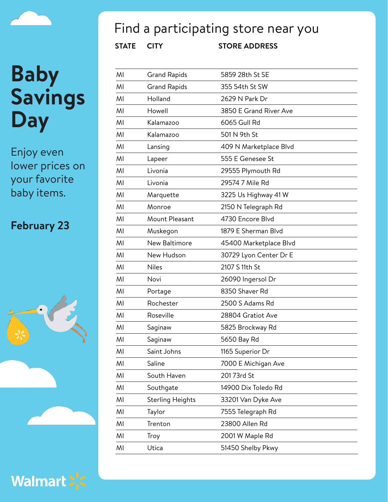

Enjoy even lower prices on your favorite baby items.

### **February 23**





### Find a participating store near you

| MI | <b>Grand Rapids</b>     | 5859 28th St SE        |
|----|-------------------------|------------------------|
| MI | <b>Grand Rapids</b>     | 355 54th St SW         |
| MI | Holland                 | 2629 N Park Dr         |
| MI | Howell                  | 3850 E Grand River Ave |
| MI | Kalamazoo               | 6065 Gull Rd           |
| MI | Kalamazoo               | 501 N 9th St           |
| MI | Lansing                 | 409 N Marketplace Blvd |
| MI | Lapeer                  | 555 E Genesee St       |
| MI | Livonia                 | 29555 Plymouth Rd      |
| MI | Livonia                 | 29574 7 Mile Rd        |
| MI | Marquette               | 3225 Us Highway 41 W   |
| MI | Monroe                  | 2150 N Telegraph Rd    |
| MI | Mount Pleasant          | 4730 Encore Blvd       |
| MI | Muskegon                | 1879 E Sherman Blvd    |
| MI | New Baltimore           | 45400 Marketplace Blvd |
| MI | New Hudson              | 30729 Lyon Center Dr E |
| MI | <b>Niles</b>            | 2107 S 11th St         |
| MI | Novi                    | 26090 Ingersol Dr      |
| MI | Portage                 | 8350 Shaver Rd         |
| MI | Rochester               | 2500 S Adams Rd        |
| MI | Roseville               | 28804 Gratiot Ave      |
| MI | Saginaw                 | 5825 Brockway Rd       |
| MI | Saginaw                 | 5650 Bay Rd            |
| MI | Saint Johns             | 1165 Superior Dr       |
| MI | Saline                  | 7000 E Michigan Ave    |
| MI | South Haven             | 20173rd St             |
| MI | Southgate               | 14900 Dix Toledo Rd    |
| MI | <b>Sterling Heights</b> | 33201 Van Dyke Ave     |
| MI | Taylor                  | 7555 Telegraph Rd      |
| MI | Trenton                 | 23800 Allen Rd         |
| MI | Troy                    | 2001 W Maple Rd        |
| MI | Utica                   | 51450 Shelby Pkwy      |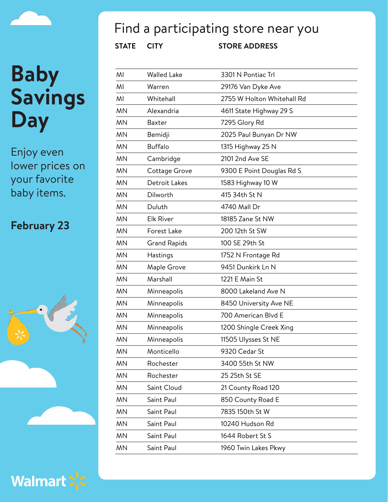Enjoy even lower prices on your favorite baby items.

### **February 23**





### Find a participating store near you

| MI        | <b>Walled Lake</b>  | 3301 N Pontiac Trl         |
|-----------|---------------------|----------------------------|
| MI        | Warren              | 29176 Van Dyke Ave         |
| MI        | Whitehall           | 2755 W Holton Whitehall Rd |
| <b>MN</b> | Alexandria          | 4611 State Highway 29 S    |
| <b>MN</b> | <b>Baxter</b>       | 7295 Glory Rd              |
| <b>MN</b> | Bemidji             | 2025 Paul Bunyan Dr NW     |
| <b>MN</b> | <b>Buffalo</b>      | 1315 Highway 25 N          |
| <b>MN</b> | Cambridge           | 2101 2nd Ave SE            |
| <b>MN</b> | Cottage Grove       | 9300 E Point Douglas Rd S  |
| <b>MN</b> | Detroit Lakes       | 1583 Highway 10 W          |
| <b>MN</b> | Dilworth            | 415 34th St N              |
| <b>MN</b> | Duluth              | 4740 Mall Dr               |
| <b>MN</b> | <b>Elk River</b>    | 18185 Zane St NW           |
| <b>MN</b> | Forest Lake         | 200 12th St SW             |
| <b>MN</b> | <b>Grand Rapids</b> | 100 SE 29th St             |
| <b>MN</b> | Hastings            | 1752 N Frontage Rd         |
| <b>MN</b> | Maple Grove         | 9451 Dunkirk Ln N          |
| <b>MN</b> | Marshall            | 1221 E Main St             |
| <b>MN</b> | Minneapolis         | 8000 Lakeland Ave N        |
| <b>MN</b> | Minneapolis         | 8450 University Ave NE     |
| <b>MN</b> | Minneapolis         | 700 American Blvd E        |
| <b>MN</b> | Minneapolis         | 1200 Shingle Creek Xing    |
| <b>MN</b> | Minneapolis         | 11505 Ulysses St NE        |
| ΜN        | Monticello          | 9320 Cedar St              |
| <b>MN</b> | Rochester           | 3400 55th St NW            |
| <b>MN</b> | Rochester           | 25 25th St SE              |
| <b>MN</b> | Saint Cloud         | 21 County Road 120         |
| <b>MN</b> | Saint Paul          | 850 County Road E          |
| <b>MN</b> | Saint Paul          | 7835 150th St W            |
| <b>MN</b> | Saint Paul          | 10240 Hudson Rd            |
| <b>MN</b> | Saint Paul          | 1644 Robert St S           |
| <b>MN</b> | Saint Paul          | 1960 Twin Lakes Pkwy       |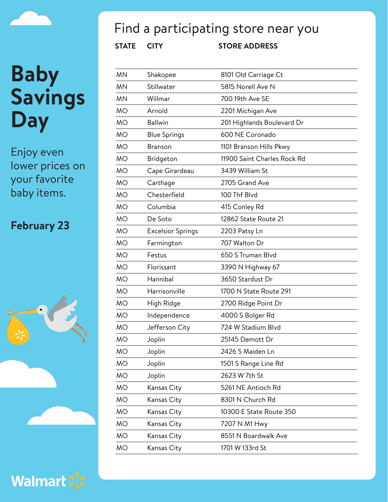Enjoy even lower prices on your favorite baby items.

### **February 23**





Find a participating store near you

| ΜN        | Shakopee                 | 8101 Old Carriage Ct        |
|-----------|--------------------------|-----------------------------|
| MΝ        | Stillwater               | 5815 Norell Ave N           |
| MN        | Willmar                  | 700 19th Ave SE             |
| МO        | Arnold                   | 2201 Michigan Ave           |
| МO        | <b>Ballwin</b>           | 201 Highlands Boulevard Dr  |
| МO        | <b>Blue Springs</b>      | 600 NE Coronado             |
| <b>MO</b> | <b>Branson</b>           | 1101 Branson Hills Pkwy     |
| MO        | Bridgeton                | 11900 Saint Charles Rock Rd |
| МO        | Cape Girardeau           | 3439 William St             |
| МO        | Carthage                 | 2705 Grand Ave              |
| МO        | Chesterfield             | 100 Thf Blvd                |
| МO        | Columbia                 | 415 Conley Rd               |
| <b>MO</b> | De Soto                  | 12862 State Route 21        |
| МO        | <b>Excelsior Springs</b> | 2203 Patsy Ln               |
| МO        | Farmington               | 707 Walton Dr               |
| MO        | Festus                   | 650 S Truman Blvd           |
| МO        | Florissant               | 3390 N Highway 67           |
| МO        | Hannibal                 | 3650 Stardust Dr            |
| МO        | Harrisonville            | 1700 N State Route 291      |
| МO        | High Ridge               | 2700 Ridge Point Dr         |
| МO        | Independence             | 4000 S Bolger Rd            |
| МO        | Jefferson City           | 724 W Stadium Blvd          |
| <b>MO</b> | Joplin                   | 25145 Demott Dr             |
| МO        | Joplin                   | 2426 S Maiden Ln            |
| МO        | Joplin                   | 1501 S Range Line Rd        |
| <b>MO</b> | Joplin                   | 2623 W 7th St               |
| МO        | Kansas City              | 5261 NE Antioch Rd          |
| МO        | Kansas City              | 8301 N Church Rd            |
| МO        | Kansas City              | 10300 E State Route 350     |
| МO        | Kansas City              | 7207 N M1 Hwy               |
| МO        | Kansas City              | 8551 N Boardwalk Ave        |
| МO        | Kansas City              | 1701 W 133rd St             |

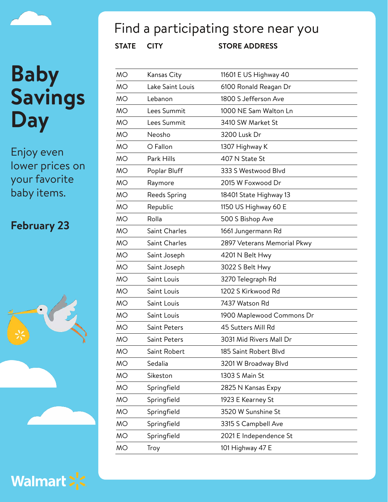Enjoy even lower prices on your favorite baby items.

### **February 23**





### Find a participating store near you

| <b>MO</b> | Kansas City      | 11601 E US Highway 40       |
|-----------|------------------|-----------------------------|
| <b>MO</b> | Lake Saint Louis | 6100 Ronald Reagan Dr       |
| <b>MO</b> | Lebanon          | 1800 S Jefferson Ave        |
| <b>MO</b> | Lees Summit      | 1000 NE Sam Walton Ln       |
| <b>MO</b> | Lees Summit      | 3410 SW Market St           |
| <b>MO</b> | Neosho           | 3200 Lusk Dr                |
| <b>MO</b> | O Fallon         | 1307 Highway K              |
| <b>MO</b> | Park Hills       | 407 N State St              |
| <b>MO</b> | Poplar Bluff     | 333 S Westwood Blvd         |
| <b>MO</b> | Raymore          | 2015 W Foxwood Dr           |
| <b>MO</b> | Reeds Spring     | 18401 State Highway 13      |
| <b>MO</b> | Republic         | 1150 US Highway 60 E        |
| <b>MO</b> | Rolla            | 500 S Bishop Ave            |
| <b>MO</b> | Saint Charles    | 1661 Jungermann Rd          |
| <b>MO</b> | Saint Charles    | 2897 Veterans Memorial Pkwy |
| <b>MO</b> | Saint Joseph     | 4201 N Belt Hwy             |
| <b>MO</b> | Saint Joseph     | 3022 S Belt Hwy             |
| <b>MO</b> | Saint Louis      | 3270 Telegraph Rd           |
| <b>MO</b> | Saint Louis      | 1202 S Kirkwood Rd          |
| <b>MO</b> | Saint Louis      | 7437 Watson Rd              |
| <b>MO</b> | Saint Louis      | 1900 Maplewood Commons Dr   |
| <b>MO</b> | Saint Peters     | 45 Sutters Mill Rd          |
| <b>MO</b> | Saint Peters     | 3031 Mid Rivers Mall Dr     |
| MO        | Saint Robert     | 185 Saint Robert Blvd       |
| <b>MO</b> | Sedalia          | 3201 W Broadway Blvd        |
| <b>MO</b> | Sikeston         | 1303 S Main St              |
| <b>MO</b> | Springfield      | 2825 N Kansas Expy          |
| <b>MO</b> | Springfield      | 1923 E Kearney St           |
| <b>MO</b> | Springfield      | 3520 W Sunshine St          |
| <b>MO</b> | Springfield      | 3315 S Campbell Ave         |
| <b>MO</b> | Springfield      | 2021 E Independence St      |
| <b>MO</b> | Troy             | 101 Highway 47 E            |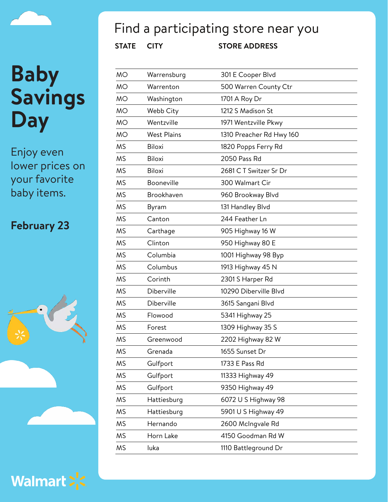Enjoy even lower prices on your favorite baby items.

### **February 23**





### Find a participating store near you

| <b>MO</b> | Warrensburg        | 301 E Cooper Blvd        |
|-----------|--------------------|--------------------------|
| <b>MO</b> | Warrenton          | 500 Warren County Ctr    |
| <b>MO</b> | Washington         | 1701 A Roy Dr            |
| <b>MO</b> | Webb City          | 1212 S Madison St        |
| <b>MO</b> | Wentzville         | 1971 Wentzville Pkwy     |
| <b>MO</b> | <b>West Plains</b> | 1310 Preacher Rd Hwy 160 |
| <b>MS</b> | <b>Biloxi</b>      | 1820 Popps Ferry Rd      |
| <b>MS</b> | <b>Biloxi</b>      | 2050 Pass Rd             |
| <b>MS</b> | <b>Biloxi</b>      | 2681 CT Switzer Sr Dr    |
| <b>MS</b> | Booneville         | 300 Walmart Cir          |
| <b>MS</b> | Brookhaven         | 960 Brookway Blvd        |
| <b>MS</b> | Byram              | 131 Handley Blvd         |
| <b>MS</b> | Canton             | 244 Feather Ln           |
| <b>MS</b> | Carthage           | 905 Highway 16 W         |
| <b>MS</b> | Clinton            | 950 Highway 80 E         |
| <b>MS</b> | Columbia           | 1001 Highway 98 Byp      |
| <b>MS</b> | Columbus           | 1913 Highway 45 N        |
| <b>MS</b> | Corinth            | 2301 S Harper Rd         |
| <b>MS</b> | Diberville         | 10290 Diberville Blvd    |
| <b>MS</b> | Diberville         | 3615 Sangani Blvd        |
| <b>MS</b> | Flowood            | 5341 Highway 25          |
| <b>MS</b> | Forest             | 1309 Highway 35 S        |
| <b>MS</b> | Greenwood          | 2202 Highway 82 W        |
| MS        | Grenada            | 1655 Sunset Dr           |
| <b>MS</b> | Gulfport           | 1733 E Pass Rd           |
| <b>MS</b> | Gulfport           | 11333 Highway 49         |
| <b>MS</b> | Gulfport           | 9350 Highway 49          |
| <b>MS</b> | Hattiesburg        | 6072 U S Highway 98      |
| <b>MS</b> | Hattiesburg        | 5901 U S Highway 49      |
| <b>MS</b> | Hernando           | 2600 McIngvale Rd        |
| <b>MS</b> | Horn Lake          | 4150 Goodman Rd W        |
| <b>MS</b> | luka               | 1110 Battleground Dr     |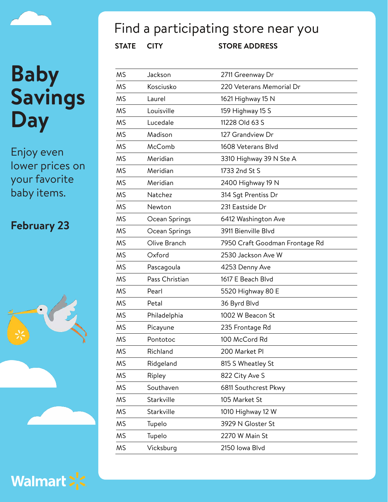Enjoy even lower prices on your favorite baby items.

### **February 23**



Walmart > <

## Find a participating store near you

| <b>MS</b> | Jackson        | 2711 Greenway Dr               |
|-----------|----------------|--------------------------------|
| <b>MS</b> | Kosciusko      | 220 Veterans Memorial Dr       |
| <b>MS</b> | Laurel         | 1621 Highway 15 N              |
| <b>MS</b> | Louisville     | 159 Highway 15 S               |
| <b>MS</b> | Lucedale       | 11228 Old 63 S                 |
| <b>MS</b> | Madison        | 127 Grandview Dr               |
| <b>MS</b> | McComb         | 1608 Veterans Blvd             |
| <b>MS</b> | Meridian       | 3310 Highway 39 N Ste A        |
| <b>MS</b> | Meridian       | 1733 2nd St S                  |
| <b>MS</b> | Meridian       | 2400 Highway 19 N              |
| <b>MS</b> | Natchez        | 314 Sqt Prentiss Dr            |
| <b>MS</b> | Newton         | 231 Eastside Dr                |
| <b>MS</b> | Ocean Springs  | 6412 Washington Ave            |
| <b>MS</b> | Ocean Springs  | 3911 Bienville Blvd            |
| <b>MS</b> | Olive Branch   | 7950 Craft Goodman Frontage Rd |
| <b>MS</b> | Oxford         | 2530 Jackson Ave W             |
| <b>MS</b> | Pascagoula     | 4253 Denny Ave                 |
| <b>MS</b> | Pass Christian | 1617 E Beach Blvd              |
| <b>MS</b> | Pearl          | 5520 Highway 80 E              |
| <b>MS</b> | Petal          | 36 Byrd Blvd                   |
| <b>MS</b> | Philadelphia   | 1002 W Beacon St               |
| <b>MS</b> | Picayune       | 235 Frontage Rd                |
| <b>MS</b> | Pontotoc       | 100 McCord Rd                  |
| <b>MS</b> | Richland       | 200 Market PI                  |
| <b>MS</b> | Ridgeland      | 815 S Wheatley St              |
| <b>MS</b> | Ripley         | 822 City Ave S                 |
| <b>MS</b> | Southaven      | 6811 Southcrest Pkwy           |
| <b>MS</b> | Starkville     | 105 Market St                  |
| <b>MS</b> | Starkville     | 1010 Highway 12 W              |
| <b>MS</b> | Tupelo         | 3929 N Gloster St              |
| <b>MS</b> | Tupelo         | 2270 W Main St                 |
| <b>MS</b> | Vicksburg      | 2150 Iowa Blvd                 |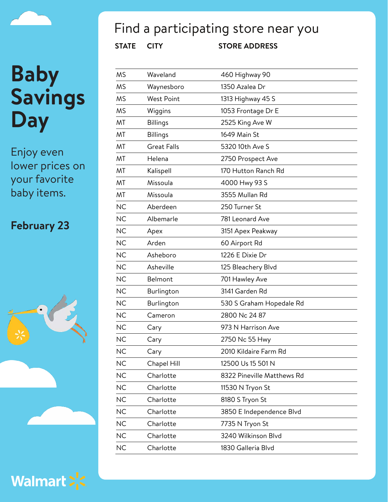Enjoy even lower prices on your favorite baby items.

### **February 23**







### Find a participating store near you

| <b>MS</b> | Waveland           | 460 Highway 90             |
|-----------|--------------------|----------------------------|
| <b>MS</b> | Waynesboro         | 1350 Azalea Dr             |
| <b>MS</b> | <b>West Point</b>  | 1313 Highway 45 S          |
| <b>MS</b> | Wiggins            | 1053 Frontage Dr E         |
| MT        | <b>Billings</b>    | 2525 King Ave W            |
| MT        | <b>Billings</b>    | 1649 Main St               |
| MT        | <b>Great Falls</b> | 5320 10th Ave S            |
| MT        | Helena             | 2750 Prospect Ave          |
| MT        | Kalispell          | 170 Hutton Ranch Rd        |
| MT        | Missoula           | 4000 Hwy 93 S              |
| MT        | Missoula           | 3555 Mullan Rd             |
| <b>NC</b> | Aberdeen           | 250 Turner St              |
| <b>NC</b> | Albemarle          | 781 Leonard Ave            |
| <b>NC</b> | Apex               | 3151 Apex Peakway          |
| <b>NC</b> | Arden              | 60 Airport Rd              |
| <b>NC</b> | Asheboro           | 1226 E Dixie Dr            |
| <b>NC</b> | Asheville          | 125 Bleachery Blvd         |
| <b>NC</b> | Belmont            | 701 Hawley Ave             |
| <b>NC</b> | Burlington         | 3141 Garden Rd             |
| <b>NC</b> | Burlington         | 530 S Graham Hopedale Rd   |
| <b>NC</b> | Cameron            | 2800 Nc 24 87              |
| <b>NC</b> | Cary               | 973 N Harrison Ave         |
| <b>NC</b> | Cary               | 2750 Nc 55 Hwy             |
| <b>NC</b> | Cary               | 2010 Kildaire Farm Rd      |
| <b>NC</b> | Chapel Hill        | 12500 Us 15 501 N          |
| <b>NC</b> | Charlotte          | 8322 Pineville Matthews Rd |
| <b>NC</b> | Charlotte          | 11530 N Tryon St           |
| <b>NC</b> | Charlotte          | 8180 S Tryon St            |
| <b>NC</b> | Charlotte          | 3850 E Independence Blvd   |
| <b>NC</b> | Charlotte          | 7735 N Tryon St            |
| <b>NC</b> | Charlotte          | 3240 Wilkinson Blvd        |
| <b>NC</b> | Charlotte          | 1830 Galleria Blvd         |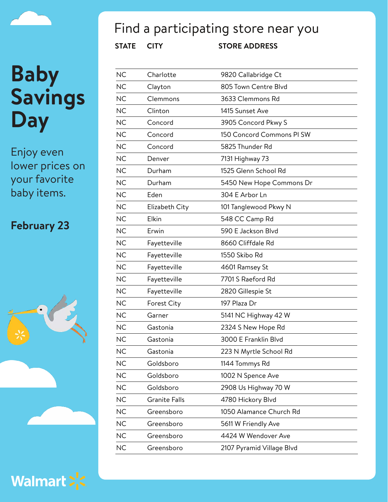# **Baby Savings**

**Day**

Enjoy even lower prices on your favorite baby items.

#### **February 23**





### Find a participating store near you

| <b>NC</b> | Charlotte            | 9820 Callabridge Ct       |
|-----------|----------------------|---------------------------|
| <b>NC</b> | Clayton              | 805 Town Centre Blvd      |
| <b>NC</b> | Clemmons             | 3633 Clemmons Rd          |
| <b>NC</b> | Clinton              | 1415 Sunset Ave           |
| <b>NC</b> | Concord              | 3905 Concord Pkwy S       |
| <b>NC</b> | Concord              | 150 Concord Commons PI SW |
| <b>NC</b> | Concord              | 5825 Thunder Rd           |
| <b>NC</b> | Denver               | 7131 Highway 73           |
| <b>NC</b> | Durham               | 1525 Glenn School Rd      |
| <b>NC</b> | Durham               | 5450 New Hope Commons Dr  |
| <b>NC</b> | Eden                 | 304 E Arbor Ln            |
| <b>NC</b> | Elizabeth City       | 101 Tanglewood Pkwy N     |
| <b>NC</b> | Elkin                | 548 CC Camp Rd            |
| <b>NC</b> | Erwin                | 590 E Jackson Blvd        |
| <b>NC</b> | Fayetteville         | 8660 Cliffdale Rd         |
| <b>NC</b> | Fayetteville         | 1550 Skibo Rd             |
| <b>NC</b> | Fayetteville         | 4601 Ramsey St            |
| <b>NC</b> | Fayetteville         | 7701 S Raeford Rd         |
| <b>NC</b> | Fayetteville         | 2820 Gillespie St         |
| <b>NC</b> | Forest City          | 197 Plaza Dr              |
| <b>NC</b> | Garner               | 5141 NC Highway 42 W      |
| <b>NC</b> | Gastonia             | 2324 S New Hope Rd        |
| <b>NC</b> | Gastonia             | 3000 E Franklin Blvd      |
| <b>NC</b> | Gastonia             | 223 N Myrtle School Rd    |
| <b>NC</b> | Goldsboro            | 1144 Tommys Rd            |
| <b>NC</b> | Goldsboro            | 1002 N Spence Ave         |
| <b>NC</b> | Goldsboro            | 2908 Us Highway 70 W      |
| <b>NC</b> | <b>Granite Falls</b> | 4780 Hickory Blvd         |
| NC        | Greensboro           | 1050 Alamance Church Rd   |
| <b>NC</b> | Greensboro           | 5611 W Friendly Ave       |
| NC        | Greensboro           | 4424 W Wendover Ave       |
| NC        | Greensboro           | 2107 Pyramid Village Blvd |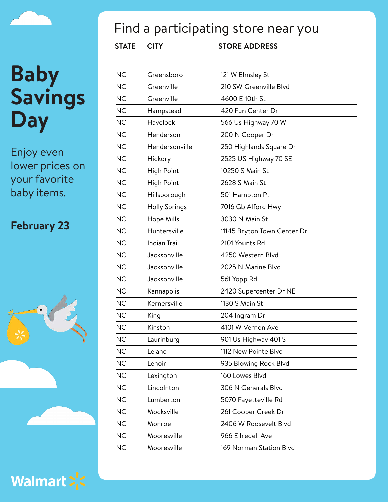Enjoy even lower prices on your favorite baby items.

### **February 23**





## Find a participating store near you

| <b>NC</b> | Greensboro           | 121 W Elmsley St            |
|-----------|----------------------|-----------------------------|
| <b>NC</b> | Greenville           | 210 SW Greenville Blvd      |
| <b>NC</b> | Greenville           | 4600 E 10th St              |
| <b>NC</b> | Hampstead            | 420 Fun Center Dr           |
| <b>NC</b> | Havelock             | 566 Us Highway 70 W         |
| <b>NC</b> | Henderson            | 200 N Cooper Dr             |
| <b>NC</b> | Hendersonville       | 250 Highlands Square Dr     |
| <b>NC</b> | Hickory              | 2525 US Highway 70 SE       |
| <b>NC</b> | High Point           | 10250 S Main St             |
| <b>NC</b> | High Point           | 2628 S Main St              |
| <b>NC</b> | Hillsborough         | 501 Hampton Pt              |
| <b>NC</b> | <b>Holly Springs</b> | 7016 Gb Alford Hwy          |
| <b>NC</b> | Hope Mills           | 3030 N Main St              |
| <b>NC</b> | Huntersville         | 11145 Bryton Town Center Dr |
| <b>NC</b> | <b>Indian Trail</b>  | 2101 Younts Rd              |
| <b>NC</b> | Jacksonville         | 4250 Western Blvd           |
| <b>NC</b> | Jacksonville         | 2025 N Marine Blvd          |
| <b>NC</b> | Jacksonville         | 561 Yopp Rd                 |
| <b>NC</b> | Kannapolis           | 2420 Supercenter Dr NE      |
| <b>NC</b> | Kernersville         | 1130 S Main St              |
| <b>NC</b> | King                 | 204 Ingram Dr               |
| <b>NC</b> | Kinston              | 4101 W Vernon Ave           |
| <b>NC</b> | Laurinburg           | 901 Us Highway 401 S        |
| NС        | Leland               | 1112 New Pointe Blvd        |
| <b>NC</b> | Lenoir               | 935 Blowing Rock Blvd       |
| <b>NC</b> | Lexington            | 160 Lowes Blvd              |
| <b>NC</b> | Lincolnton           | 306 N Generals Blvd         |
| <b>NC</b> | Lumberton            | 5070 Fayetteville Rd        |
| <b>NC</b> | Mocksville           | 261 Cooper Creek Dr         |
| <b>NC</b> | Monroe               | 2406 W Roosevelt Blvd       |
| <b>NC</b> | Mooresville          | 966 E Iredell Ave           |
| <b>NC</b> | Mooresville          | 169 Norman Station Blvd     |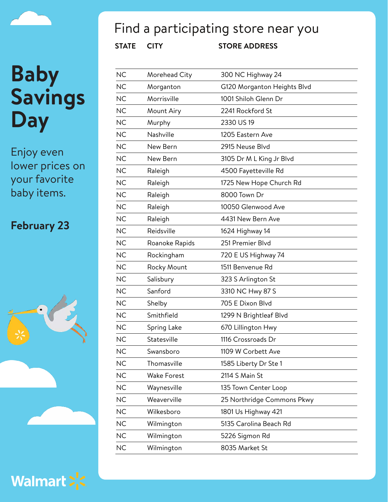Enjoy even lower prices on your favorite baby items.

### **February 23**





## Find a participating store near you

| <b>NC</b> | Morehead City      | 300 NC Highway 24           |
|-----------|--------------------|-----------------------------|
| <b>NC</b> | Morganton          | G120 Morganton Heights Blvd |
| <b>NC</b> | Morrisville        | 1001 Shiloh Glenn Dr        |
| <b>NC</b> | Mount Airy         | 2241 Rockford St            |
| <b>NC</b> | Murphy             | 2330 US19                   |
| <b>NC</b> | Nashville          | 1205 Eastern Ave            |
| <b>NC</b> | New Bern           | 2915 Neuse Blvd             |
| <b>NC</b> | New Bern           | 3105 Dr M L King Jr Blvd    |
| <b>NC</b> | Raleigh            | 4500 Fayetteville Rd        |
| <b>NC</b> | Raleigh            | 1725 New Hope Church Rd     |
| <b>NC</b> | Raleigh            | 8000 Town Dr                |
| <b>NC</b> | Raleigh            | 10050 Glenwood Ave          |
| <b>NC</b> | Raleigh            | 4431 New Bern Ave           |
| <b>NC</b> | Reidsville         | 1624 Highway 14             |
| <b>NC</b> | Roanoke Rapids     | 251 Premier Blvd            |
| <b>NC</b> | Rockingham         | 720 E US Highway 74         |
| <b>NC</b> | Rocky Mount        | 1511 Benvenue Rd            |
| <b>NC</b> | Salisbury          | 323 S Arlington St          |
| <b>NC</b> | Sanford            | 3310 NC Hwy 87 S            |
| <b>NC</b> | Shelby             | 705 E Dixon Blvd            |
| <b>NC</b> | Smithfield         | 1299 N Brightleaf Blvd      |
| <b>NC</b> | Spring Lake        | 670 Lillington Hwy          |
| <b>NC</b> | Statesville        | 1116 Crossroads Dr          |
| <b>NC</b> | Swansboro          | 1109 W Corbett Ave          |
| <b>NC</b> | Thomasville        | 1585 Liberty Dr Ste 1       |
| <b>NC</b> | <b>Wake Forest</b> | 2114 S Main St              |
| <b>NC</b> | Waynesville        | 135 Town Center Loop        |
| <b>NC</b> | Weaverville        | 25 Northridge Commons Pkwy  |
| NC        | Wilkesboro         | 1801 Us Highway 421         |
| NC        | Wilmington         | 5135 Carolina Beach Rd      |
| <b>NC</b> | Wilmington         | 5226 Sigmon Rd              |
| <b>NC</b> | Wilmington         | 8035 Market St              |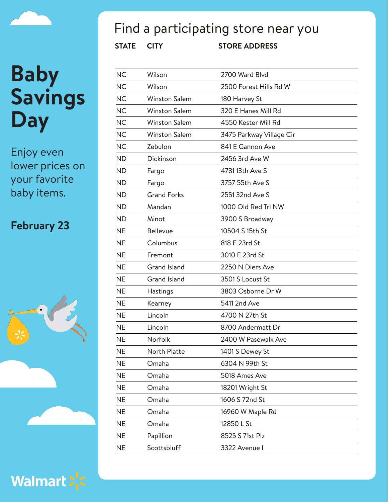Enjoy even lower prices on your favorite baby items.

### **February 23**





### Find a participating store near you

| <b>NC</b> | Wilson               | 2700 Ward Blvd           |
|-----------|----------------------|--------------------------|
| <b>NC</b> | Wilson               | 2500 Forest Hills Rd W   |
| <b>NC</b> | <b>Winston Salem</b> | 180 Harvey St            |
| <b>NC</b> | <b>Winston Salem</b> | 320 E Hanes Mill Rd      |
| <b>NC</b> | <b>Winston Salem</b> | 4550 Kester Mill Rd      |
| <b>NC</b> | <b>Winston Salem</b> | 3475 Parkway Village Cir |
| <b>NC</b> | Zebulon              | 841 E Gannon Ave         |
| <b>ND</b> | Dickinson            | 2456 3rd Ave W           |
| <b>ND</b> | Fargo                | 4731 13th Ave S          |
| <b>ND</b> | Fargo                | 3757 55th Ave S          |
| <b>ND</b> | <b>Grand Forks</b>   | 2551 32nd Ave S          |
| <b>ND</b> | Mandan               | 1000 Old Red Trl NW      |
| <b>ND</b> | Minot                | 3900 S Broadway          |
| <b>NE</b> | Bellevue             | 10504 S 15th St          |
| <b>NE</b> | Columbus             | 818 E 23rd St            |
| <b>NE</b> | Fremont              | 3010 E 23rd St           |
| <b>NE</b> | <b>Grand Island</b>  | 2250 N Diers Ave         |
| <b>NE</b> | <b>Grand Island</b>  | 3501 S Locust St         |
| <b>NE</b> | Hastings             | 3803 Osborne Dr W        |
| <b>NE</b> | Kearney              | 5411 2nd Ave             |
| <b>NE</b> | Lincoln              | 4700 N 27th St           |
| <b>NE</b> | Lincoln              | 8700 Andermatt Dr        |
| <b>NE</b> | Norfolk              | 2400 W Pasewalk Ave      |
| <b>NE</b> | North Platte         | 1401 S Dewey St          |
| <b>NE</b> | Omaha                | 6304 N 99th St           |
| <b>NE</b> | Omaha                | 5018 Ames Ave            |
| <b>NE</b> | Omaha                | 18201 Wright St          |
| <b>NE</b> | Omaha                | 1606 S 72nd St           |
| <b>NE</b> | Omaha                | 16960 W Maple Rd         |
| <b>NE</b> | Omaha                | 12850 L St               |
| <b>NE</b> | Papillion            | 8525 S 71st Plz          |
| <b>NE</b> | Scottsbluff          | 3322 Avenue I            |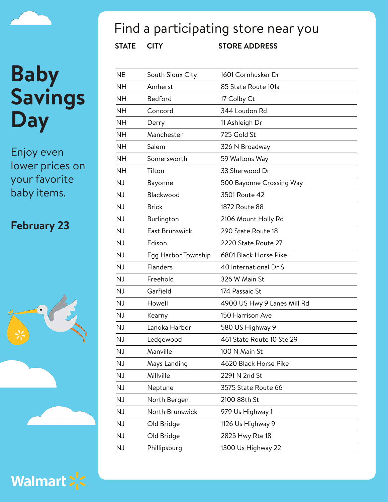Enjoy even lower prices on your favorite baby items.

### **February 23**





## Find a participating store near you

| <b>NE</b> | South Sioux City    | 1601 Cornhusker Dr          |
|-----------|---------------------|-----------------------------|
| <b>NH</b> | Amherst             | 85 State Route 101a         |
| <b>NH</b> | Bedford             | 17 Colby Ct                 |
| <b>NH</b> | Concord             | 344 Loudon Rd               |
| <b>NH</b> | Derry               | 11 Ashleigh Dr              |
| <b>NH</b> | Manchester          | 725 Gold St                 |
| <b>NH</b> | Salem               | 326 N Broadway              |
| <b>NH</b> | Somersworth         | 59 Waltons Way              |
| <b>NH</b> | Tilton              | 33 Sherwood Dr              |
| <b>NJ</b> | Bayonne             | 500 Bayonne Crossing Way    |
| <b>NJ</b> | Blackwood           | 3501 Route 42               |
| <b>NJ</b> | <b>Brick</b>        | 1872 Route 88               |
| <b>NJ</b> | Burlington          | 2106 Mount Holly Rd         |
| <b>NJ</b> | East Brunswick      | 290 State Route 18          |
| <b>NJ</b> | Edison              | 2220 State Route 27         |
| <b>NJ</b> | Egg Harbor Township | 6801 Black Horse Pike       |
| <b>NJ</b> | Flanders            | 40 International Dr S       |
| <b>NJ</b> | Freehold            | 326 W Main St               |
| <b>NJ</b> | Garfield            | 174 Passaic St              |
| <b>NJ</b> | Howell              | 4900 US Hwy 9 Lanes Mill Rd |
| <b>NJ</b> | Kearny              | 150 Harrison Ave            |
| <b>NJ</b> | Lanoka Harbor       | 580 US Highway 9            |
| <b>NJ</b> | Ledgewood           | 461 State Route 10 Ste 29   |
| NJ        | Manville            | 100 N Main St               |
| <b>NJ</b> | Mays Landing        | 4620 Black Horse Pike       |
| <b>NJ</b> | Millville           | 2291 N 2nd St               |
| <b>NJ</b> | Neptune             | 3575 State Route 66         |
| <b>NJ</b> | North Bergen        | 2100 88th St                |
| <b>NJ</b> | North Brunswick     | 979 Us Highway 1            |
| <b>NJ</b> | Old Bridge          | 1126 Us Highway 9           |
| <b>NJ</b> | Old Bridge          | 2825 Hwy Rte 18             |
| <b>NJ</b> | Phillipsburg        | 1300 Us Highway 22          |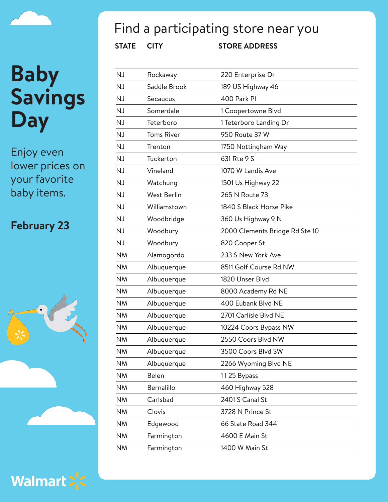Enjoy even lower prices on your favorite baby items.

### **February 23**





### Find a participating store near you

| NJ        | Rockaway           | 220 Enterprise Dr              |
|-----------|--------------------|--------------------------------|
| <b>NJ</b> | Saddle Brook       | 189 US Highway 46              |
| <b>NJ</b> | Secaucus           | 400 Park PI                    |
| <b>NJ</b> | Somerdale          | 1 Coopertowne Blvd             |
| <b>NJ</b> | Teterboro          | 1 Teterboro Landing Dr         |
| <b>NJ</b> | <b>Toms River</b>  | 950 Route 37 W                 |
| <b>NJ</b> | Trenton            | 1750 Nottingham Way            |
| <b>NJ</b> | Tuckerton          | 631 Rte 9 S                    |
| <b>NJ</b> | Vineland           | 1070 W Landis Ave              |
| <b>NJ</b> | Watchung           | 1501 Us Highway 22             |
| <b>NJ</b> | <b>West Berlin</b> | 265 N Route 73                 |
| <b>NJ</b> | Williamstown       | 1840 S Black Horse Pike        |
| <b>NJ</b> | Woodbridge         | 360 Us Highway 9 N             |
| <b>NJ</b> | Woodbury           | 2000 Clements Bridge Rd Ste 10 |
| <b>NJ</b> | Woodbury           | 820 Cooper St                  |
| <b>NM</b> | Alamogordo         | 233 S New York Ave             |
| <b>NM</b> | Albuquerque        | 8511 Golf Course Rd NW         |
| <b>NM</b> | Albuquerque        | 1820 Unser Blvd                |
| <b>NM</b> | Albuquerque        | 8000 Academy Rd NE             |
| <b>NM</b> | Albuquerque        | 400 Eubank Blvd NE             |
| <b>NM</b> | Albuquerque        | 2701 Carlisle Blvd NE          |
| <b>NM</b> | Albuquerque        | 10224 Coors Bypass NW          |
| <b>NM</b> | Albuquerque        | 2550 Coors Blvd NW             |
| ΝM        | Albuquerque        | 3500 Coors Blvd SW             |
| <b>NM</b> | Albuquerque        | 2266 Wyoming Blvd NE           |
| <b>NM</b> | Belen              | 1125 Bypass                    |
| <b>NM</b> | Bernalillo         | 460 Highway 528                |
| <b>NM</b> | Carlsbad           | 2401 S Canal St                |
| <b>NM</b> | Clovis             | 3728 N Prince St               |
| <b>NM</b> | Edgewood           | 66 State Road 344              |
| <b>NM</b> | Farmington         | 4600 E Main St                 |
| <b>NM</b> | Farmington         | 1400 W Main St                 |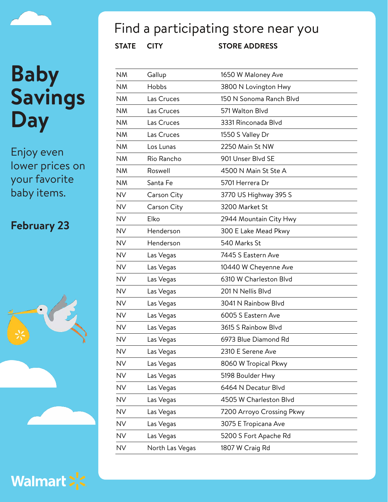Enjoy even lower prices on your favorite baby items.

#### **February 23**





### Find a participating store near you

| <b>NM</b> | Gallup          | 1650 W Maloney Ave        |
|-----------|-----------------|---------------------------|
| <b>NM</b> | Hobbs           | 3800 N Lovington Hwy      |
| <b>NM</b> | Las Cruces      | 150 N Sonoma Ranch Blvd   |
| <b>NM</b> | Las Cruces      | 571 Walton Blvd           |
| <b>NM</b> | Las Cruces      | 3331 Rinconada Blvd       |
| <b>NM</b> | Las Cruces      | 1550 S Valley Dr          |
| <b>NM</b> | Los Lunas       | 2250 Main St NW           |
| <b>NM</b> | Rio Rancho      | 901 Unser Blvd SE         |
| <b>NM</b> | Roswell         | 4500 N Main St Ste A      |
| <b>NM</b> | Santa Fe        | 5701 Herrera Dr           |
| <b>NV</b> | Carson City     | 3770 US Highway 395 S     |
| <b>NV</b> | Carson City     | 3200 Market St            |
| <b>NV</b> | Elko            | 2944 Mountain City Hwy    |
| <b>NV</b> | Henderson       | 300 E Lake Mead Pkwy      |
| <b>NV</b> | Henderson       | 540 Marks St              |
| <b>NV</b> | Las Vegas       | 7445 S Eastern Ave        |
| <b>NV</b> | Las Vegas       | 10440 W Cheyenne Ave      |
| <b>NV</b> | Las Vegas       | 6310 W Charleston Blvd    |
| <b>NV</b> | Las Vegas       | 201 N Nellis Blvd         |
| NV        | Las Vegas       | 3041 N Rainbow Blyd       |
| <b>NV</b> | Las Vegas       | 6005 S Eastern Ave        |
| <b>NV</b> | Las Vegas       | 3615 S Rainbow Blvd       |
| <b>NV</b> | Las Vegas       | 6973 Blue Diamond Rd      |
| <b>NV</b> | Las Vegas       | 2310 E Serene Ave         |
| <b>NV</b> | Las Vegas       | 8060 W Tropical Pkwy      |
| <b>NV</b> | Las Vegas       | 5198 Boulder Hwy          |
| <b>NV</b> | Las Vegas       | 6464 N Decatur Blvd       |
| <b>NV</b> | Las Vegas       | 4505 W Charleston Blvd    |
| <b>NV</b> | Las Vegas       | 7200 Arroyo Crossing Pkwy |
| <b>NV</b> | Las Vegas       | 3075 E Tropicana Ave      |
| <b>NV</b> | Las Vegas       | 5200 S Fort Apache Rd     |
| <b>NV</b> | North Las Vegas | 1807 W Craig Rd           |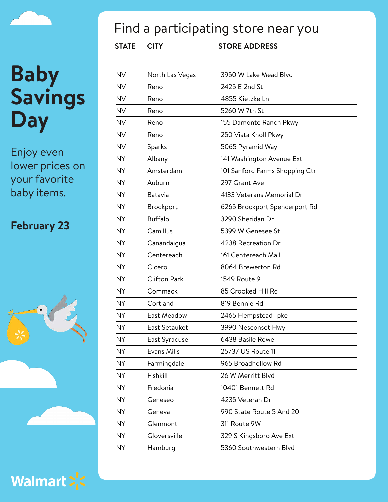Enjoy even lower prices on your favorite baby items.

### **February 23**





## Find a participating store near you

| <b>NV</b> | North Las Vegas     | 3950 W Lake Mead Blvd          |
|-----------|---------------------|--------------------------------|
| <b>NV</b> | Reno                | 2425 E 2nd St                  |
| <b>NV</b> | Reno                | 4855 Kietzke Ln                |
| <b>NV</b> | Reno                | 5260 W 7th St                  |
| <b>NV</b> | Reno                | 155 Damonte Ranch Pkwy         |
| <b>NV</b> | Reno                | 250 Vista Knoll Pkwy           |
| <b>NV</b> | Sparks              | 5065 Pyramid Way               |
| <b>NY</b> | Albany              | 141 Washington Avenue Ext      |
| <b>NY</b> | Amsterdam           | 101 Sanford Farms Shopping Ctr |
| <b>NY</b> | Auburn              | 297 Grant Ave                  |
| <b>NY</b> | Batavia             | 4133 Veterans Memorial Dr      |
| <b>NY</b> | Brockport           | 6265 Brockport Spencerport Rd  |
| <b>NY</b> | <b>Buffalo</b>      | 3290 Sheridan Dr               |
| <b>NY</b> | Camillus            | 5399 W Genesee St              |
| <b>NY</b> | Canandaigua         | 4238 Recreation Dr             |
| <b>NY</b> | Centereach          | 161 Centereach Mall            |
| <b>NY</b> | Cicero              | 8064 Brewerton Rd              |
| <b>NY</b> | <b>Clifton Park</b> | 1549 Route 9                   |
| <b>NY</b> | Commack             | 85 Crooked Hill Rd             |
| <b>NY</b> | Cortland            | 819 Bennie Rd                  |
| <b>NY</b> | East Meadow         | 2465 Hempstead Tpke            |
| <b>NY</b> | East Setauket       | 3990 Nesconset Hwy             |
| <b>NY</b> | East Syracuse       | 6438 Basile Rowe               |
| NY.       | Evans Mills         | 25737 US Route 11              |
| <b>NY</b> | Farmingdale         | 965 Broadhollow Rd             |
| <b>NY</b> | Fishkill            | 26 W Merritt Blvd              |
| <b>NY</b> | Fredonia            | 10401 Bennett Rd               |
| NY.       | Geneseo             | 4235 Veteran Dr                |
| <b>NY</b> | Geneva              | 990 State Route 5 And 20       |
| <b>NY</b> | Glenmont            | 311 Route 9W                   |
| <b>NY</b> | Gloversville        | 329 S Kingsboro Ave Ext        |
| <b>NY</b> | Hamburg             | 5360 Southwestern Blvd         |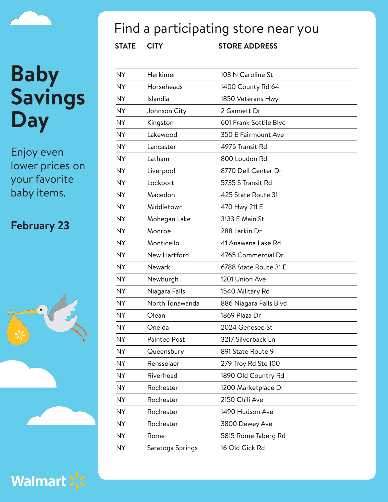Enjoy even lower prices on your favorite baby items.

### **February 23**





### Find a participating store near you

| <b>NY</b> | Herkimer         | 103 N Caroline St      |
|-----------|------------------|------------------------|
| <b>NY</b> | Horseheads       | 1400 County Rd 64      |
| <b>NY</b> | Islandia         | 1850 Veterans Hwy      |
| <b>NY</b> | Johnson City     | 2 Gannett Dr           |
| <b>NY</b> | Kingston         | 601 Frank Sottile Blvd |
| <b>NY</b> | Lakewood         | 350 E Fairmount Ave    |
| <b>NY</b> | Lancaster        | 4975 Transit Rd        |
| <b>NY</b> | Latham           | 800 Loudon Rd          |
| <b>NY</b> | Liverpool        | 8770 Dell Center Dr    |
| <b>NY</b> | Lockport         | 5735 S Transit Rd      |
| <b>NY</b> | Macedon          | 425 State Route 31     |
| <b>NY</b> | Middletown       | 470 Hwy 211 E          |
| <b>NY</b> | Mohegan Lake     | 3133 E Main St         |
| <b>NY</b> | Monroe           | 288 Larkin Dr          |
| <b>NY</b> | Monticello       | 41 Anawana Lake Rd     |
| <b>NY</b> | New Hartford     | 4765 Commercial Dr     |
| <b>NY</b> | Newark           | 6788 State Route 31 E  |
| <b>NY</b> | Newburgh         | 1201 Union Ave         |
| <b>NY</b> | Niagara Falls    | 1540 Military Rd       |
| <b>NY</b> | North Tonawanda  | 886 Niagara Falls Blvd |
| <b>NY</b> | Olean            | 1869 Plaza Dr          |
| <b>NY</b> | Oneida           | 2024 Genesee St        |
| <b>NY</b> | Painted Post     | 3217 Silverback Ln     |
| <b>NY</b> | Queensbury       | 891 State Route 9      |
| <b>NY</b> | Rensselaer       | 279 Troy Rd Ste 100    |
| <b>NY</b> | Riverhead        | 1890 Old Country Rd    |
| <b>NY</b> | Rochester        | 1200 Marketplace Dr    |
| <b>NY</b> | Rochester        | 2150 Chili Ave         |
| <b>NY</b> | Rochester        | 1490 Hudson Ave        |
| <b>NY</b> | Rochester        | 3800 Dewey Ave         |
| <b>NY</b> | Rome             | 5815 Rome Taberg Rd    |
| <b>NY</b> | Saratoga Springs | 16 Old Gick Rd         |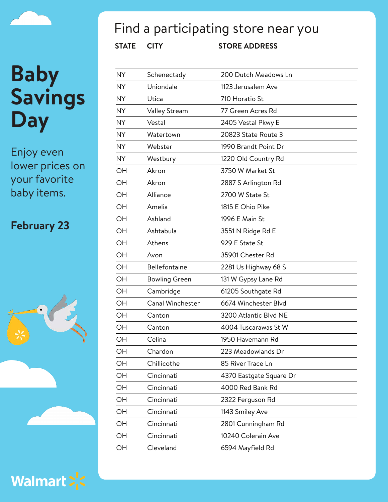Enjoy even lower prices on your favorite baby items.

### **February 23**





## Find a participating store near you

| <b>NY</b> | Schenectady          | 200 Dutch Meadows Ln    |
|-----------|----------------------|-------------------------|
| <b>NY</b> | Uniondale            | 1123 Jerusalem Ave      |
| <b>NY</b> | Utica                | 710 Horatio St          |
| <b>NY</b> | Valley Stream        | 77 Green Acres Rd       |
| <b>NY</b> | Vestal               | 2405 Vestal Pkwy E      |
| <b>NY</b> | Watertown            | 20823 State Route 3     |
| NY.       | Webster              | 1990 Brandt Point Dr    |
| NY.       | Westbury             | 1220 Old Country Rd     |
| OH        | Akron                | 3750 W Market St        |
| OH        | Akron                | 2887 S Arlington Rd     |
| OH        | Alliance             | 2700 W State St         |
| OH        | Amelia               | 1815 E Ohio Pike        |
| OH        | Ashland              | 1996 E Main St          |
| OH        | Ashtabula            | 3551 N Ridge Rd E       |
| OH        | Athens               | 929 E State St          |
| OH        | Avon                 | 35901 Chester Rd        |
| OH        | Bellefontaine        | 2281 Us Highway 68 S    |
| OH        | <b>Bowling Green</b> | 131 W Gypsy Lane Rd     |
| OH        | Cambridge            | 61205 Southgate Rd      |
| OH        | Canal Winchester     | 6674 Winchester Blvd    |
| OH        | Canton               | 3200 Atlantic Blvd NE   |
| OH        | Canton               | 4004 Tuscarawas St W    |
| OH        | Celina               | 1950 Havemann Rd        |
| OH        | Chardon              | 223 Meadowlands Dr      |
| OH        | Chillicothe          | 85 River Trace Ln       |
| OH        | Cincinnati           | 4370 Eastgate Square Dr |
| OH        | Cincinnati           | 4000 Red Bank Rd        |
| OH        | Cincinnati           | 2322 Ferguson Rd        |
| OH        | Cincinnati           | 1143 Smiley Ave         |
| OH        | Cincinnati           | 2801 Cunningham Rd      |
| OH        | Cincinnati           | 10240 Colerain Ave      |
| OH        | Cleveland            | 6594 Mayfield Rd        |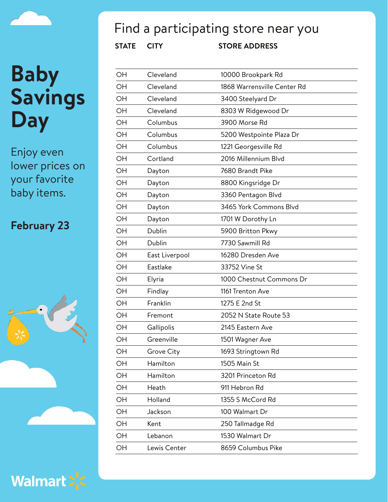

Enjoy even lower prices on your favorite baby items.

#### **February 23**





### Find a participating store near you

| OH | Cleveland         | 10000 Brookpark Rd          |
|----|-------------------|-----------------------------|
| OH | Cleveland         | 1868 Warrensville Center Rd |
| OH | Cleveland         | 3400 Steelyard Dr           |
| OH | Cleveland         | 8303 W Ridgewood Dr         |
| OH | Columbus          | 3900 Morse Rd               |
| OH | Columbus          | 5200 Westpointe Plaza Dr    |
| OH | Columbus          | 1221 Georgesville Rd        |
| OH | Cortland          | 2016 Millennium Blvd        |
| OH | Dayton            | 7680 Brandt Pike            |
| OH | Dayton            | 8800 Kingsridge Dr          |
| OH | Dayton            | 3360 Pentagon Blvd          |
| OH | Dayton            | 3465 York Commons Blvd      |
| OH | Dayton            | 1701 W Dorothy Ln           |
| OH | Dublin            | 5900 Britton Pkwy           |
| OH | Dublin            | 7730 Sawmill Rd             |
| OH | East Liverpool    | 16280 Dresden Ave           |
| OH | Eastlake          | 33752 Vine St               |
| OH | Elyria            | 1000 Chestnut Commons Dr    |
| OH | Findlay           | 1161 Trenton Ave            |
| OH | Franklin          | 1275 E 2nd St               |
| OH | Fremont           | 2052 N State Route 53       |
| OH | Gallipolis        | 2145 Eastern Ave            |
| OH | Greenville        | 1501 Wagner Ave             |
| OH | <b>Grove City</b> | 1693 Stringtown Rd          |
| OH | Hamilton          | 1505 Main St                |
| OH | Hamilton          | 3201 Princeton Rd           |
| OH | Heath             | 911 Hebron Rd               |
| OH | Holland           | 1355 S McCord Rd            |
| OH | Jackson           | 100 Walmart Dr              |
| OH | Kent              | 250 Tallmadge Rd            |
| OH | Lebanon           | 1530 Walmart Dr             |
| OH | Lewis Center      | 8659 Columbus Pike          |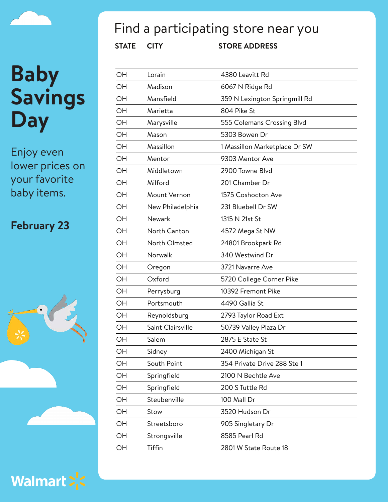Enjoy even lower prices on your favorite baby items.

### **February 23**





### Find a participating store near you

| OH | Lorain            | 4380 Leavitt Rd               |
|----|-------------------|-------------------------------|
| OH | Madison           | 6067 N Ridge Rd               |
| OH | Mansfield         | 359 N Lexington Springmill Rd |
| OH | Marietta          | 804 Pike St                   |
| OH | Marysville        | 555 Colemans Crossing Blvd    |
| OH | Mason             | 5303 Bowen Dr                 |
| OH | Massillon         | 1 Massillon Marketplace Dr SW |
| OH | Mentor            | 9303 Mentor Ave               |
| OH | Middletown        | 2900 Towne Blyd               |
| OH | Milford           | 201 Chamber Dr                |
| OH | Mount Vernon      | 1575 Coshocton Ave            |
| OH | New Philadelphia  | 231 Bluebell Dr SW            |
| OH | Newark            | 1315 N 21st St                |
| OH | North Canton      | 4572 Mega St NW               |
| OН | North Olmsted     | 24801 Brookpark Rd            |
| OH | Norwalk           | 340 Westwind Dr               |
| OH | Oregon            | 3721 Navarre Ave              |
| OH | Oxford            | 5720 College Corner Pike      |
| OH | Perrysburg        | 10392 Fremont Pike            |
| OH | Portsmouth        | 4490 Gallia St                |
| OH | Reynoldsburg      | 2793 Taylor Road Ext          |
| OH | Saint Clairsville | 50739 Valley Plaza Dr         |
| OH | Salem             | 2875 E State St               |
| OH | Sidney            | 2400 Michigan St              |
| OH | South Point       | 354 Private Drive 288 Ste 1   |
| OH | Springfield       | 2100 N Bechtle Ave            |
| OH | Springfield       | 200 S Tuttle Rd               |
| OН | Steubenville      | 100 Mall Dr                   |
| OH | Stow              | 3520 Hudson Dr                |
| OH | Streetsboro       | 905 Singletary Dr             |
| OH | Strongsville      | 8585 Pearl Rd                 |
| OH | Tiffin            | 2801 W State Route 18         |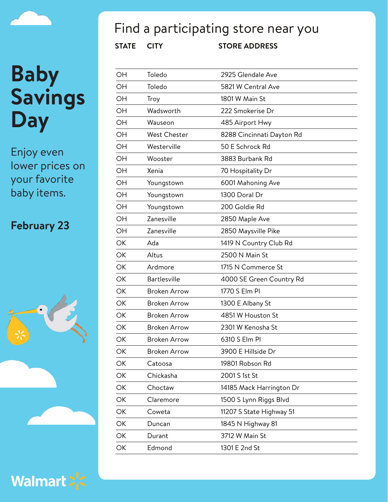Enjoy even lower prices on your favorite baby items.

### **February 23**





### Find a participating store near you

| OН | Toledo              | 2925 Glendale Ave         |
|----|---------------------|---------------------------|
| OН | Toledo              | 5821 W Central Ave        |
| OН | Troy                | 1801 W Main St            |
| OH | Wadsworth           | 222 Smokerise Dr          |
| OН | Wauseon             | 485 Airport Hwy           |
| OH | <b>West Chester</b> | 8288 Cincinnati Dayton Rd |
| OН | Westerville         | 50 E Schrock Rd           |
| OН | Wooster             | 3883 Burbank Rd           |
| OН | Xenia               | 70 Hospitality Dr         |
| OН | Youngstown          | 6001 Mahoning Ave         |
| OH | Youngstown          | 1300 Doral Dr             |
| OН | Youngstown          | 200 Goldie Rd             |
| OH | Zanesville          | 2850 Maple Ave            |
| OН | Zanesville          | 2850 Maysville Pike       |
| ОК | Ada                 | 1419 N Country Club Rd    |
| OK | Altus               | 2500 N Main St            |
| ОК | Ardmore             | 1715 N Commerce St        |
| OK | <b>Bartlesville</b> | 4000 SE Green Country Rd  |
| ОК | <b>Broken Arrow</b> | 1770 S Elm Pl             |
| ОК | <b>Broken Arrow</b> | 1300 E Albany St          |
| ОК | <b>Broken Arrow</b> | 4851 W Houston St         |
| ОК | <b>Broken Arrow</b> | 2301 W Kenosha St         |
| ОК | <b>Broken Arrow</b> | 6310 S Elm Pl             |
| ОК | <b>Broken Arrow</b> | 3900 E Hillside Dr        |
| ОК | Catoosa             | 19801 Robson Rd           |
| ОK | Chickasha           | 2001 S 1st St             |
| OK | Choctaw             | 14185 Mack Harrington Dr  |
| OK | Claremore           | 1500 S Lynn Riggs Blvd    |
| OK | Coweta              | 11207 S State Highway 51  |
| OK | Duncan              | 1845 N Highway 81         |
| OK | Durant              | 3712 W Main St            |
| ОΚ | Edmond              | 1301 E 2nd St             |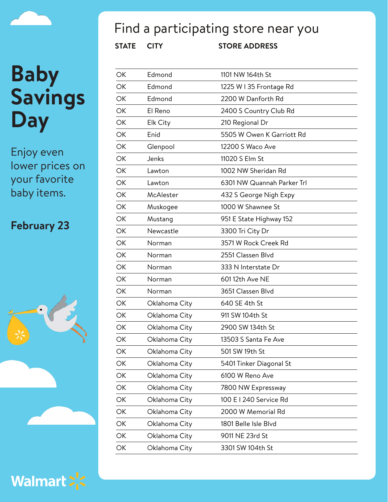

Enjoy even lower prices on your favorite baby items.

### **February 23**



Walmart > <

### Find a participating store near you

| ОΚ | Edmond        | 1101 NW 164th St           |
|----|---------------|----------------------------|
| ОК | Edmond        | 1225 W I 35 Frontage Rd    |
| ОК | Edmond        | 2200 W Danforth Rd         |
| OK | El Reno       | 2400 S Country Club Rd     |
| ОК | Elk City      | 210 Regional Dr            |
| OK | Enid          | 5505 W Owen K Garriott Rd  |
| ОК | Glenpool      | 12200 S Waco Ave           |
| ОК | Jenks         | 11020 S Elm St             |
| OK | Lawton        | 1002 NW Sheridan Rd        |
| ОК | Lawton        | 6301 NW Quannah Parker Trl |
| OK | McAlester     | 432 S George Nigh Expy     |
| ОК | Muskogee      | 1000 W Shawnee St          |
| OK | Mustang       | 951 E State Highway 152    |
| ОК | Newcastle     | 3300 Tri City Dr           |
| ОК | Norman        | 3571 W Rock Creek Rd       |
| OK | Norman        | 2551 Classen Blvd          |
| ОК | Norman        | 333 N Interstate Dr        |
| OK | Norman        | 601 12th Ave NE            |
| ОК | Norman        | 3651 Classen Blvd          |
| ОК | Oklahoma City | 640 SE 4th St              |
| ОК | Oklahoma City | 911 SW 104th St            |
| ОК | Oklahoma City | 2900 SW 134th St           |
| ОК | Oklahoma City | 13503 S Santa Fe Ave       |
| OK | Oklahoma City | 501 SW 19th St             |
| ОК | Oklahoma City | 5401 Tinker Diagonal St    |
| ОК | Oklahoma City | 6100 W Reno Ave            |
| OK | Oklahoma City | 7800 NW Expressway         |
| ОК | Oklahoma City | 100 E I 240 Service Rd     |
| OK | Oklahoma City | 2000 W Memorial Rd         |
| ОК | Oklahoma City | 1801 Belle Isle Blvd       |
| OK | Oklahoma City | 9011 NE 23rd St            |
| ОК | Oklahoma City | 3301 SW 104th St           |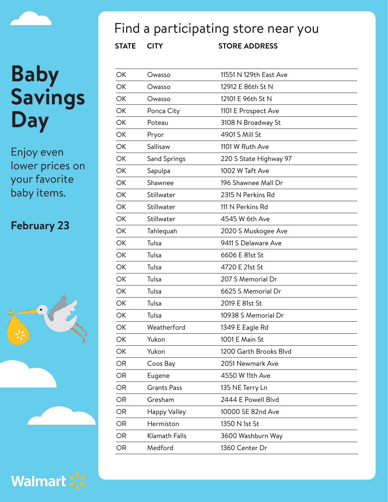Enjoy even lower prices on your favorite baby items.

### **February 23**





## Find a participating store near you

| ОК | Owasso              | 11551 N 129th East Ave |
|----|---------------------|------------------------|
| ОК | Owasso              | 12912 E 86th St N      |
| OK | Owasso              | 12101 E 96th St N      |
| OK | Ponca City          | 1101 E Prospect Ave    |
| OK | Poteau              | 3108 N Broadway St     |
| OK | Pryor               | 4901 S Mill St         |
| OK | Sallisaw            | 1101 W Ruth Ave        |
| OK | Sand Springs        | 220 S State Highway 97 |
| OK | Sapulpa             | 1002 W Taft Ave        |
| OK | Shawnee             | 196 Shawnee Mall Dr    |
| OK | Stillwater          | 2315 N Perkins Rd      |
| ОК | Stillwater          | 111 N Perkins Rd       |
| OK | Stillwater          | 4545 W 6th Ave         |
| OK | Tahlequah           | 2020 S Muskogee Ave    |
| OK | Tulsa               | 9411 S Delaware Ave    |
| OK | Tulsa               | 6606 E 81st St         |
| OK | Tulsa               | 4720 E 21st St         |
| OK | Tulsa               | 207 S Memorial Dr      |
| OK | Tulsa               | 6625 S Memorial Dr     |
| OK | Tulsa               | 2019 E 81st St         |
| OK | Tulsa               | 10938 S Memorial Dr    |
| ОК | Weatherford         | 1349 E Eagle Rd        |
| OK | Yukon               | 1001 E Main St         |
| ОК | Yukon               | 1200 Garth Brooks Blvd |
| OR | Coos Bay            | 2051 Newmark Ave       |
| OR | Eugene              | 4550 W 11th Ave        |
| OR | <b>Grants Pass</b>  | 135 NE Terry Ln        |
| OR | Gresham             | 2444 E Powell Blvd     |
| OR | <b>Happy Valley</b> | 10000 SE 82nd Ave      |
| OR | Hermiston           | 1350 N 1st St          |
| OR | Klamath Falls       | 3600 Washburn Way      |
| OR | Medford             | 1360 Center Dr         |

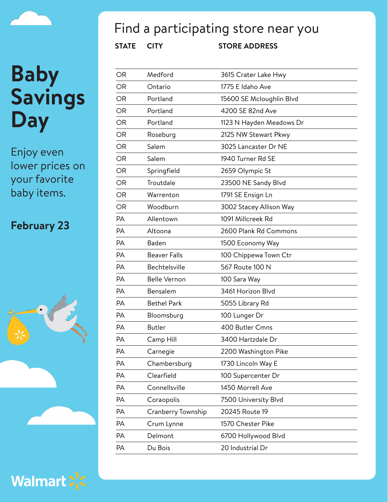Enjoy even lower prices on your favorite baby items.

### **February 23**





### Find a participating store near you

| OR        | Medford             | 3615 Crater Lake Hwy     |
|-----------|---------------------|--------------------------|
| <b>OR</b> | Ontario             | 1775 E Idaho Ave         |
| <b>OR</b> | Portland            | 15600 SE Mcloughlin Blvd |
| <b>OR</b> | Portland            | 4200 SE 82nd Ave         |
| OR        | Portland            | 1123 N Hayden Meadows Dr |
| <b>OR</b> | Roseburg            | 2125 NW Stewart Pkwy     |
| OR        | Salem               | 3025 Lancaster Dr NE     |
| <b>OR</b> | Salem               | 1940 Turner Rd SE        |
| <b>OR</b> | Springfield         | 2659 Olympic St          |
| OR        | Troutdale           | 23500 NE Sandy Blvd      |
| <b>OR</b> | Warrenton           | 1791 SE Ensign Ln        |
| OR        | Woodburn            | 3002 Stacey Allison Way  |
| PA        | Allentown           | 1091 Millcreek Rd        |
| <b>PA</b> | Altoona             | 2600 Plank Rd Commons    |
| <b>PA</b> | Baden               | 1500 Economy Way         |
| PA        | <b>Beaver Falls</b> | 100 Chippewa Town Ctr    |
| <b>PA</b> | Bechtelsville       | 567 Route 100 N          |
| <b>PA</b> | <b>Belle Vernon</b> | 100 Sara Way             |
| <b>PA</b> | Bensalem            | 3461 Horizon Blvd        |
| <b>PA</b> | <b>Bethel Park</b>  | 5055 Library Rd          |
| <b>PA</b> | Bloomsburg          | 100 Lunger Dr            |
| <b>PA</b> | <b>Butler</b>       | 400 Butler Cmns          |
| <b>PA</b> | Camp Hill           | 3400 Hartzdale Dr        |
| PA        | Carnegie            | 2200 Washington Pike     |
| PA        | Chambersburg        | 1730 Lincoln Way E       |
| PA        | Clearfield          | 100 Supercenter Dr       |
| PA        | Connellsville       | 1450 Morrell Ave         |
| PA        | Coraopolis          | 7500 University Blvd     |
| PA        | Cranberry Township  | 20245 Route 19           |
| PA        | Crum Lynne          | 1570 Chester Pike        |
| PA        | Delmont             | 6700 Hollywood Blvd      |
| PA        | Du Bois             | 20 Industrial Dr         |
|           |                     |                          |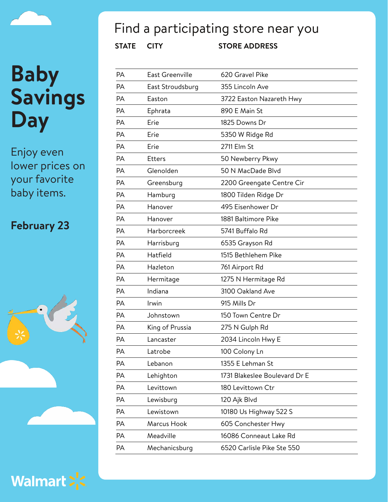Enjoy even lower prices on your favorite baby items.

### **February 23**





## Find a participating store near you

| PA        | <b>East Greenville</b> | 620 Gravel Pike               |
|-----------|------------------------|-------------------------------|
| PA        | East Stroudsburg       | 355 Lincoln Ave               |
| <b>PA</b> | Easton                 | 3722 Easton Nazareth Hwy      |
| <b>PA</b> | Ephrata                | 890 E Main St                 |
| <b>PA</b> | Erie                   | 1825 Downs Dr                 |
| <b>PA</b> | Erie                   | 5350 W Ridge Rd               |
| PA        | Erie                   | 2711 Elm St                   |
| <b>PA</b> | <b>Etters</b>          | 50 Newberry Pkwy              |
| <b>PA</b> | Glenolden              | 50 N MacDade Blyd             |
| <b>PA</b> | Greensburg             | 2200 Greengate Centre Cir     |
| <b>PA</b> | Hamburg                | 1800 Tilden Ridge Dr          |
| <b>PA</b> | Hanover                | 495 Eisenhower Dr             |
| <b>PA</b> | Hanover                | 1881 Baltimore Pike           |
| <b>PA</b> | Harborcreek            | 5741 Buffalo Rd               |
| <b>PA</b> | Harrisburg             | 6535 Grayson Rd               |
| PA        | Hatfield               | 1515 Bethlehem Pike           |
| <b>PA</b> | Hazleton               | 761 Airport Rd                |
| <b>PA</b> | Hermitage              | 1275 N Hermitage Rd           |
| PA        | Indiana                | 3100 Oakland Ave              |
| <b>PA</b> | Irwin                  | 915 Mills Dr                  |
| PA        | Johnstown              | 150 Town Centre Dr            |
| PA        | King of Prussia        | 275 N Gulph Rd                |
| <b>PA</b> | Lancaster              | 2034 Lincoln Hwy E            |
| PА        | Latrobe                | 100 Colony Ln                 |
| PA        | Lebanon                | 1355 E Lehman St              |
| PA        | Lehighton              | 1731 Blakeslee Boulevard Dr E |
| PA        | Levittown              | 180 Levittown Ctr             |
| PA        | Lewisburg              | 120 Ajk Blvd                  |
| PA        | Lewistown              | 10180 Us Highway 522 S        |
| PA        | Marcus Hook            | 605 Conchester Hwy            |
| PA        | Meadville              | 16086 Conneaut Lake Rd        |
| PA        | Mechanicsburg          | 6520 Carlisle Pike Ste 550    |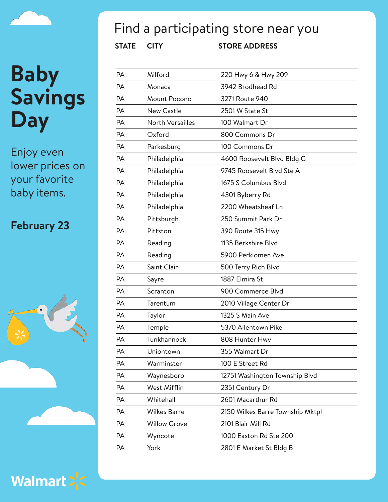Enjoy even lower prices on your favorite baby items.

### **February 23**





### Find a participating store near you

| <b>PA</b> | Milford             | 220 Hwy 6 & Hwy 209              |
|-----------|---------------------|----------------------------------|
| PA        | Monaca              | 3942 Brodhead Rd                 |
| PA        | Mount Pocono        | 3271 Route 940                   |
| PA        | <b>New Castle</b>   | 2501 W State St                  |
| PA        | North Versailles    | 100 Walmart Dr                   |
| PA        | Oxford              | 800 Commons Dr                   |
| PA        | Parkesburg          | 100 Commons Dr                   |
| PA        | Philadelphia        | 4600 Roosevelt Blvd Bldg G       |
| PA        | Philadelphia        | 9745 Roosevelt Blvd Ste A        |
| PA        | Philadelphia        | 1675 S Columbus Blvd             |
| PA        | Philadelphia        | 4301 Byberry Rd                  |
| PA        | Philadelphia        | 2200 Wheatsheaf Ln               |
| PA        | Pittsburgh          | 250 Summit Park Dr               |
| PA        | Pittston            | 390 Route 315 Hwy                |
| PA        | Reading             | 1135 Berkshire Blvd              |
| PA        | Reading             | 5900 Perkiomen Ave               |
| PA        | Saint Clair         | 500 Terry Rich Blvd              |
| PA        | Sayre               | 1887 Elmira St                   |
| PA        | Scranton            | 900 Commerce Blvd                |
| PA        | Tarentum            | 2010 Village Center Dr           |
| PA        | Taylor              | 1325 S Main Ave                  |
| PA        | Temple              | 5370 Allentown Pike              |
| PA        | Tunkhannock         | 808 Hunter Hwy                   |
| PA        | Uniontown           | 355 Walmart Dr                   |
| PA        | Warminster          | 100 E Street Rd                  |
| PA        | Waynesboro          | 12751 Washington Township Blvd   |
| PA        | West Mifflin        | 2351 Century Dr                  |
| PA        | Whitehall           | 2601 Macarthur Rd                |
| PA        | <b>Wilkes Barre</b> | 2150 Wilkes Barre Township Mktpl |
| PA        | <b>Willow Grove</b> | 2101 Blair Mill Rd               |
| PA        | Wyncote             | 1000 Easton Rd Ste 200           |
| PA        | York                | 2801 E Market St Bldg B          |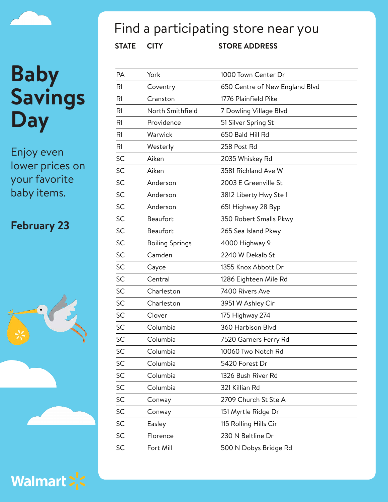Enjoy even lower prices on your favorite baby items.

### **February 23**





### Find a participating store near you

| PА | York                   | 1000 Town Center Dr            |
|----|------------------------|--------------------------------|
| RI | Coventry               | 650 Centre of New England Blvd |
| RI | Cranston               | 1776 Plainfield Pike           |
| RI | North Smithfield       | 7 Dowling Village Blvd         |
| RI | Providence             | 51 Silver Spring St            |
| RI | Warwick                | 650 Bald Hill Rd               |
| RI | Westerly               | 258 Post Rd                    |
| SC | Aiken                  | 2035 Whiskey Rd                |
| SC | Aiken                  | 3581 Richland Ave W            |
| SC | Anderson               | 2003 E Greenville St           |
| SC | Anderson               | 3812 Liberty Hwy Ste 1         |
| SC | Anderson               | 651 Highway 28 Byp             |
| SC | Beaufort               | 350 Robert Smalls Pkwy         |
| SC | Beaufort               | 265 Sea Island Pkwy            |
| SC | <b>Boiling Springs</b> | 4000 Highway 9                 |
| SC | Camden                 | 2240 W Dekalb St               |
| SC | Cayce                  | 1355 Knox Abbott Dr            |
| SC | Central                | 1286 Eighteen Mile Rd          |
| SC | Charleston             | 7400 Rivers Ave                |
| SC | Charleston             | 3951 W Ashley Cir              |
| SC | Clover                 | 175 Highway 274                |
| SC | Columbia               | 360 Harbison Blvd              |
| SC | Columbia               | 7520 Garners Ferry Rd          |
| SC | Columbia               | 10060 Two Notch Rd             |
| SC | Columbia               | 5420 Forest Dr                 |
| SC | Columbia               | 1326 Bush River Rd             |
| SC | Columbia               | 321 Killian Rd                 |
| SC | Conway                 | 2709 Church St Ste A           |
| SC | Conway                 | 151 Myrtle Ridge Dr            |
| SC | Easley                 | 115 Rolling Hills Cir          |
| SC | Florence               | 230 N Beltline Dr              |
| SC | Fort Mill              | 500 N Dobys Bridge Rd          |
|    |                        |                                |

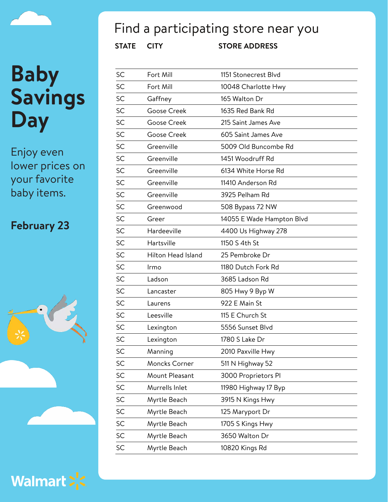Enjoy even lower prices on your favorite baby items.

### **February 23**





### Find a participating store near you

| SC        | Fort Mill          | 1151 Stonecrest Blvd      |
|-----------|--------------------|---------------------------|
| SC        | Fort Mill          | 10048 Charlotte Hwy       |
| <b>SC</b> | Gaffney            | 165 Walton Dr             |
| SC        | <b>Goose Creek</b> | 1635 Red Bank Rd          |
| SC        | Goose Creek        | 215 Saint James Ave       |
| SC        | Goose Creek        | 605 Saint James Ave       |
| SC        | Greenville         | 5009 Old Buncombe Rd      |
| SC        | Greenville         | 1451 Woodruff Rd          |
| SC        | Greenville         | 6134 White Horse Rd       |
| SC        | Greenville         | 11410 Anderson Rd         |
| SC        | Greenville         | 3925 Pelham Rd            |
| SC        | Greenwood          | 508 Bypass 72 NW          |
| SC        | Greer              | 14055 E Wade Hampton Blvd |
| SC        | Hardeeville        | 4400 Us Highway 278       |
| SC        | Hartsville         | 1150 S 4th St             |
| SC        | Hilton Head Island | 25 Pembroke Dr            |
| SC        | Irmo               | 1180 Dutch Fork Rd        |
| SC        | Ladson             | 3685 Ladson Rd            |
| SC        | Lancaster          | 805 Hwy 9 Byp W           |
| SC        | Laurens            | 922 E Main St             |
| SC        | Leesville          | 115 E Church St           |
| SC        | Lexington          | 5556 Sunset Blvd          |
| SC        | Lexington          | 1780 S Lake Dr            |
| SC        | Manning            | 2010 Paxville Hwy         |
| SC        | Moncks Corner      | 511 N Highway 52          |
| SC        | Mount Pleasant     | 3000 Proprietors Pl       |
| SC        | Murrells Inlet     | 11980 Highway 17 Byp      |
| SC        | Myrtle Beach       | 3915 N Kings Hwy          |
| SC        | Myrtle Beach       | 125 Maryport Dr           |
| SC        | Myrtle Beach       | 1705 S Kings Hwy          |
| SC        | Myrtle Beach       | 3650 Walton Dr            |
| <b>SC</b> | Myrtle Beach       | 10820 Kings Rd            |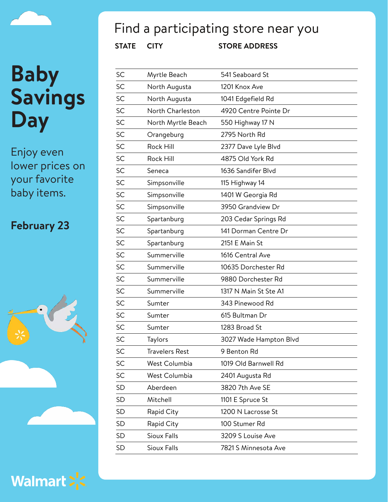Enjoy even lower prices on your favorite baby items.

### **February 23**





### Find a participating store near you

| SC        | Myrtle Beach       | 541 Seaboard St        |
|-----------|--------------------|------------------------|
| SC        | North Augusta      | 1201 Knox Ave          |
| SC        | North Augusta      | 1041 Edgefield Rd      |
| SC        | North Charleston   | 4920 Centre Pointe Dr  |
| SC        | North Myrtle Beach | 550 Highway 17 N       |
| SC        | Orangeburg         | 2795 North Rd          |
| SC        | Rock Hill          | 2377 Dave Lyle Blvd    |
| SC        | Rock Hill          | 4875 Old York Rd       |
| SC        | Seneca             | 1636 Sandifer Blvd     |
| SC        | Simpsonville       | 115 Highway 14         |
| SC        | Simpsonville       | 1401 W Georgia Rd      |
| SC        | Simpsonville       | 3950 Grandview Dr      |
| SC        | Spartanburg        | 203 Cedar Springs Rd   |
| SC        | Spartanburg        | 141 Dorman Centre Dr   |
| SC        | Spartanburg        | 2151 E Main St         |
| SC        | Summerville        | 1616 Central Ave       |
| SC        | Summerville        | 10635 Dorchester Rd    |
| SC        | Summerville        | 9880 Dorchester Rd     |
| SC        | Summerville        | 1317 N Main St Ste A1  |
| SC        | Sumter             | 343 Pinewood Rd        |
| SC        | Sumter             | 615 Bultman Dr         |
| SC        | Sumter             | 1283 Broad St          |
| SC        | Taylors            | 3027 Wade Hampton Blvd |
| SC        | Travelers Rest     | 9 Benton Rd            |
| SC        | West Columbia      | 1019 Old Barnwell Rd   |
| SC        | West Columbia      | 2401 Augusta Rd        |
| <b>SD</b> | Aberdeen           | 3820 7th Ave SE        |
| SD        | Mitchell           | 1101 E Spruce St       |
| SD        | Rapid City         | 1200 N Lacrosse St     |
| SD        | Rapid City         | 100 Stumer Rd          |
| <b>SD</b> | Sioux Falls        | 3209 S Louise Ave      |
| <b>SD</b> | <b>Sioux Falls</b> | 7821 S Minnesota Ave   |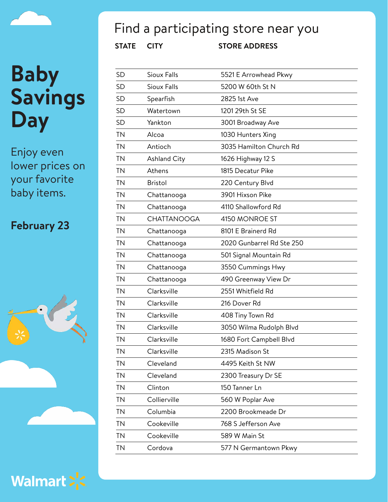Enjoy even lower prices on your favorite baby items.

#### **February 23**





**STATE CITY STORE ADDRESS** Find a participating store near you SD Sioux Falls 5521 E Arrowhead Pkwy

| <b>SD</b> | <b>Sioux Falls</b>  | 5200 W 60th St N          |
|-----------|---------------------|---------------------------|
| <b>SD</b> | Spearfish           | 2825 1st Ave              |
| <b>SD</b> | Watertown           | 1201 29th St SE           |
| <b>SD</b> | Yankton             | 3001 Broadway Ave         |
| <b>TN</b> | Alcoa               | 1030 Hunters Xing         |
| <b>TN</b> | Antioch             | 3035 Hamilton Church Rd   |
| <b>TN</b> | <b>Ashland City</b> | 1626 Highway 12 S         |
| <b>TN</b> | Athens              | 1815 Decatur Pike         |
| <b>TN</b> | <b>Bristol</b>      | 220 Century Blvd          |
| <b>TN</b> | Chattanooga         | 3901 Hixson Pike          |
| <b>TN</b> | Chattanooga         | 4110 Shallowford Rd       |
| <b>TN</b> | <b>CHATTANOOGA</b>  | 4150 MONROE ST            |
| <b>TN</b> | Chattanooga         | 8101 E Brainerd Rd        |
| <b>TN</b> | Chattanooga         | 2020 Gunbarrel Rd Ste 250 |
| <b>TN</b> | Chattanooga         | 501 Signal Mountain Rd    |
| <b>TN</b> | Chattanooga         | 3550 Cummings Hwy         |
| <b>TN</b> | Chattanooga         | 490 Greenway View Dr      |
| <b>TN</b> | Clarksville         | 2551 Whitfield Rd         |
| <b>TN</b> | Clarksville         | 216 Dover Rd              |
| <b>TN</b> | Clarksville         | 408 Tiny Town Rd          |
| <b>TN</b> | Clarksville         | 3050 Wilma Rudolph Blvd   |
| <b>TN</b> | Clarksville         | 1680 Fort Campbell Blvd   |
| <b>TN</b> | Clarksville         | 2315 Madison St           |
| TN        | Cleveland           | 4495 Keith St NW          |
| <b>TN</b> | Cleveland           | 2300 Treasury Dr SE       |
| <b>TN</b> | Clinton             | 150 Tanner Ln             |
| <b>TN</b> | Collierville        | 560 W Poplar Ave          |
| <b>TN</b> | Columbia            | 2200 Brookmeade Dr        |
| <b>TN</b> | Cookeville          | 768 S Jefferson Ave       |
| <b>TN</b> | Cookeville          | 589 W Main St             |
| <b>TN</b> | Cordova             | 577 N Germantown Pkwy     |

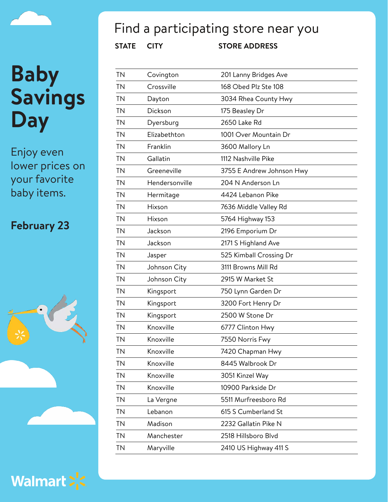## **Baby Savings**

**Day**

Enjoy even lower prices on your favorite baby items.

#### **February 23**





### Find a participating store near you

| TN        | Covington      | 201 Lanny Bridges Ave     |
|-----------|----------------|---------------------------|
| <b>TN</b> | Crossville     | 168 Obed Plz Ste 108      |
| <b>TN</b> | Dayton         | 3034 Rhea County Hwy      |
| <b>TN</b> | Dickson        | 175 Beasley Dr            |
| <b>TN</b> | Dyersburg      | 2650 Lake Rd              |
| <b>TN</b> | Elizabethton   | 1001 Over Mountain Dr     |
| <b>TN</b> | Franklin       | 3600 Mallory Ln           |
| <b>TN</b> | Gallatin       | 1112 Nashville Pike       |
| <b>TN</b> | Greeneville    | 3755 E Andrew Johnson Hwy |
| TN        | Hendersonville | 204 N Anderson Ln         |
| <b>TN</b> | Hermitage      | 4424 Lebanon Pike         |
| <b>TN</b> | Hixson         | 7636 Middle Valley Rd     |
| <b>TN</b> | Hixson         | 5764 Highway 153          |
| <b>TN</b> | Jackson        | 2196 Emporium Dr          |
| <b>TN</b> | Jackson        | 2171 S Highland Ave       |
| <b>TN</b> | Jasper         | 525 Kimball Crossing Dr   |
| <b>TN</b> | Johnson City   | 3111 Browns Mill Rd       |
| <b>TN</b> | Johnson City   | 2915 W Market St          |
| <b>TN</b> | Kingsport      | 750 Lynn Garden Dr        |
| <b>TN</b> | Kingsport      | 3200 Fort Henry Dr        |
| <b>TN</b> | Kingsport      | 2500 W Stone Dr           |
| <b>TN</b> | Knoxville      | 6777 Clinton Hwy          |
| <b>TN</b> | Knoxville      | 7550 Norris Fwy           |
| TΝ        | Knoxville      | 7420 Chapman Hwy          |
| <b>TN</b> | Knoxville      | 8445 Walbrook Dr          |
| <b>TN</b> | Knoxville      | 3051 Kinzel Way           |
| <b>TN</b> | Knoxville      | 10900 Parkside Dr         |
| <b>TN</b> | La Vergne      | 5511 Murfreesboro Rd      |
| <b>TN</b> | Lebanon        | 615 S Cumberland St       |
| <b>TN</b> | Madison        | 2232 Gallatin Pike N      |
| <b>TN</b> | Manchester     | 2518 Hillsboro Blvd       |
| <b>TN</b> | Maryville      | 2410 US Highway 411 S     |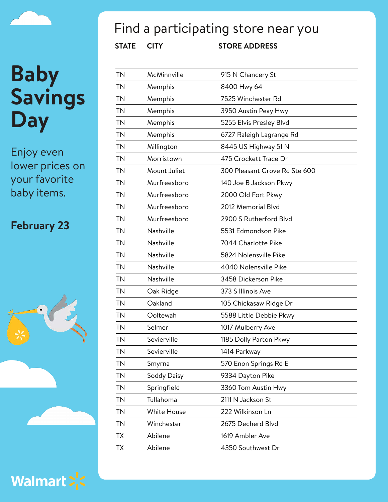# **Baby Savings**

**Day**

Enjoy even lower prices on your favorite baby items.

#### **February 23**





### Find a participating store near you

| <b>TN</b> | McMinnville  | 915 N Chancery St             |
|-----------|--------------|-------------------------------|
| <b>TN</b> | Memphis      | 8400 Hwy 64                   |
| <b>TN</b> | Memphis      | 7525 Winchester Rd            |
| <b>TN</b> | Memphis      | 3950 Austin Peay Hwy          |
| <b>TN</b> | Memphis      | 5255 Elvis Presley Blvd       |
| <b>TN</b> | Memphis      | 6727 Raleigh Lagrange Rd      |
| <b>TN</b> | Millington   | 8445 US Highway 51 N          |
| <b>TN</b> | Morristown   | 475 Crockett Trace Dr         |
| <b>TN</b> | Mount Juliet | 300 Pleasant Grove Rd Ste 600 |
| <b>TN</b> | Murfreesboro | 140 Joe B Jackson Pkwy        |
| <b>TN</b> | Murfreesboro | 2000 Old Fort Pkwy            |
| <b>TN</b> | Murfreesboro | 2012 Memorial Blvd            |
| <b>TN</b> | Murfreesboro | 2900 S Rutherford Blvd        |
| <b>TN</b> | Nashville    | 5531 Edmondson Pike           |
| <b>TN</b> | Nashville    | 7044 Charlotte Pike           |
| <b>TN</b> | Nashville    | 5824 Nolensville Pike         |
| <b>TN</b> | Nashville    | 4040 Nolensville Pike         |
| <b>TN</b> | Nashville    | 3458 Dickerson Pike           |
| <b>TN</b> | Oak Ridge    | 373 S Illinois Ave            |
| <b>TN</b> | Oakland      | 105 Chickasaw Ridge Dr        |
| <b>TN</b> | Ooltewah     | 5588 Little Debbie Pkwy       |
| <b>TN</b> | Selmer       | 1017 Mulberry Ave             |
| <b>TN</b> | Sevierville  | 1185 Dolly Parton Pkwy        |
| ΤN        | Sevierville  | 1414 Parkway                  |
| <b>TN</b> | Smyrna       | 570 Enon Springs Rd E         |
| <b>TN</b> | Soddy Daisy  | 9334 Dayton Pike              |
| <b>TN</b> | Springfield  | 3360 Tom Austin Hwy           |
| <b>TN</b> | Tullahoma    | 2111 N Jackson St             |
| <b>TN</b> | White House  | 222 Wilkinson Ln              |
| ΤN        | Winchester   | 2675 Decherd Blvd             |
| <b>TX</b> | Abilene      | 1619 Ambler Ave               |
| ТX        | Abilene      | 4350 Southwest Dr             |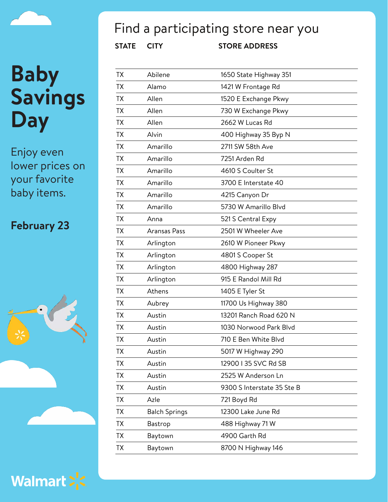Enjoy even lower prices on your favorite baby items.

#### **February 23**





### Find a participating store near you

| ТX        | Abilene              | 1650 State Highway 351     |
|-----------|----------------------|----------------------------|
| ТX        | Alamo                | 1421 W Frontage Rd         |
| <b>TX</b> | Allen                | 1520 E Exchange Pkwy       |
| <b>TX</b> | Allen                | 730 W Exchange Pkwy        |
| <b>TX</b> | Allen                | 2662 W Lucas Rd            |
| <b>TX</b> | Alvin                | 400 Highway 35 Byp N       |
| ТX        | Amarillo             | 2711 SW 58th Ave           |
| <b>TX</b> | Amarillo             | 7251 Arden Rd              |
| TX        | Amarillo             | 4610 S Coulter St          |
| <b>TX</b> | Amarillo             | 3700 E Interstate 40       |
| <b>TX</b> | Amarillo             | 4215 Canyon Dr             |
| ТX        | Amarillo             | 5730 W Amarillo Blvd       |
| <b>TX</b> | Anna                 | 521 S Central Expy         |
| TX        | Aransas Pass         | 2501 W Wheeler Ave         |
| <b>TX</b> | Arlington            | 2610 W Pioneer Pkwy        |
| <b>TX</b> | Arlington            | 4801 S Cooper St           |
| ТX        | Arlington            | 4800 Highway 287           |
| <b>TX</b> | Arlington            | 915 E Randol Mill Rd       |
| ТX        | Athens               | 1405 E Tyler St            |
| <b>TX</b> | Aubrey               | 11700 Us Highway 380       |
| <b>TX</b> | Austin               | 13201 Ranch Road 620 N     |
| <b>TX</b> | Austin               | 1030 Norwood Park Blvd     |
| <b>TX</b> | Austin               | 710 E Ben White Blyd       |
| TХ        | Austin               | 5017 W Highway 290         |
| ТX        | Austin               | 12900 I 35 SVC Rd SB       |
| <b>TX</b> | Austin               | 2525 W Anderson Ln         |
| <b>TX</b> | Austin               | 9300 S Interstate 35 Ste B |
| <b>TX</b> | Azle                 | 721 Boyd Rd                |
| <b>TX</b> | <b>Balch Springs</b> | 12300 Lake June Rd         |
| <b>TX</b> | Bastrop              | 488 Highway 71 W           |
| <b>TX</b> | Baytown              | 4900 Garth Rd              |
| ТX        | Baytown              | 8700 N Highway 146         |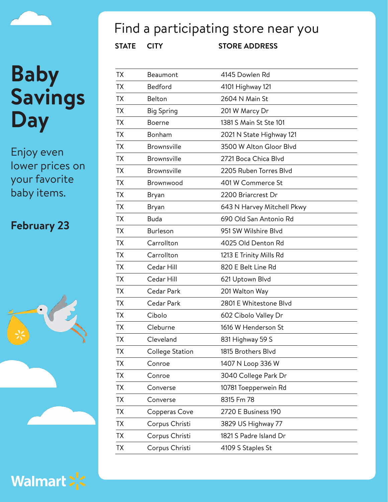Enjoy even lower prices on your favorite baby items.

#### **February 23**





### Find a participating store near you

| TX        | Beaumont           | 4145 Dowlen Rd             |
|-----------|--------------------|----------------------------|
| TX        | Bedford            | 4101 Highway 121           |
| ТX        | Belton             | 2604 N Main St             |
| TX        | <b>Big Spring</b>  | 201 W Marcy Dr             |
| ТX        | <b>Boerne</b>      | 1381 S Main St Ste 101     |
| TX        | Bonham             | 2021 N State Highway 121   |
| TX        | <b>Brownsville</b> | 3500 W Alton Gloor Blvd    |
| TX        | <b>Brownsville</b> | 2721 Boca Chica Blvd       |
| TX        | <b>Brownsville</b> | 2205 Ruben Torres Blvd     |
| TХ        | Brownwood          | 401 W Commerce St          |
| TX        | Bryan              | 2200 Briarcrest Dr         |
| TX        | Bryan              | 643 N Harvey Mitchell Pkwy |
| ТX        | <b>Buda</b>        | 690 Old San Antonio Rd     |
| <b>TX</b> | Burleson           | 951 SW Wilshire Blvd       |
| ТX        | Carrollton         | 4025 Old Denton Rd         |
| TX        | Carrollton         | 1213 E Trinity Mills Rd    |
| ТX        | Cedar Hill         | 820 E Belt Line Rd         |
| ТX        | Cedar Hill         | 621 Uptown Blvd            |
| TX        | Cedar Park         | 201 Walton Way             |
| ТX        | Cedar Park         | 2801 E Whitestone Blvd     |
| <b>TX</b> | Cibolo             | 602 Cibolo Valley Dr       |
| TX        | Cleburne           | 1616 W Henderson St        |
| <b>TX</b> | Cleveland          | 831 Highway 59 S           |
| TХ        | College Station    | 1815 Brothers Blvd         |
| TX        | Conroe             | 1407 N Loop 336 W          |
| ТX        | Conroe             | 3040 College Park Dr       |
| ТX        | Converse           | 10781 Toepperwein Rd       |
| ТX        | Converse           | 8315 Fm 78                 |
| <b>TX</b> | Copperas Cove      | 2720 E Business 190        |
| ТX        | Corpus Christi     | 3829 US Highway 77         |
| TX        | Corpus Christi     | 1821 S Padre Island Dr     |
| <b>TX</b> | Corpus Christi     | 4109 S Staples St          |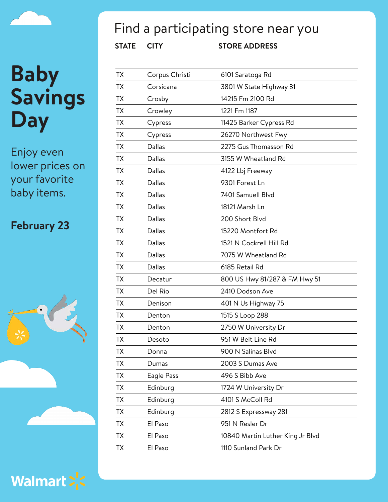

Enjoy even lower prices on your favorite baby items.

#### **February 23**





### Find a participating store near you

| TX        | Corpus Christi | 6101 Saratoga Rd                 |
|-----------|----------------|----------------------------------|
| TX        | Corsicana      | 3801 W State Highway 31          |
| <b>TX</b> | Crosby         | 14215 Fm 2100 Rd                 |
| <b>TX</b> | Crowley        | 1221 Fm 1187                     |
| <b>TX</b> | Cypress        | 11425 Barker Cypress Rd          |
| <b>TX</b> | Cypress        | 26270 Northwest Fwy              |
| <b>TX</b> | Dallas         | 2275 Gus Thomasson Rd            |
| <b>TX</b> | Dallas         | 3155 W Wheatland Rd              |
| TX        | Dallas         | 4122 Lbj Freeway                 |
| <b>TX</b> | Dallas         | 9301 Forest Ln                   |
| <b>TX</b> | Dallas         | 7401 Samuell Blvd                |
| TX        | Dallas         | 18121 Marsh Ln                   |
| <b>TX</b> | Dallas         | 200 Short Blvd                   |
| TX        | Dallas         | 15220 Montfort Rd                |
| TX        | Dallas         | 1521 N Cockrell Hill Rd          |
| <b>TX</b> | Dallas         | 7075 W Wheatland Rd              |
| <b>TX</b> | Dallas         | 6185 Retail Rd                   |
| <b>TX</b> | Decatur        | 800 US Hwy 81/287 & FM Hwy 51    |
| <b>TX</b> | Del Rio        | 2410 Dodson Ave                  |
| <b>TX</b> | Denison        | 401 N Us Highway 75              |
| <b>TX</b> | Denton         | 1515 S Loop 288                  |
| <b>TX</b> | Denton         | 2750 W University Dr             |
| <b>TX</b> | Desoto         | 951 W Belt Line Rd               |
| TΧ        | Donna          | 900 N Salinas Blvd               |
| <b>TX</b> | Dumas          | 2003 S Dumas Ave                 |
| <b>TX</b> | Eagle Pass     | 496 S Bibb Ave                   |
| TX        | Edinburg       | 1724 W University Dr             |
| <b>TX</b> | Edinburg       | 4101 S McColl Rd                 |
| <b>TX</b> | Edinburg       | 2812 S Expressway 281            |
| <b>TX</b> | El Paso        | 951 N Resler Dr                  |
| <b>TX</b> | El Paso        | 10840 Martin Luther King Jr Blvd |
| TX        | El Paso        | 1110 Sunland Park Dr             |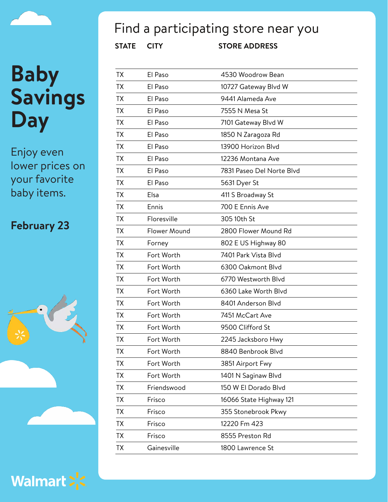Enjoy even lower prices on your favorite baby items.

#### **February 23**





### Find a participating store near you

| TX        | El Paso      | 4530 Woodrow Bean         |
|-----------|--------------|---------------------------|
| <b>TX</b> | El Paso      | 10727 Gateway Blvd W      |
| <b>TX</b> | El Paso      | 9441 Alameda Ave          |
| <b>TX</b> | El Paso      | 7555 N Mesa St            |
| <b>TX</b> | El Paso      | 7101 Gateway Blvd W       |
| TX        | El Paso      | 1850 N Zaragoza Rd        |
| TX        | El Paso      | 13900 Horizon Blvd        |
| TX        | El Paso      | 12236 Montana Ave         |
| <b>TX</b> | El Paso      | 7831 Paseo Del Norte Blvd |
| <b>TX</b> | El Paso      | 5631 Dyer St              |
| TX        | Elsa         | 411 S Broadway St         |
| <b>TX</b> | Ennis        | 700 E Ennis Ave           |
| TX        | Floresville  | 305 10th St               |
| TX        | Flower Mound | 2800 Flower Mound Rd      |
| <b>TX</b> | Forney       | 802 E US Highway 80       |
| TX        | Fort Worth   | 7401 Park Vista Blvd      |
| <b>TX</b> | Fort Worth   | 6300 Oakmont Blvd         |
| TX        | Fort Worth   | 6770 Westworth Blvd       |
| <b>TX</b> | Fort Worth   | 6360 Lake Worth Blvd      |
| <b>TX</b> | Fort Worth   | 8401 Anderson Blvd        |
| <b>TX</b> | Fort Worth   | 7451 McCart Ave           |
| <b>TX</b> | Fort Worth   | 9500 Clifford St          |
| TΧ        | Fort Worth   | 2245 Jacksboro Hwy        |
| <b>TX</b> | Fort Worth   | 8840 Benbrook Blvd        |
| <b>TX</b> | Fort Worth   | 3851 Airport Fwy          |
| <b>TX</b> | Fort Worth   | 1401 N Saginaw Blvd       |
| <b>TX</b> | Friendswood  | 150 W El Dorado Blvd      |
| <b>TX</b> | Frisco       | 16066 State Highway 121   |
| <b>TX</b> | Frisco       | 355 Stonebrook Pkwy       |
| <b>TX</b> | Frisco       | 12220 Fm 423              |
| TX        | Frisco       | 8555 Preston Rd           |
| <b>TX</b> | Gainesville  | 1800 Lawrence St          |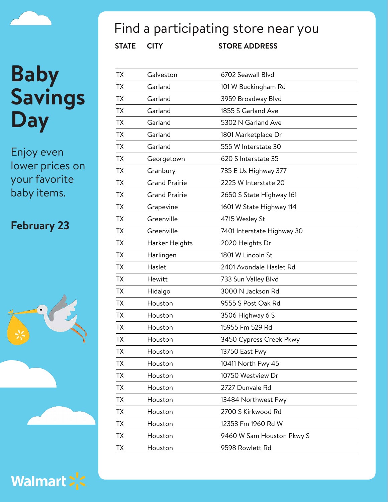Enjoy even lower prices on your favorite baby items.

#### **February 23**





### Find a participating store near you

| TX        | Galveston            | 6702 Seawall Blvd          |
|-----------|----------------------|----------------------------|
| TX        | Garland              | 101 W Buckingham Rd        |
| <b>TX</b> | Garland              | 3959 Broadway Blvd         |
| <b>TX</b> | Garland              | 1855 S Garland Ave         |
| <b>TX</b> | Garland              | 5302 N Garland Ave         |
| <b>TX</b> | Garland              | 1801 Marketplace Dr        |
| <b>TX</b> | Garland              | 555 W Interstate 30        |
| <b>TX</b> | Georgetown           | 620 S Interstate 35        |
| <b>TX</b> | Granbury             | 735 E Us Highway 377       |
| <b>TX</b> | <b>Grand Prairie</b> | 2225 W Interstate 20       |
| <b>TX</b> | <b>Grand Prairie</b> | 2650 S State Highway 161   |
| <b>TX</b> | Grapevine            | 1601 W State Highway 114   |
| <b>TX</b> | Greenville           | 4715 Wesley St             |
| <b>TX</b> | Greenville           | 7401 Interstate Highway 30 |
| <b>TX</b> | Harker Heights       | 2020 Heights Dr            |
| <b>TX</b> | Harlingen            | 1801 W Lincoln St          |
| TX        | Haslet               | 2401 Avondale Haslet Rd    |
| <b>TX</b> | Hewitt               | 733 Sun Valley Blvd        |
| <b>TX</b> | Hidalgo              | 3000 N Jackson Rd          |
| <b>TX</b> | Houston              | 9555 S Post Oak Rd         |
| <b>TX</b> | Houston              | 3506 Highway 6 S           |
| <b>TX</b> | Houston              | 15955 Fm 529 Rd            |
| <b>TX</b> | Houston              | 3450 Cypress Creek Pkwy    |
| TХ        | Houston              | 13750 East Fwy             |
| <b>TX</b> | Houston              | 10411 North Fwy 45         |
| <b>TX</b> | Houston              | 10750 Westview Dr          |
| <b>TX</b> | Houston              | 2727 Dunvale Rd            |
| <b>TX</b> | Houston              | 13484 Northwest Fwy        |
| <b>TX</b> | Houston              | 2700 S Kirkwood Rd         |
| <b>TX</b> | Houston              | 12353 Fm 1960 Rd W         |
| <b>TX</b> | Houston              | 9460 W Sam Houston Pkwy S  |
| <b>TX</b> | Houston              | 9598 Rowlett Rd            |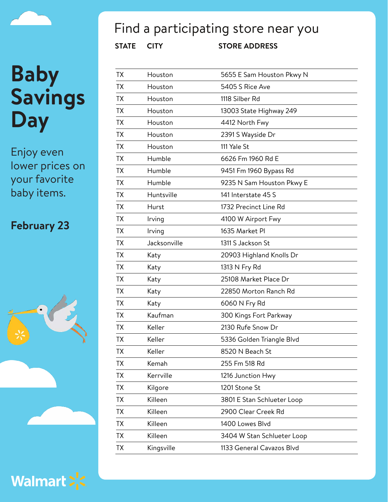Enjoy even lower prices on your favorite baby items.

#### **February 23**





Walmart > <

### Find a participating store near you

| ТX        | Houston      | 5655 E Sam Houston Pkwy N  |
|-----------|--------------|----------------------------|
| TХ        | Houston      | 5405 S Rice Ave            |
| TX        | Houston      | 1118 Silber Rd             |
| ТX        | Houston      | 13003 State Highway 249    |
| ТX        | Houston      | 4412 North Fwy             |
| <b>TX</b> | Houston      | 2391 S Wayside Dr          |
| ТX        | Houston      | 111 Yale St                |
| ТX        | Humble       | 6626 Fm 1960 Rd E          |
| ТX        | Humble       | 9451 Fm 1960 Bypass Rd     |
| ТX        | Humble       | 9235 N Sam Houston Pkwy E  |
| ТX        | Huntsville   | 141 Interstate 45 S        |
| ТX        | Hurst        | 1732 Precinct Line Rd      |
| <b>TX</b> | Irving       | 4100 W Airport Fwy         |
| TX        | Irving       | 1635 Market PI             |
| TX        | Jacksonville | 1311 S Jackson St          |
| ТX        | Katy         | 20903 Highland Knolls Dr   |
| ТX        | Katy         | 1313 N Fry Rd              |
| <b>TX</b> | Katy         | 25108 Market Place Dr      |
| ТX        | Katy         | 22850 Morton Ranch Rd      |
| TX        | Katy         | 6060 N Fry Rd              |
| ТX        | Kaufman      | 300 Kings Fort Parkway     |
| ТX        | Keller       | 2130 Rufe Snow Dr          |
| ТX        | Keller       | 5336 Golden Triangle Blvd  |
| <b>ΤΧ</b> | Keller       | 8520 N Beach St            |
| ТX        | Kemah        | 255 Fm 518 Rd              |
| <b>TX</b> | Kerrville    | 1216 Junction Hwy          |
| ТX        | Kilgore      | 1201 Stone St              |
| <b>TX</b> | Killeen      | 3801 E Stan Schlueter Loop |
| <b>TX</b> | Killeen      | 2900 Clear Creek Rd        |
| <b>TX</b> | Killeen      | 1400 Lowes Blvd            |
| <b>TX</b> | Killeen      | 3404 W Stan Schlueter Loop |
| ТX        | Kingsville   | 1133 General Cavazos Blvd  |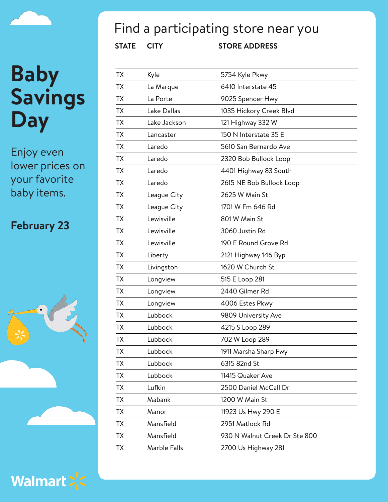Enjoy even lower prices on your favorite baby items.

#### **February 23**





### Find a participating store near you

| ТX        | Kyle         | 5754 Kyle Pkwy                |
|-----------|--------------|-------------------------------|
| TX        | La Marque    | 6410 Interstate 45            |
| <b>TX</b> | La Porte     | 9025 Spencer Hwy              |
| <b>TX</b> | Lake Dallas  | 1035 Hickory Creek Blvd       |
| TX        | Lake Jackson | 121 Highway 332 W             |
| <b>TX</b> | Lancaster    | 150 N Interstate 35 E         |
| TX        | Laredo       | 5610 San Bernardo Ave         |
| ТX        | Laredo       | 2320 Bob Bullock Loop         |
| <b>TX</b> | Laredo       | 4401 Highway 83 South         |
| <b>TX</b> | Laredo       | 2615 NE Bob Bullock Loop      |
| <b>TX</b> | League City  | 2625 W Main St                |
| <b>TX</b> | League City  | 1701 W Fm 646 Rd              |
| <b>TX</b> | Lewisville   | 801 W Main St                 |
| <b>TX</b> | Lewisville   | 3060 Justin Rd                |
| <b>TX</b> | Lewisville   | 190 E Round Grove Rd          |
| <b>TX</b> | Liberty      | 2121 Highway 146 Byp          |
| TX        | Livingston   | 1620 W Church St              |
| <b>TX</b> | Longview     | 515 E Loop 281                |
| <b>TX</b> | Longview     | 2440 Gilmer Rd                |
| <b>TX</b> | Longview     | 4006 Estes Pkwy               |
| <b>TX</b> | Lubbock      | 9809 University Ave           |
| <b>TX</b> | Lubbock      | 4215 S Loop 289               |
| <b>TX</b> | Lubbock      | 702 W Loop 289                |
| ТX        | Lubbock      | 1911 Marsha Sharp Fwy         |
| TX        | Lubbock      | 6315 82nd St                  |
| <b>TX</b> | Lubbock      | 11415 Quaker Ave              |
| <b>TX</b> | Lufkin       | 2500 Daniel McCall Dr         |
| <b>TX</b> | Mabank       | 1200 W Main St                |
| <b>TX</b> | Manor        | 11923 Us Hwy 290 E            |
| <b>TX</b> | Mansfield    | 2951 Matlock Rd               |
| TX        | Mansfield    | 930 N Walnut Creek Dr Ste 800 |
| <b>TX</b> | Marble Falls | 2700 Us Highway 281           |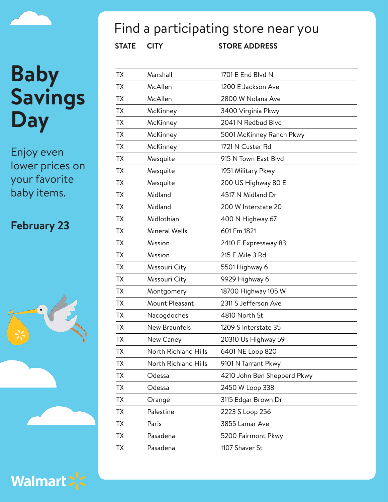Enjoy even lower prices on your favorite baby items.

#### **February 23**





### Find a participating store near you

| <b>TX</b> | Marshall             | 1701 E End Blvd N           |
|-----------|----------------------|-----------------------------|
| TХ        | McAllen              | 1200 E Jackson Ave          |
| ТX        | McAllen              | 2800 W Nolana Ave           |
| TХ        | McKinney             | 3400 Virginia Pkwy          |
| ТX        | McKinney             | 2041 N Redbud Blvd          |
| ТX        | McKinney             | 5001 McKinney Ranch Pkwy    |
| ТX        | McKinney             | 1721 N Custer Rd            |
| ТX        | Mesquite             | 915 N Town East Blyd        |
| ТX        | Mesquite             | 1951 Military Pkwy          |
| ТX        | Mesquite             | 200 US Highway 80 E         |
| TХ        | Midland              | 4517 N Midland Dr           |
| ТX        | Midland              | 200 W Interstate 20         |
| ТX        | Midlothian           | 400 N Highway 67            |
| TХ        | <b>Mineral Wells</b> | 601 Fm 1821                 |
| ТX        | Mission              | 2410 E Expressway 83        |
| ТX        | Mission              | 215 E Mile 3 Rd             |
| ТX        | Missouri City        | 5501 Highway 6              |
| ТX        | Missouri City        | 9929 Highway 6              |
| ТX        | Montgomery           | 18700 Highway 105 W         |
| ТX        | Mount Pleasant       | 2311 S Jefferson Ave        |
| ТX        | Nacogdoches          | 4810 North St               |
| <b>TX</b> | New Braunfels        | 1209 S Interstate 35        |
| <b>ΤΧ</b> | New Caney            | 20310 Us Highway 59         |
| ТX        | North Richland Hills | 6401 NE Loop 820            |
| TX        | North Richland Hills | 9101 N Tarrant Pkwy         |
| TX        | Odessa               | 4210 John Ben Shepperd Pkwy |
| TΧ        | Odessa               | 2450 W Loop 338             |
| <b>TX</b> | Orange               | 3115 Edgar Brown Dr         |
| ТX        | Palestine            | 2223 S Loop 256             |
| ТX        | Paris                | 3855 Lamar Ave              |
| TX        | Pasadena             | 5200 Fairmont Pkwy          |
| TX        | Pasadena             | 1107 Shaver St              |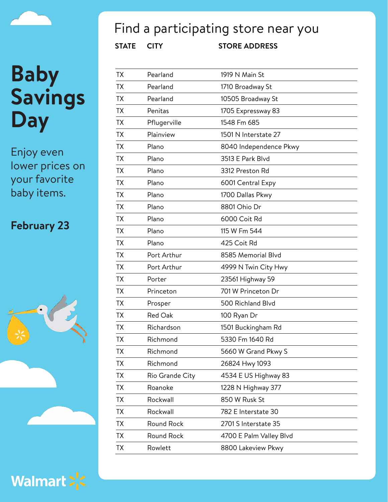

Enjoy even lower prices on your favorite baby items.

#### **February 23**





### Find a participating store near you

| TX        | Pearland        | 1919 N Main St          |
|-----------|-----------------|-------------------------|
| TX        | Pearland        | 1710 Broadway St        |
| <b>TX</b> | Pearland        | 10505 Broadway St       |
| ТX        | Penitas         | 1705 Expressway 83      |
| <b>TX</b> | Pflugerville    | 1548 Fm 685             |
| ТX        | Plainview       | 1501 N Interstate 27    |
| TX        | Plano           | 8040 Independence Pkwy  |
| TX        | Plano           | 3513 E Park Blvd        |
| ТX        | Plano           | 3312 Preston Rd         |
| TX        | Plano           | 6001 Central Expy       |
| ТX        | Plano           | 1700 Dallas Pkwy        |
| <b>TX</b> | Plano           | 8801 Ohio Dr            |
| TХ        | Plano           | 6000 Coit Rd            |
| ТX        | Plano           | 115 W Fm 544            |
| <b>TX</b> | Plano           | 425 Coit Rd             |
| ТX        | Port Arthur     | 8585 Memorial Blvd      |
| <b>TX</b> | Port Arthur     | 4999 N Twin City Hwy    |
| TX        | Porter          | 23561 Highway 59        |
| TX        | Princeton       | 701 W Princeton Dr      |
| TX        | Prosper         | 500 Richland Blvd       |
| TX        | Red Oak         | 100 Ryan Dr             |
| <b>TX</b> | Richardson      | 1501 Buckingham Rd      |
| TΧ        | Richmond        | 5330 Fm 1640 Rd         |
| ТX        | Richmond        | 5660 W Grand Pkwy S     |
| TX        | Richmond        | 26824 Hwy 1093          |
| TX        | Rio Grande City | 4534 E US Highway 83    |
| ТX        | Roanoke         | 1228 N Highway 377      |
| TX        | Rockwall        | 850 W Rusk St           |
| ТX        | Rockwall        | 782 E Interstate 30     |
| <b>TX</b> | Round Rock      | 2701 S Interstate 35    |
| ТX        | Round Rock      | 4700 E Palm Valley Blvd |
| <b>TX</b> | Rowlett         | 8800 Lakeview Pkwy      |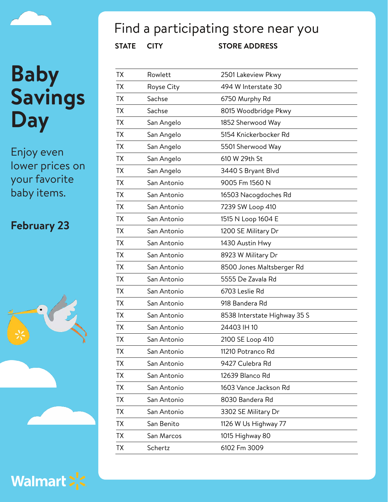Enjoy even lower prices on your favorite baby items.

#### **February 23**



Walmart > <

## Find a participating store near you

| ТX        | Rowlett     | 2501 Lakeview Pkwy           |
|-----------|-------------|------------------------------|
| ТX        | Royse City  | 494 W Interstate 30          |
| ТX        | Sachse      | 6750 Murphy Rd               |
| TX        | Sachse      | 8015 Woodbridge Pkwy         |
| <b>TX</b> | San Angelo  | 1852 Sherwood Way            |
| ТX        | San Angelo  | 5154 Knickerbocker Rd        |
| TX        | San Angelo  | 5501 Sherwood Way            |
| ТX        | San Angelo  | 610 W 29th St                |
| ТX        | San Angelo  | 3440 S Bryant Blvd           |
| ТX        | San Antonio | 9005 Fm 1560 N               |
| ТX        | San Antonio | 16503 Nacogdoches Rd         |
| ТX        | San Antonio | 7239 SW Loop 410             |
| ТX        | San Antonio | 1515 N Loop 1604 E           |
| ТX        | San Antonio | 1200 SE Military Dr          |
| ТX        | San Antonio | 1430 Austin Hwy              |
| ТX        | San Antonio | 8923 W Military Dr           |
| ТX        | San Antonio | 8500 Jones Maltsberger Rd    |
| ТX        | San Antonio | 5555 De Zavala Rd            |
| TX.       | San Antonio | 6703 Leslie Rd               |
| ТX        | San Antonio | 918 Bandera Rd               |
| ТX        | San Antonio | 8538 Interstate Highway 35 S |
| TX        | San Antonio | 24403 IH 10                  |
| ТX        | San Antonio | 2100 SE Loop 410             |
| TХ        | San Antonio | 11210 Potranco Rd            |
| TX        | San Antonio | 9427 Culebra Rd              |
| TХ        | San Antonio | 12639 Blanco Rd              |
| TX        | San Antonio | 1603 Vance Jackson Rd        |
| ТX        | San Antonio | 8030 Bandera Rd              |
| ТX        | San Antonio | 3302 SE Military Dr          |
| TX        | San Benito  | 1126 W Us Highway 77         |
| ТX        | San Marcos  | 1015 Highway 80              |
| TX        | Schertz     | 6102 Fm 3009                 |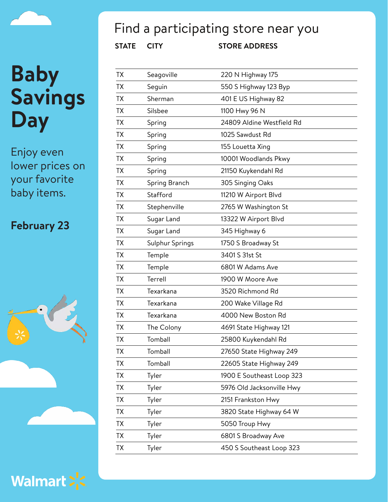Enjoy even lower prices on your favorite baby items.

#### **February 23**



Walmart > <

## Find a participating store near you

| TX        | Seagoville      | 220 N Highway 175         |
|-----------|-----------------|---------------------------|
| TX        | Seguin          | 550 S Highway 123 Byp     |
| <b>TX</b> | Sherman         | 401 E US Highway 82       |
| <b>TX</b> | Silsbee         | 1100 Hwy 96 N             |
| <b>TX</b> | Spring          | 24809 Aldine Westfield Rd |
| <b>TX</b> | Spring          | 1025 Sawdust Rd           |
| <b>TX</b> | Spring          | 155 Louetta Xing          |
| <b>TX</b> | Spring          | 10001 Woodlands Pkwy      |
| <b>TX</b> | Spring          | 21150 Kuykendahl Rd       |
| <b>TX</b> | Spring Branch   | 305 Singing Oaks          |
| <b>TX</b> | Stafford        | 11210 W Airport Blvd      |
| TX.       | Stephenville    | 2765 W Washington St      |
| <b>TX</b> | Sugar Land      | 13322 W Airport Blvd      |
| <b>TX</b> | Sugar Land      | 345 Highway 6             |
| <b>TX</b> | Sulphur Springs | 1750 S Broadway St        |
| <b>TX</b> | Temple          | 3401 S 31st St            |
| <b>TX</b> | Temple          | 6801 W Adams Ave          |
| <b>TX</b> | Terrell         | 1900 W Moore Ave          |
| <b>TX</b> | Texarkana       | 3520 Richmond Rd          |
| <b>TX</b> | Texarkana       | 200 Wake Village Rd       |
| <b>TX</b> | Texarkana       | 4000 New Boston Rd        |
| TX        | The Colony      | 4691 State Highway 121    |
| <b>TX</b> | Tomball         | 25800 Kuykendahl Rd       |
| TΧ        | Tomball         | 27650 State Highway 249   |
| <b>TX</b> | Tomball         | 22605 State Highway 249   |
| TX        | Tyler           | 1900 E Southeast Loop 323 |
| TX        | Tyler           | 5976 Old Jacksonville Hwy |
| <b>TX</b> | Tyler           | 2151 Frankston Hwy        |
| TX        | Tyler           | 3820 State Highway 64 W   |
| TX        | Tyler           | 5050 Troup Hwy            |
| <b>TX</b> | Tyler           | 6801 S Broadway Ave       |
| TX        | Tyler           | 450 S Southeast Loop 323  |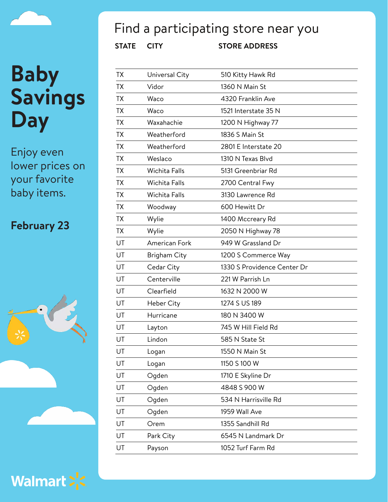Enjoy even lower prices on your favorite baby items.

#### **February 23**





### Find a participating store near you

| TX        | Universal City       | 510 Kitty Hawk Rd           |
|-----------|----------------------|-----------------------------|
| TX        | Vidor                | 1360 N Main St              |
| <b>TX</b> | Waco                 | 4320 Franklin Ave           |
| TX        | Waco                 | 1521 Interstate 35 N        |
| <b>TX</b> | Waxahachie           | 1200 N Highway 77           |
| <b>TX</b> | Weatherford          | 1836 S Main St              |
| TX        | Weatherford          | 2801 E Interstate 20        |
| <b>TX</b> | Weslaco              | 1310 N Texas Blvd           |
| TX        | <b>Wichita Falls</b> | 5131 Greenbriar Rd          |
| TX        | Wichita Falls        | 2700 Central Fwy            |
| <b>TX</b> | <b>Wichita Falls</b> | 3130 Lawrence Rd            |
| TX        | Woodway              | 600 Hewitt Dr               |
| <b>TX</b> | Wylie                | 1400 Mccreary Rd            |
| TX        | Wylie                | 2050 N Highway 78           |
| UT        | American Fork        | 949 W Grassland Dr          |
| UT        | Brigham City         | 1200 S Commerce Way         |
| UT        | Cedar City           | 1330 S Providence Center Dr |
| UT        | Centerville          | 221 W Parrish Ln            |
| UT        | Clearfield           | 1632 N 2000 W               |
| UT        | Heber City           | 1274 S US 189               |
| UT        | Hurricane            | 180 N 3400 W                |
| UT        | Layton               | 745 W Hill Field Rd         |
| UT        | Lindon               | 585 N State St              |
| UT        | Logan                | 1550 N Main St              |
| UT        | Logan                | 1150 S 100 W                |
| UT        | Ogden                | 1710 E Skyline Dr           |
| UT        | Ogden                | 4848 S 900 W                |
| UT        | Ogden                | 534 N Harrisville Rd        |
| UT        | Ogden                | 1959 Wall Ave               |
| UT        | Orem                 | 1355 Sandhill Rd            |
| UT        | Park City            | 6545 N Landmark Dr          |
| UT        | Payson               | 1052 Turf Farm Rd           |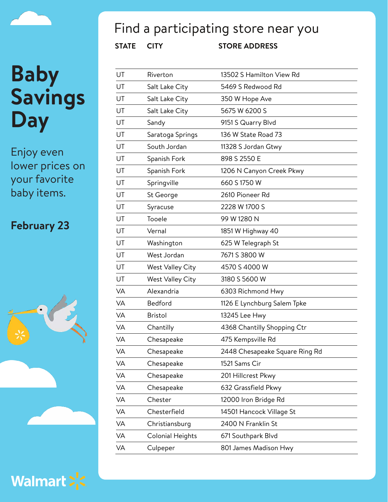## Find a participating store near you

**STATE CITY STORE ADDRESS**

| UT        | Riverton                | 13502 S Hamilton View Rd       |
|-----------|-------------------------|--------------------------------|
| UT        | Salt Lake City          | 5469 S Redwood Rd              |
| UT        | Salt Lake City          | 350 W Hope Ave                 |
| UT        | Salt Lake City          | 5675 W 6200 S                  |
| UT        | Sandy                   | 9151 S Quarry Blvd             |
| UT        | Saratoga Springs        | 136 W State Road 73            |
| UT        | South Jordan            | 11328 S Jordan Gtwy            |
| UT        | Spanish Fork            | 898 S 2550 E                   |
| UT        | Spanish Fork            | 1206 N Canyon Creek Pkwy       |
| UT        | Springville             | 660 S 1750 W                   |
| UT        | St George               | 2610 Pioneer Rd                |
| UT        | Syracuse                | 2228 W 1700 S                  |
| UT        | Tooele                  | 99 W 1280 N                    |
| UT        | Vernal                  | 1851 W Highway 40              |
| UT        | Washington              | 625 W Telegraph St             |
| UT        | West Jordan             | 7671 S 3800 W                  |
| UT        | <b>West Valley City</b> | 4570 S 4000 W                  |
| UT        | <b>West Valley City</b> | 3180 S 5600 W                  |
| VA        | Alexandria              | 6303 Richmond Hwy              |
| <b>VA</b> | Bedford                 | 1126 E Lynchburg Salem Tpke    |
| VA        | <b>Bristol</b>          | 13245 Lee Hwy                  |
| VA        | Chantilly               | 4368 Chantilly Shopping Ctr    |
| VA        | Chesapeake              | 475 Kempsville Rd              |
| VA        | Chesapeake              | 2448 Chesapeake Square Ring Rd |
| VA        | Chesapeake              | 1521 Sams Cir                  |
| VA        | Chesapeake              | 201 Hillcrest Pkwy             |
| VA        | Chesapeake              | 632 Grassfield Pkwy            |
| <b>VA</b> | Chester                 | 12000 Iron Bridge Rd           |
| VA        | Chesterfield            | 14501 Hancock Village St       |
| VA        | Christiansburg          | 2400 N Franklin St             |
| VA        | <b>Colonial Heights</b> | 671 Southpark Blvd             |
| VA        | Culpeper                | 801 James Madison Hwy          |

## **Baby Savings Day**

Enjoy even lower prices on your favorite baby items.

### **February 23**



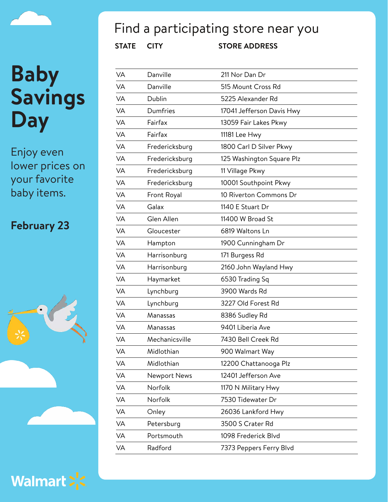Enjoy even lower prices on your favorite baby items.

#### **February 23**





### Find a participating store near you

| VA        | Danville            | 211 Nor Dan Dr            |
|-----------|---------------------|---------------------------|
| VA        | Danville            | 515 Mount Cross Rd        |
| VA        | Dublin              | 5225 Alexander Rd         |
| VA        | Dumfries            | 17041 Jefferson Davis Hwy |
| VA        | Fairfax             | 13059 Fair Lakes Pkwy     |
| VA        | Fairfax             | 11181 Lee Hwy             |
| VA        | Fredericksburg      | 1800 Carl D Silver Pkwy   |
| VA        | Fredericksburg      | 125 Washington Square Plz |
| VA        | Fredericksburg      | 11 Village Pkwy           |
| VA        | Fredericksburg      | 10001 Southpoint Pkwy     |
| VA        | Front Royal         | 10 Riverton Commons Dr    |
| VA        | Galax               | 1140 E Stuart Dr          |
| <b>VA</b> | Glen Allen          | 11400 W Broad St          |
| VA        | Gloucester          | 6819 Waltons Ln           |
| VA        | Hampton             | 1900 Cunningham Dr        |
| VA        | Harrisonburg        | 171 Burgess Rd            |
| VA        | Harrisonburg        | 2160 John Wayland Hwy     |
| <b>VA</b> | Haymarket           | 6530 Trading Sq           |
| <b>VA</b> | Lynchburg           | 3900 Wards Rd             |
| VA        | Lynchburg           | 3227 Old Forest Rd        |
| VA        | Manassas            | 8386 Sudley Rd            |
| VA        | Manassas            | 9401 Liberia Ave          |
| VA        | Mechanicsville      | 7430 Bell Creek Rd        |
| VA        | Midlothian          | 900 Walmart Way           |
| VA        | Midlothian          | 12200 Chattanooga Plz     |
| VA        | <b>Newport News</b> | 12401 Jefferson Ave       |
| VA        | Norfolk             | 1170 N Military Hwy       |
| VA        | Norfolk             | 7530 Tidewater Dr         |
| VA        | Onley               | 26036 Lankford Hwy        |
| VA        | Petersburg          | 3500 S Crater Rd          |
| VA        | Portsmouth          | 1098 Frederick Blvd       |
| VA        | Radford             | 7373 Peppers Ferry Blvd   |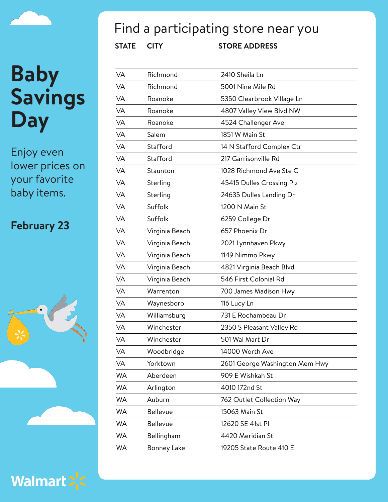Enjoy even lower prices on your favorite baby items.

#### **February 23**





## Find a participating store near you

| VA        | Richmond       | 2410 Sheila Ln                 |
|-----------|----------------|--------------------------------|
| VA        | Richmond       | 5001 Nine Mile Rd              |
| <b>VA</b> | Roanoke        | 5350 Clearbrook Village Ln     |
| VA        | Roanoke        | 4807 Valley View Blvd NW       |
| <b>VA</b> | Roanoke        | 4524 Challenger Ave            |
| <b>VA</b> | Salem          | 1851 W Main St                 |
| VA        | Stafford       | 14 N Stafford Complex Ctr      |
| <b>VA</b> | Stafford       | 217 Garrisonville Rd           |
| <b>VA</b> | Staunton       | 1028 Richmond Ave Ste C        |
| VA        | Sterling       | 45415 Dulles Crossing Plz      |
| <b>VA</b> | Sterling       | 24635 Dulles Landing Dr        |
| VA        | Suffolk        | 1200 N Main St                 |
| <b>VA</b> | Suffolk        | 6259 College Dr                |
| VA        | Virginia Beach | 657 Phoenix Dr                 |
| <b>VA</b> | Virginia Beach | 2021 Lynnhaven Pkwy            |
| VA        | Virginia Beach | 1149 Nimmo Pkwy                |
| VA        | Virginia Beach | 4821 Virginia Beach Blvd       |
| VA        | Virginia Beach | 546 First Colonial Rd          |
| VA        | Warrenton      | 700 James Madison Hwy          |
| VA        | Waynesboro     | 116 Lucy Ln                    |
| <b>VA</b> | Williamsburg   | 731 E Rochambeau Dr            |
| VA        | Winchester     | 2350 S Pleasant Valley Rd      |
| <b>VA</b> | Winchester     | 501 Wal Mart Dr                |
| VA        | Woodbridge     | 14000 Worth Ave                |
| VA        | Yorktown       | 2601 George Washington Mem Hwy |
| WA        | Aberdeen       | 909 E Wishkah St               |
| <b>WA</b> | Arlington      | 4010 172nd St                  |
| WA        | Auburn         | 762 Outlet Collection Way      |
| <b>WA</b> | Bellevue       | 15063 Main St                  |
| <b>WA</b> | Bellevue       | 12620 SE 41st PI               |
| <b>WA</b> | Bellingham     | 4420 Meridian St               |
| WA        | Bonney Lake    | 19205 State Route 410 E        |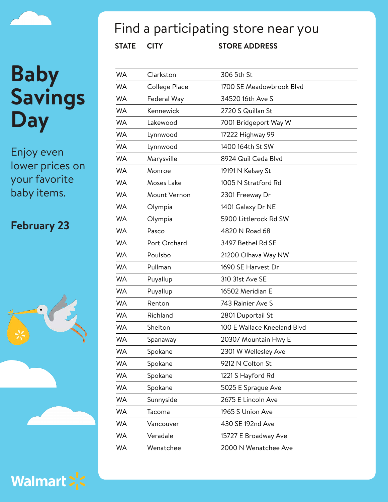Enjoy even lower prices on your favorite baby items.

#### **February 23**





### Find a participating store near you

| <b>WA</b> | Clarkston     | 306 5th St                  |
|-----------|---------------|-----------------------------|
| <b>WA</b> | College Place | 1700 SE Meadowbrook Blvd    |
| <b>WA</b> | Federal Way   | 34520 16th Ave S            |
| <b>WA</b> | Kennewick     | 2720 S Quillan St           |
| <b>WA</b> | Lakewood      | 7001 Bridgeport Way W       |
| <b>WA</b> | Lynnwood      | 17222 Highway 99            |
| <b>WA</b> | Lynnwood      | 1400 164th St SW            |
| <b>WA</b> | Marysville    | 8924 Quil Ceda Blvd         |
| <b>WA</b> | Monroe        | 19191 N Kelsey St           |
| <b>WA</b> | Moses Lake    | 1005 N Stratford Rd         |
| <b>WA</b> | Mount Vernon  | 2301 Freeway Dr             |
| <b>WA</b> | Olympia       | 1401 Galaxy Dr NE           |
| <b>WA</b> | Olympia       | 5900 Littlerock Rd SW       |
| <b>WA</b> | Pasco         | 4820 N Road 68              |
| <b>WA</b> | Port Orchard  | 3497 Bethel Rd SE           |
| <b>WA</b> | Poulsbo       | 21200 Olhava Way NW         |
| <b>WA</b> | Pullman       | 1690 SE Harvest Dr          |
| <b>WA</b> | Puyallup      | 310 31st Ave SE             |
| <b>WA</b> | Puyallup      | 16502 Meridian E            |
| <b>WA</b> | Renton        | 743 Rainier Ave S           |
| <b>WA</b> | Richland      | 2801 Duportail St           |
| <b>WA</b> | Shelton       | 100 E Wallace Kneeland Blvd |
| <b>WA</b> | Spanaway      | 20307 Mountain Hwy E        |
| <b>WA</b> | Spokane       | 2301 W Wellesley Ave        |
| <b>WA</b> | Spokane       | 9212 N Colton St            |
| WA        | Spokane       | 1221 S Hayford Rd           |
| WA        | Spokane       | 5025 E Sprague Ave          |
| WA        | Sunnyside     | 2675 E Lincoln Ave          |
| WA        | Tacoma        | 1965 S Union Ave            |
| WA        | Vancouver     | 430 SE 192nd Ave            |
| <b>WA</b> | Veradale      | 15727 E Broadway Ave        |
| <b>WA</b> | Wenatchee     | 2000 N Wenatchee Ave        |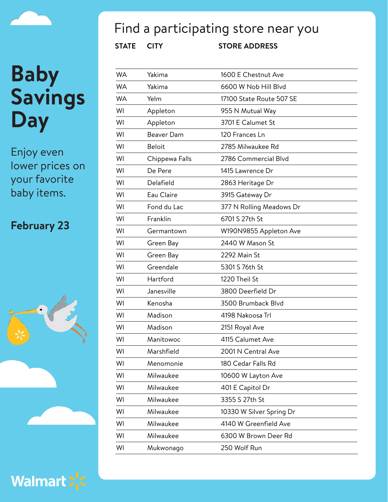Enjoy even lower prices on your favorite baby items.

#### **February 23**





### Find a participating store near you

| <b>WA</b> | Yakima         | 1600 E Chestnut Ave      |
|-----------|----------------|--------------------------|
| <b>WA</b> | Yakima         | 6600 W Nob Hill Blvd     |
| <b>WA</b> | Yelm           | 17100 State Route 507 SE |
| WI        | Appleton       | 955 N Mutual Way         |
| WI        | Appleton       | 3701 E Calumet St        |
| WI        | Beaver Dam     | 120 Frances Ln           |
| WI        | <b>Beloit</b>  | 2785 Milwaukee Rd        |
| WI        | Chippewa Falls | 2786 Commercial Blvd     |
| WI        | De Pere        | 1415 Lawrence Dr         |
| WI        | Delafield      | 2863 Heritage Dr         |
| WI        | Eau Claire     | 3915 Gateway Dr          |
| WI        | Fond du Lac    | 377 N Rolling Meadows Dr |
| WI        | Franklin       | 6701 S 27th St           |
| WI        | Germantown     | W190N9855 Appleton Ave   |
| WI        | Green Bay      | 2440 W Mason St          |
| WI        | Green Bay      | 2292 Main St             |
| WI        | Greendale      | 5301 S 76th St           |
| WI        | Hartford       | 1220 Theil St            |
| WI        | Janesville     | 3800 Deerfield Dr        |
| WI        | Kenosha        | 3500 Brumback Blvd       |
| WI        | Madison        | 4198 Nakoosa Trl         |
| WI        | Madison        | 2151 Royal Ave           |
| WI        | Manitowoc      | 4115 Calumet Ave         |
| WI        | Marshfield     | 2001 N Central Ave       |
| WI        | Menomonie      | 180 Cedar Falls Rd       |
| WI        | Milwaukee      | 10600 W Layton Ave       |
| WI        | Milwaukee      | 401 E Capitol Dr         |
| WI        | Milwaukee      | 3355 S 27th St           |
| WI        | Milwaukee      | 10330 W Silver Spring Dr |
| WI        | Milwaukee      | 4140 W Greenfield Ave    |
| WI        | Milwaukee      | 6300 W Brown Deer Rd     |
| WI        | Mukwonago      | 250 Wolf Run             |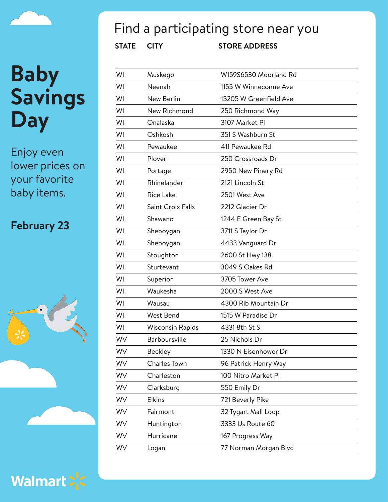Enjoy even lower prices on your favorite baby items.

#### **February 23**





### Find a participating store near you

| WI | Muskego                 | W159S6530 Moorland Rd  |
|----|-------------------------|------------------------|
| WI | Neenah                  | 1155 W Winneconne Ave  |
| WI | New Berlin              | 15205 W Greenfield Ave |
| WI | New Richmond            | 250 Richmond Way       |
| WI | Onalaska                | 3107 Market PI         |
| WI | Oshkosh                 | 351 S Washburn St      |
| WI | Pewaukee                | 411 Pewaukee Rd        |
| WI | Plover                  | 250 Crossroads Dr      |
| WI | Portage                 | 2950 New Pinery Rd     |
| WI | Rhinelander             | 2121 Lincoln St        |
| WI | <b>Rice Lake</b>        | 2501 West Ave          |
| WI | Saint Croix Falls       | 2212 Glacier Dr        |
| WI | Shawano                 | 1244 E Green Bay St    |
| WI | Sheboygan               | 3711 S Taylor Dr       |
| WI | Sheboygan               | 4433 Vanguard Dr       |
| WI | Stoughton               | 2600 St Hwy 138        |
| WI | Sturtevant              | 3049 S Oakes Rd        |
| WI | Superior                | 3705 Tower Ave         |
| WI | Waukesha                | 2000 S West Ave        |
| WI | Wausau                  | 4300 Rib Mountain Dr   |
| WI | West Bend               | 1515 W Paradise Dr     |
| WI | <b>Wisconsin Rapids</b> | 4331 8th St S          |
| WV | Barboursville           | 25 Nichols Dr          |
| WV | Beckley                 | 1330 N Eisenhower Dr   |
| WV | Charles Town            | 96 Patrick Henry Way   |
| WV | Charleston              | 100 Nitro Market Pl    |
| WV | Clarksburg              | 550 Emily Dr           |
| WV | <b>Elkins</b>           | 721 Beverly Pike       |
| WV | Fairmont                | 32 Tygart Mall Loop    |
| WV | Huntington              | 3333 Us Route 60       |
| WV | Hurricane               | 167 Progress Way       |
| WV | Logan                   | 77 Norman Morgan Blvd  |